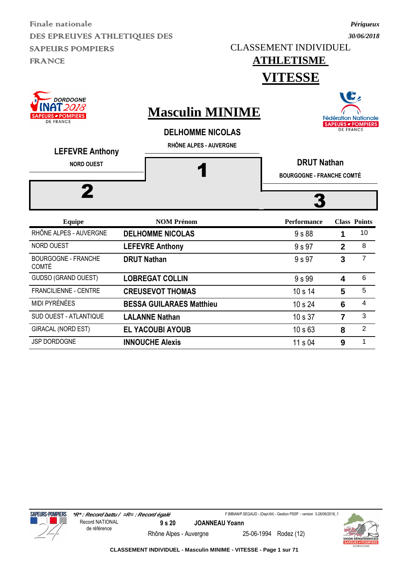CLASSEMENT INDIVIDUEL

### **ATHLETISME**

**VITESSE**

| <b>DORDOGNE</b><br>2018<br><b>SAPEURS - POMPIERS</b><br><b>DE FRANCE</b><br><b>LEFEVRE Anthony</b> | <b>Masculin MINIME</b><br><b>DELHOMME NICOLAS</b><br>RHÔNE ALPES - AUVERGNE |                                                        |                         | <b>COMPA</b><br><b>Fédération Nationale</b><br><b>SAPEURS - POMPIERS</b><br><b>DE FRANCE</b> |  |  |
|----------------------------------------------------------------------------------------------------|-----------------------------------------------------------------------------|--------------------------------------------------------|-------------------------|----------------------------------------------------------------------------------------------|--|--|
| <b>NORD OUEST</b>                                                                                  |                                                                             | <b>DRUT Nathan</b><br><b>BOURGOGNE - FRANCHE COMTÉ</b> |                         |                                                                                              |  |  |
| <b>Equipe</b>                                                                                      | <b>NOM Prénom</b>                                                           | <b>Performance</b>                                     |                         | <b>Class Points</b>                                                                          |  |  |
| RHÔNE ALPES - AUVERGNE                                                                             | <b>DELHOMME NICOLAS</b>                                                     | 9 s 88                                                 | 1                       | 10                                                                                           |  |  |
| NORD OUEST                                                                                         | <b>LEFEVRE Anthony</b>                                                      | 9 s 97                                                 | $\overline{2}$          | 8                                                                                            |  |  |
| <b>BOURGOGNE - FRANCHE</b><br><b>COMTÉ</b>                                                         | <b>DRUT Nathan</b>                                                          | 9 s 97                                                 | 3                       | $\overline{7}$                                                                               |  |  |
| <b>GUDSO (GRAND OUEST)</b>                                                                         | <b>LOBREGAT COLLIN</b>                                                      | 9 s 99                                                 | $\overline{\mathbf{4}}$ | 6                                                                                            |  |  |
| <b>FRANCILIENNE - CENTRE</b>                                                                       | <b>CREUSEVOT THOMAS</b>                                                     | 10 s 14                                                | 5                       | 5                                                                                            |  |  |
| <b>MIDI PYRÉNÉES</b>                                                                               | <b>BESSA GUILARAES Matthieur</b>                                            | 10 s 24                                                | 6                       | $\overline{\mathbf{4}}$                                                                      |  |  |
| <b>SUD OUEST - ATLANTIQUE</b>                                                                      | <b>LALANNE Nathan</b>                                                       | 10 s 37                                                | $\overline{7}$          | 3                                                                                            |  |  |
| <b>GIRACAL (NORD EST)</b>                                                                          | <b>EL YACOUBI AYOUB</b>                                                     | 10 <sub>s</sub> 63                                     | 8                       | 2                                                                                            |  |  |
| JSP DORDOGNE                                                                                       | <b>INNOUCHE Alexis</b>                                                      | 11 s 04                                                | 9                       | 1                                                                                            |  |  |





**CLASSEMENT INDIVIDUEL - Masculin MINIME - VITESSE - Page 1 sur 71**

*Périgueux 30/06/2018*

 $\blacksquare$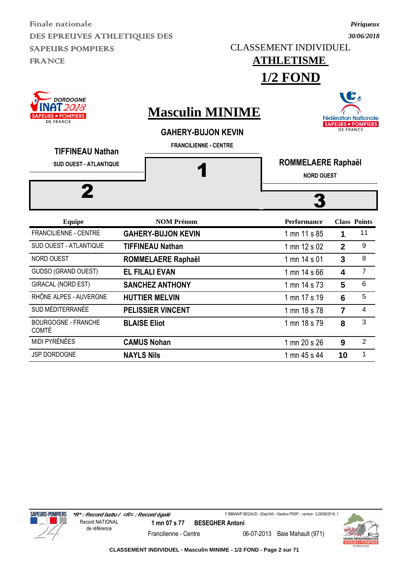CLASSEMENT INDIVIDUEL

#### **ATHLETISME 1/2 FOND**

**DORDOGNE** `2018 **Masculin MINIME POMPIERS DE FRANCE GAHERY-BUJON KEVIN FRANCILIENNE - CENTRE TIFFINEAU Nathan**



|                                            | TIV LIILIN MELVIN        | 1 1111 17 3 1 <i>3</i> |    |   |
|--------------------------------------------|--------------------------|------------------------|----|---|
| SUD MÉDITERRANÉE                           | <b>PELISSIER VINCENT</b> | 1 mn 18 s 78           |    | 4 |
| <b>BOURGOGNE - FRANCHE</b><br><b>COMTÉ</b> | <b>BLAISE Eliot</b>      | 1 mn 18 s 79           | 8  | 3 |
| MIDI PYRÉNÉES                              | <b>CAMUS Nohan</b>       | 1 mn 20 s 26           | 9  |   |
| <b>JSP DORDOGNE</b>                        | <b>NAYLS Nils</b>        | 1 mn 45 s 44           | 10 |   |
|                                            |                          |                        |    |   |





**CLASSEMENT INDIVIDUEL - Masculin MINIME - 1/2 FOND - Page 2 sur 71**

*Périgueux 30/06/2018*

B,

**Fédération Nationale** 

**SAPEURS - POMPIERS DE FRANCE**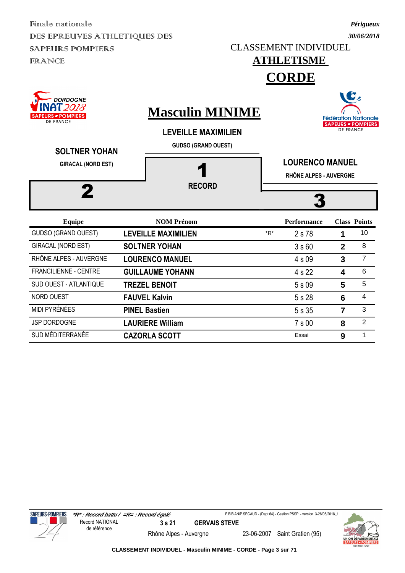*30/06/2018* CLASSEMENT INDIVIDUEL

*Périgueux*

 $\blacksquare$ 

### **ATHLETISME**

**CORDE**

| <b>DORDOGNE</b><br>2018<br><b>PEURS <i>■</i> POMPIERS</b><br><b>DE FRANCE</b><br><b>SOLTNER YOHAN</b><br><b>GIRACAL (NORD EST)</b> | <b>Masculin MINIME</b><br><b>LEVEILLE MAXIMILIEN</b><br><b>GUDSO (GRAND OUEST)</b><br><b>RECORD</b> | <b>SPACE</b><br><b>Fédération Nationale</b><br><b>SAPEURS - POMPIERS</b><br><b>DE FRANCE</b><br><b>LOURENCO MANUEL</b><br>RHÔNE ALPES - AUVERGNE |                    |                |                     |  |
|------------------------------------------------------------------------------------------------------------------------------------|-----------------------------------------------------------------------------------------------------|--------------------------------------------------------------------------------------------------------------------------------------------------|--------------------|----------------|---------------------|--|
|                                                                                                                                    |                                                                                                     |                                                                                                                                                  |                    |                |                     |  |
| <b>Equipe</b>                                                                                                                      | <b>NOM Prénom</b>                                                                                   |                                                                                                                                                  | <b>Performance</b> |                | <b>Class Points</b> |  |
| GUDSO (GRAND OUEST)                                                                                                                | <b>LEVEILLE MAXIMILIEN</b>                                                                          | *R*                                                                                                                                              | 2 s 78             | 1              | 10                  |  |
| <b>GIRACAL (NORD EST)</b>                                                                                                          | <b>SOLTNER YOHAN</b>                                                                                |                                                                                                                                                  | 3s60               | $\overline{2}$ | 8                   |  |
| RHÔNE ALPES - AUVERGNE                                                                                                             | <b>LOURENCO MANUEL</b>                                                                              |                                                                                                                                                  | 4 s 09             | 3              | $\overline{7}$      |  |
| FRANCILIENNE - CENTRE                                                                                                              | <b>GUILLAUME YOHANN</b>                                                                             |                                                                                                                                                  | 4 s 22             | 4              | 6                   |  |
| SUD OUEST - ATLANTIQUE                                                                                                             | <b>TREZEL BENOIT</b>                                                                                |                                                                                                                                                  | 5 s 09             | 5              | 5                   |  |
| <b>NORD OUEST</b>                                                                                                                  | <b>FAUVEL Kalvin</b>                                                                                |                                                                                                                                                  | 5 s 28             | 6              | 4                   |  |
| MIDI PYRÉNÉES                                                                                                                      | <b>PINEL Bastien</b>                                                                                |                                                                                                                                                  | 5s35               | 7              | 3                   |  |

JSP DORDOGNE **LAURIERE William** 7 s 00 **8** 2 SUD MÉDITERRANÉE **CAZORLA SCOTT** Essai **9** 1

**SAPEURS-POMPIERS** 

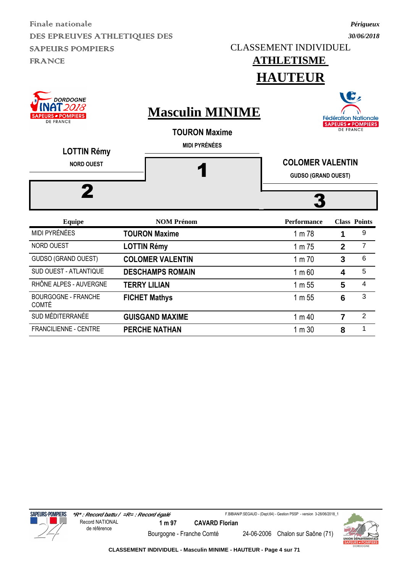#### **ATHLETISME HAUTEUR**

*Périgueux*

| <b>DORDOGNE</b><br>2018<br><b>URS - POMPIERS</b><br><b>DE FRANCE</b><br><b>LOTTIN Rémy</b><br><b>NORD OUEST</b> | <b>Masculin MINIME</b><br><b>TOURON Maxime</b><br><b>MIDI PYRÉNÉES</b> | ſz<br><b>Fédération Nationale</b><br><b>SAPEURS - POMPIERS</b><br><b>DE FRANCE</b><br><b>COLOMER VALENTIN</b><br><b>GUDSO (GRAND OUEST)</b> |                |                     |  |  |
|-----------------------------------------------------------------------------------------------------------------|------------------------------------------------------------------------|---------------------------------------------------------------------------------------------------------------------------------------------|----------------|---------------------|--|--|
| <b>Equipe</b>                                                                                                   | <b>NOM Prénom</b>                                                      | <b>Performance</b>                                                                                                                          |                | <b>Class Points</b> |  |  |
| MIDI PYRÉNÉES                                                                                                   | <b>TOURON Maxime</b>                                                   | 1 m 78                                                                                                                                      | 1              | 9                   |  |  |
| <b>NORD OUEST</b>                                                                                               | <b>LOTTIN Rémy</b>                                                     | 1 m 75                                                                                                                                      | $\mathbf{2}$   | $\overline{7}$      |  |  |
| <b>GUDSO (GRAND OUEST)</b>                                                                                      | <b>COLOMER VALENTIN</b>                                                | 1 m 70                                                                                                                                      | 3              | 6                   |  |  |
| <b>SUD OUEST - ATLANTIQUE</b>                                                                                   | <b>DESCHAMPS ROMAIN</b>                                                | 1 m 60                                                                                                                                      | 4              | 5                   |  |  |
| RHÔNE ALPES - AUVERGNE                                                                                          | <b>TERRY LILIAN</b>                                                    | 1 m 55                                                                                                                                      | 5              | $\overline{4}$      |  |  |
| <b>BOURGOGNE - FRANCHE</b><br><b>COMTÉ</b>                                                                      | <b>FICHET Mathys</b>                                                   | 1 m 55                                                                                                                                      | 6              | 3                   |  |  |
| SUD MÉDITERRANÉE                                                                                                | <b>GUISGAND MAXIME</b>                                                 | 1 m 40                                                                                                                                      | $\overline{7}$ | $\overline{2}$      |  |  |
| <b>FRANCILIENNE - CENTRE</b>                                                                                    | <b>PERCHE NATHAN</b>                                                   | 1 m 30                                                                                                                                      | 8              | 1                   |  |  |







**CLASSEMENT INDIVIDUEL - Masculin MINIME - HAUTEUR - Page 4 sur 71**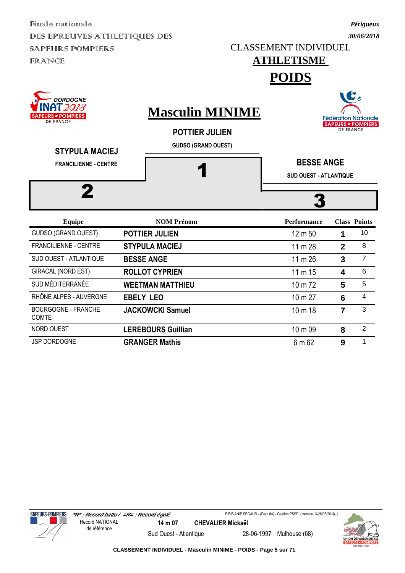CLASSEMENT INDIVIDUEL

## *30/06/2018*

*Périgueux*

#### **ATHLETISME POIDS**







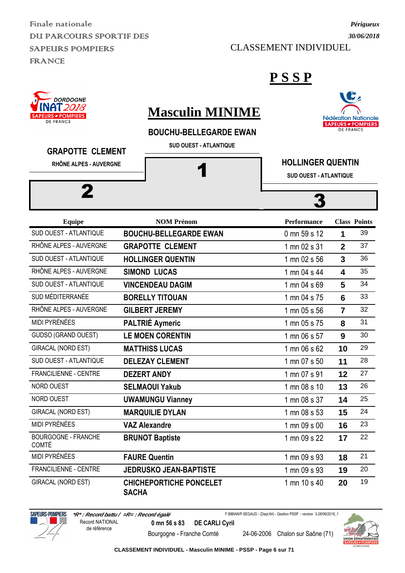Finale nationale DUI PARCOURS SPORTIF DES SAPEURS POMPIERS FRANCE

CLASSEMENT INDIVIDUEL

#### **P S S P**



### **Masculin MINIME**

#### **BOUCHU-BELLEGARDE EWAN**

**SUD OUEST - ATLANTIQUE**



#### **GRAPOTTE CLEMENT**

**RHÔNE ALPES - AUVERGNE**

2



#### **HOLLINGER QUENTIN**

**SUD OUEST - ATLANTIQUE**

3

| <b>Equipe</b>                              | <b>NOM Prénom</b>                              | <b>Performance</b> |                         | <b>Class Points</b> |
|--------------------------------------------|------------------------------------------------|--------------------|-------------------------|---------------------|
| SUD OUEST - ATLANTIQUE                     | <b>BOUCHU-BELLEGARDE EWAN</b>                  | 0 mn 59 s 12       | 1                       | 39                  |
| RHÔNE ALPES - AUVERGNE                     | <b>GRAPOTTE CLEMENT</b>                        | 1 mn 02 s 31       | $\overline{2}$          | 37                  |
| SUD OUEST - ATLANTIQUE                     | <b>HOLLINGER QUENTIN</b>                       | 1 mn 02 s 56       | $\overline{3}$          | 36                  |
| RHÔNE ALPES - AUVERGNE                     | <b>SIMOND LUCAS</b>                            | 1 mn 04 s 44       | $\overline{\mathbf{4}}$ | 35                  |
| SUD OUEST - ATLANTIQUE                     | <b>VINCENDEAU DAGIM</b>                        | 1 mn 04 s 69       | 5                       | 34                  |
| SUD MÉDITERRANÉE                           | <b>BORELLY TITOUAN</b>                         | 1 mn 04 s 75       | $6\phantom{1}6$         | 33                  |
| RHÔNE ALPES - AUVERGNE                     | <b>GILBERT JEREMY</b>                          | 1 mn 05 s 56       | $\overline{7}$          | 32                  |
| <b>MIDI PYRÉNÉES</b>                       | <b>PALTRIÉ Aymeric</b>                         | 1 mn 05 s 75       | 8                       | 31                  |
| GUDSO (GRAND OUEST)                        | <b>LE MOEN CORENTIN</b>                        | 1 mn 06 s 57       | 9                       | 30                  |
| <b>GIRACAL (NORD EST)</b>                  | <b>MATTHISS LUCAS</b>                          | 1 mn 06 s 62       | 10                      | 29                  |
| SUD OUEST - ATLANTIQUE                     | <b>DELEZAY CLEMENT</b>                         | 1 mn 07 s 50       | 11                      | 28                  |
| FRANCILIENNE - CENTRE                      | <b>DEZERT ANDY</b>                             | 1 mn 07 s 91       | 12                      | 27                  |
| NORD OUEST                                 | <b>SELMAOUI Yakub</b>                          | 1 mn 08 s 10       | 13                      | 26                  |
| NORD OUEST                                 | <b>UWAMUNGU Vianney</b>                        | 1 mn 08 s 37       | 14                      | 25                  |
| GIRACAL (NORD EST)                         | <b>MARQUILIE DYLAN</b>                         | 1 mn 08 s 53       | 15                      | 24                  |
| <b>MIDI PYRÉNÉES</b>                       | <b>VAZ Alexandre</b>                           | 1 mn 09 s 00       | 16                      | 23                  |
| <b>BOURGOGNE - FRANCHE</b><br><b>COMTÉ</b> | <b>BRUNOT Baptiste</b>                         | 1 mn 09 s 22       | 17                      | 22                  |
| MIDI PYRÉNÉES                              | <b>FAURE Quentin</b>                           | 1 mn 09 s 93       | 18                      | 21                  |
| FRANCILIENNE - CENTRE                      | <b>JEDRUSKO JEAN-BAPTISTE</b>                  | 1 mn 09 s 93       | 19                      | 20                  |
| <b>GIRACAL (NORD EST)</b>                  | <b>CHICHEPORTICHE PONCELET</b><br><b>SACHA</b> | 1 mn 10 s 40       | 20                      | 19                  |



F.BIBIAN/P.SEGAUD - (Dept.64) - Gestion PSSP - version 3-28/06/2018\_1

Bourgogne - Franche Comté 24-06-2006 Chalon sur Saône (71)

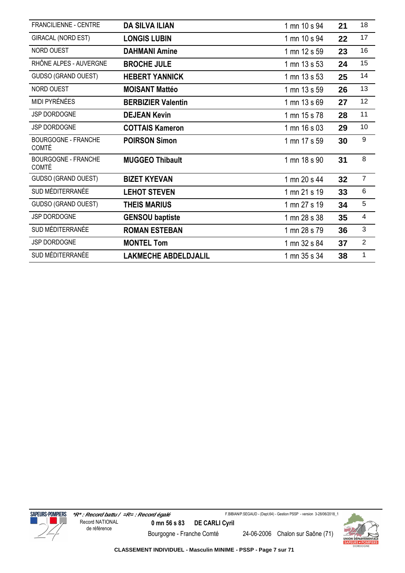| <b>FRANCILIENNE - CENTRE</b>               | <b>DA SILVA ILIAN</b>       | 1 mn 10 s 94 | 21 | 18                       |
|--------------------------------------------|-----------------------------|--------------|----|--------------------------|
| GIRACAL (NORD EST)                         | <b>LONGIS LUBIN</b>         | 1 mn 10 s 94 | 22 | 17                       |
| NORD OUEST                                 | <b>DAHMANI Amine</b>        | 1 mn 12 s 59 | 23 | 16                       |
| RHÔNE ALPES - AUVERGNE                     | <b>BROCHE JULE</b>          | 1 mn 13 s 53 | 24 | 15                       |
| GUDSO (GRAND OUEST)                        | <b>HEBERT YANNICK</b>       | 1 mn 13 s 53 | 25 | 14                       |
| NORD OUEST                                 | <b>MOISANT Mattéo</b>       | 1 mn 13 s 59 | 26 | 13                       |
| MIDI PYRÉNÉES                              | <b>BERBIZIER Valentin</b>   | 1 mn 13 s 69 | 27 | 12                       |
| JSP DORDOGNE                               | <b>DEJEAN Kevin</b>         | 1 mn 15 s 78 | 28 | 11                       |
| JSP DORDOGNE                               | <b>COTTAIS Kameron</b>      | 1 mn 16 s 03 | 29 | 10                       |
| <b>BOURGOGNE - FRANCHE</b><br><b>COMTÉ</b> | <b>POIRSON Simon</b>        | 1 mn 17 s 59 | 30 | 9                        |
| <b>BOURGOGNE - FRANCHE</b><br><b>COMTÉ</b> | <b>MUGGEO Thibault</b>      | 1 mn 18 s 90 | 31 | 8                        |
| GUDSO (GRAND OUEST)                        | <b>BIZET KYEVAN</b>         | 1 mn 20 s 44 | 32 | $\overline{7}$           |
| SUD MÉDITERRANÉE                           | <b>LEHOT STEVEN</b>         | 1 mn 21 s 19 | 33 | 6                        |
| <b>GUDSO (GRAND OUEST)</b>                 | <b>THEIS MARIUS</b>         | 1 mn 27 s 19 | 34 | 5                        |
| <b>JSP DORDOGNE</b>                        | <b>GENSOU baptiste</b>      | 1 mn 28 s 38 | 35 | $\overline{\mathcal{A}}$ |
| SUD MÉDITERRANÉE                           | <b>ROMAN ESTEBAN</b>        | 1 mn 28 s 79 | 36 | 3                        |
| JSP DORDOGNE                               | <b>MONTEL Tom</b>           | 1 mn 32 s 84 | 37 | $\overline{2}$           |
| SUD MÉDITERRANÉE                           | <b>LAKMECHE ABDELDJALIL</b> | 1 mn 35 s 34 | 38 | 1                        |



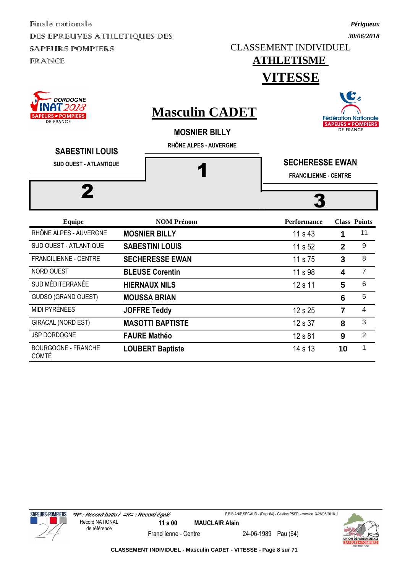CLASSEMENT INDIVIDUEL

### *30/06/2018*

*Périgueux*

#### **ATHLETISME VITESSE**





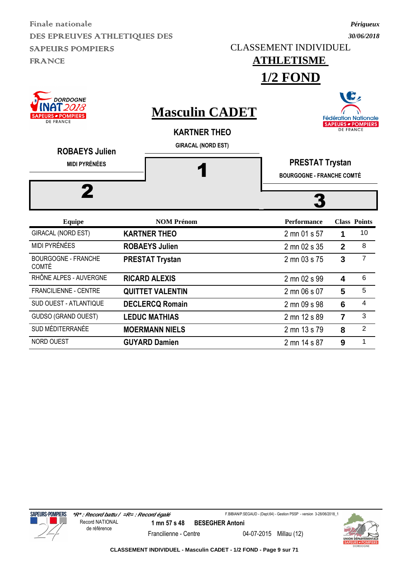CLASSEMENT INDIVIDUEL

**ATHLETISME** 

#### *30/06/2018*

*Périgueux*

|                                                                                           |                         |                                                                           | $1/2$ FOND                                                 |                         |                                                          |
|-------------------------------------------------------------------------------------------|-------------------------|---------------------------------------------------------------------------|------------------------------------------------------------|-------------------------|----------------------------------------------------------|
| <b>DORDOGNE</b><br>2018<br><b>S POMPIERS</b><br><b>DE FRANCE</b><br><b>ROBAEYS Julien</b> |                         | <b>Masculin CADET</b><br><b>KARTNER THEO</b><br><b>GIRACAL (NORD EST)</b> |                                                            | <b>DE FRANCE</b>        | <b>Fédération Nationale</b><br><b>SAPEURS - POMPIERS</b> |
| <b>MIDI PYRÉNÉES</b>                                                                      |                         |                                                                           | <b>PRESTAT Trystan</b><br><b>BOURGOGNE - FRANCHE COMTÉ</b> |                         |                                                          |
|                                                                                           |                         |                                                                           |                                                            |                         |                                                          |
| <b>Equipe</b>                                                                             |                         | <b>NOM Prénom</b>                                                         | <b>Performance</b>                                         |                         | <b>Class Points</b>                                      |
| <b>GIRACAL (NORD EST)</b>                                                                 | <b>KARTNER THEO</b>     |                                                                           | 2 mn 01 s 57                                               | 1                       | 10                                                       |
| MIDI PYRÉNÉES                                                                             | <b>ROBAEYS Julien</b>   |                                                                           | 2 mn 02 s 35                                               | $\overline{2}$          | 8                                                        |
| <b>BOURGOGNE - FRANCHE</b><br><b>COMTÉ</b>                                                | <b>PRESTAT Trystan</b>  |                                                                           | 2 mn 03 s 75                                               | 3                       | $\overline{7}$                                           |
| RHÔNE ALPES - AUVERGNE                                                                    | <b>RICARD ALEXIS</b>    |                                                                           | 2 mn 02 s 99                                               | $\overline{\mathbf{4}}$ | 6                                                        |
| <b>FRANCILIENNE - CENTRE</b>                                                              | <b>QUITTET VALENTIN</b> |                                                                           | 2 mn 06 s 07                                               | 5                       | 5                                                        |
| <b>SUD OUEST - ATLANTIQUE</b>                                                             | <b>DECLERCQ Romain</b>  |                                                                           | 2 mn 09 s 98                                               | 6                       | $\overline{4}$                                           |
| <b>GUDSO (GRAND OUEST)</b>                                                                | <b>LEDUC MATHIAS</b>    |                                                                           | 2 mn 12 s 89                                               | $\overline{7}$          | 3                                                        |
| SUD MÉDITERRANÉE                                                                          | <b>MOERMANN NIELS</b>   |                                                                           | 2 mn 13 s 79                                               | 8                       | $\overline{2}$                                           |

NORD OUEST **GUYARD Damien** 2 mn 14 s 87 **9** 1





**CLASSEMENT INDIVIDUEL - Masculin CADET - 1/2 FOND - Page 9 sur 71**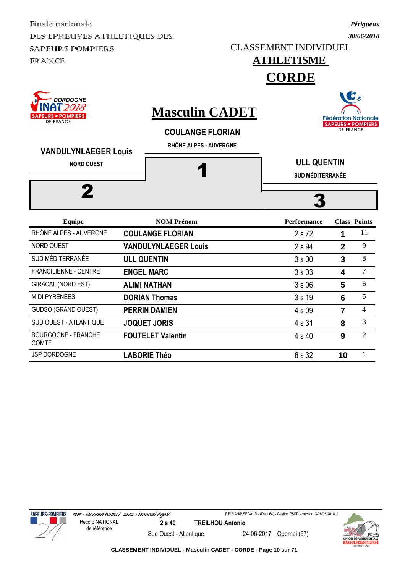CLASSEMENT INDIVIDUEL

### **ATHLETISME**

**CORDE**

| <b>DORDOGNE</b><br>018<br><b>SAPEURS - POMPIERS</b><br><b>DE FRANCE</b><br><b>VANDULYNLAEGER Louis</b><br><b>NORD OUEST</b><br>2 |  | <b>Masculin CADET</b><br><b>COULANGE FLORIAN</b><br>RHÔNE ALPES - AUVERGNE | W<br><b>Fédération Nationale</b><br><b>SAPEURS - POMPIERS</b><br><b>DE FRANCE</b> |                |                     |  |
|----------------------------------------------------------------------------------------------------------------------------------|--|----------------------------------------------------------------------------|-----------------------------------------------------------------------------------|----------------|---------------------|--|
|                                                                                                                                  |  |                                                                            | <b>ULL QUENTIN</b><br><b>SUD MÉDITERRANÉE</b>                                     |                |                     |  |
| <b>Equipe</b>                                                                                                                    |  | <b>NOM Prénom</b>                                                          | <b>Performance</b>                                                                |                | <b>Class Points</b> |  |
| RHÔNE ALPES - AUVERGNE                                                                                                           |  | <b>COULANGE FLORIAN</b>                                                    | 2 s 72                                                                            | 1              | 11                  |  |
| <b>NORD OUEST</b>                                                                                                                |  | <b>VANDULYNLAEGER Louis</b>                                                | 2 s 94                                                                            | $\overline{2}$ | 9                   |  |
| SUD MÉDITERRANÉE                                                                                                                 |  | <b>ULL QUENTIN</b>                                                         | 3s00                                                                              | 3              | 8                   |  |
| <b>FRANCILIENNE - CENTRE</b>                                                                                                     |  | <b>ENGEL MARC</b>                                                          | 3s03                                                                              | 4              | $\overline{7}$      |  |
| <b>GIRACAL (NORD EST)</b>                                                                                                        |  | <b>ALIMI NATHAN</b>                                                        | 3s06                                                                              | 5              | 6                   |  |
| <b>MIDI PYRÉNÉES</b>                                                                                                             |  | <b>DORIAN Thomas</b>                                                       | 3s19                                                                              | 6              | 5                   |  |
| <b>GUDSO (GRAND OUEST)</b>                                                                                                       |  | <b>PERRIN DAMIEN</b>                                                       | 4 s 09                                                                            | 7              | 4                   |  |
| <b>SUD OUEST - ATLANTIQUE</b>                                                                                                    |  | <b>JOQUET JORIS</b>                                                        | 4 s 31                                                                            | 8              | 3                   |  |
| <b>BOURGOGNE - FRANCHE</b><br><b>COMTÉ</b>                                                                                       |  | <b>FOUTELET Valentin</b>                                                   | 4 s 40                                                                            | 9              | $\overline{2}$      |  |

JSP DORDOGNE **LABORIE Théo** 6 s 32 **10** 1







**CLASSEMENT INDIVIDUEL - Masculin CADET - CORDE - Page 10 sur 71**

 $\rightarrow$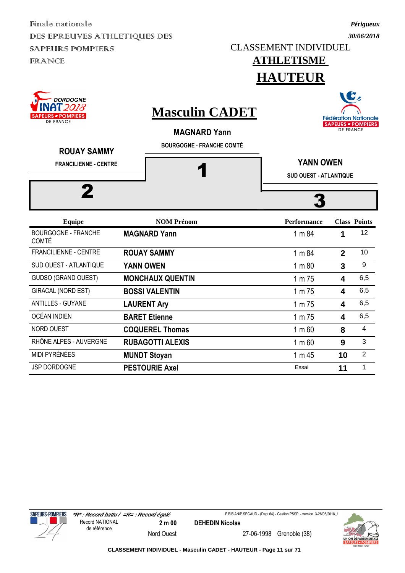CLASSEMENT INDIVIDUEL

#### *Périgueux 30/06/2018*



JSP DORDOGNE **PESTOURIE Axel PESTOURIE Axel Essai 11** 1



Nord Ouest 27-06-1998 Grenoble (38)

F.BIBIAN/P.SEGAUD - (Dept.64) - Gestion PSSP - version 3-28/06/2018\_1

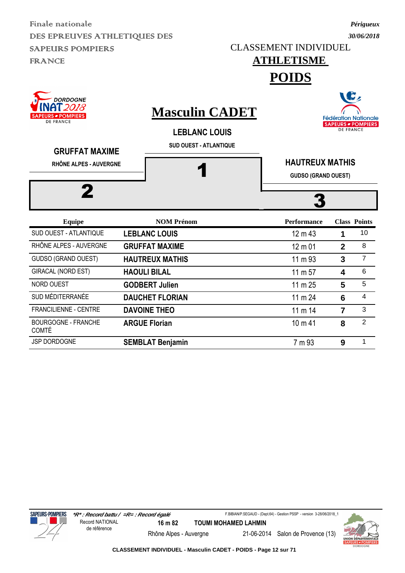CLASSEMENT INDIVIDUEL

### **ATHLETISME**

**POIDS**



JSP DORDOGNE **SEMBLAT Benjamin 1 1 1 1 1 1 1 9 1** 





**CLASSEMENT INDIVIDUEL - Masculin CADET - POIDS - Page 12 sur 71**







*Périgueux 30/06/2018*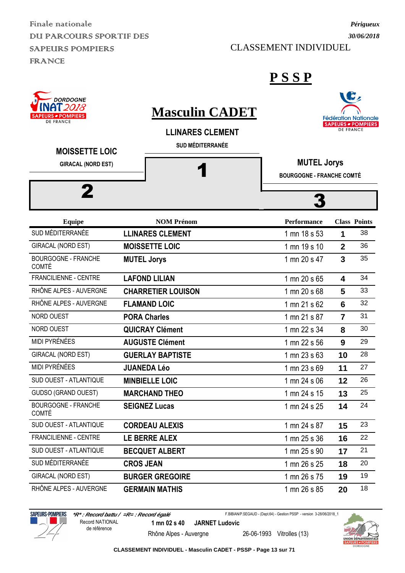Finale nationale DUI PARCOURS SPORTIF DES SAPEURS POMPIERS FRANCE

CLASSEMENT INDIVIDUEL

#### **P S S P**

| <b>DORDOGNE</b><br><b>NAT 2018</b><br><b>RS • POMPIERS</b><br><b>DE FRANCE</b> | <b>Masculin CADET</b><br><b>LLINARES CLEMENT</b><br><b>SUD MÉDITERRANÉE</b> |                                                        | <b>DE FRANCE</b>        | <b>Fédération Nationale</b><br><b>SAPEURS - POMPIERS</b> |
|--------------------------------------------------------------------------------|-----------------------------------------------------------------------------|--------------------------------------------------------|-------------------------|----------------------------------------------------------|
| <b>MOISSETTE LOIC</b><br><b>GIRACAL (NORD EST)</b>                             |                                                                             | <b>MUTEL Jorys</b><br><b>BOURGOGNE - FRANCHE COMTÉ</b> |                         |                                                          |
|                                                                                |                                                                             |                                                        |                         |                                                          |
| <b>Equipe</b>                                                                  | <b>NOM Prénom</b>                                                           | <b>Performance</b>                                     |                         | <b>Class Points</b>                                      |
| SUD MÉDITERRANÉE                                                               | <b>LLINARES CLEMENT</b>                                                     | 1 mn 18 s 53                                           | 1                       | 38                                                       |
| GIRACAL (NORD EST)                                                             | <b>MOISSETTE LOIC</b>                                                       | 1 mn 19 s 10                                           | $\overline{2}$          | 36                                                       |
| <b>BOURGOGNE - FRANCHE</b><br><b>COMTÉ</b>                                     | <b>MUTEL Jorys</b>                                                          | 1 mn 20 s 47                                           | 3                       | 35                                                       |
| FRANCILIENNE - CENTRE                                                          | <b>LAFOND LILIAN</b>                                                        | 1 mn 20 s 65                                           | $\overline{\mathbf{4}}$ | 34                                                       |
| RHÔNE ALPES - AUVERGNE                                                         | <b>CHARRETIER LOUISON</b>                                                   | 1 mn 20 s 68                                           | 5                       | 33                                                       |
| RHÔNE ALPES - AUVERGNE                                                         | <b>FLAMAND LOIC</b>                                                         | 1 mn 21 s 62                                           | 6                       | 32                                                       |
| NORD OUEST                                                                     | <b>PORA Charles</b>                                                         | 1 mn 21 s 87                                           | $\overline{7}$          | 31                                                       |
| NORD OUEST                                                                     | <b>QUICRAY Clément</b>                                                      | 1 mn 22 s 34                                           | 8                       | 30                                                       |
| <b>MIDI PYRÉNÉES</b>                                                           | <b>AUGUSTE Clément</b>                                                      | 1 mn 22 s 56                                           | 9                       | 29                                                       |
| GIRACAL (NORD EST)                                                             | <b>GUERLAY BAPTISTE</b>                                                     | 1 mn 23 s 63                                           | 10                      | 28                                                       |
| MIDI PYRÉNÉES                                                                  | <b>JUANEDA Léo</b>                                                          | 1 mn 23 s 69                                           | 11                      | 27                                                       |
| SUD OUEST - ATLANTIQUE                                                         | <b>MINBIELLE LOIC</b>                                                       | 1 mn 24 s 06                                           | 12                      | 26                                                       |
| <b>GUDSO (GRAND OUEST)</b>                                                     | <b>MARCHAND THEO</b>                                                        | 1 mn 24 s 15                                           | 13                      | 25                                                       |
| <b>BOURGOGNE - FRANCHE</b><br><b>COMTÉ</b>                                     | <b>SEIGNEZ Lucas</b>                                                        | 1 mn 24 s 25                                           | 14                      | 24                                                       |
| SUD OUEST - ATLANTIQUE                                                         | <b>CORDEAU ALEXIS</b>                                                       | 1 mn 24 s 87                                           | 15                      | 23                                                       |
| FRANCILIENNE - CENTRE                                                          | LE BERRE ALEX                                                               | 1 mn 25 s 36                                           | 16                      | 22                                                       |
| SUD OUEST - ATLANTIQUE                                                         | <b>BECQUET ALBERT</b>                                                       | 1 mn 25 s 90                                           | 17                      | 21                                                       |
| SUD MÉDITERRANÉE                                                               | <b>CROS JEAN</b>                                                            | 1 mn 26 s 25                                           | 18                      | 20                                                       |
| GIRACAL (NORD EST)                                                             | <b>BURGER GREGOIRE</b>                                                      | 1 mn 26 s 75                                           | 19                      | 19                                                       |
| RHÔNE ALPES - AUVERGNE                                                         | <b>GERMAIN MATHIS</b>                                                       | 1 mn 26 s 85                                           | 20                      | 18                                                       |

**SAPEURS-POMPIERS** 

 **\*R\* : Record battu / =R= : Record égalé 1 mn 02 s 40 JARNET Ludovic** Record NATIONAL de référence

F.BIBIAN/P.SEGAUD - (Dept.64) - Gestion PSSP - version 3-28/06/2018\_1

Rhône Alpes - Auvergne 26-06-1993 Vitrolles (13)

**CLASSEMENT INDIVIDUEL - Masculin CADET - PSSP - Page 13 sur 71**



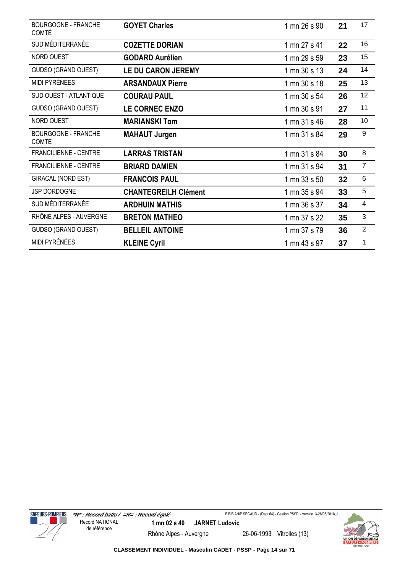| <b>BOURGOGNE - FRANCHE</b><br><b>COMTÉ</b> | <b>GOYET Charles</b>        | 1 mn 26 s 90 | 21 | 17             |
|--------------------------------------------|-----------------------------|--------------|----|----------------|
| SUD MÉDITERRANÉE                           | <b>COZETTE DORIAN</b>       | 1 mn 27 s 41 | 22 | 16             |
| NORD OUEST                                 | <b>GODARD Aurélien</b>      | 1 mn 29 s 59 | 23 | 15             |
| GUDSO (GRAND OUEST)                        | LE DU CARON JEREMY          | 1 mn 30 s 13 | 24 | 14             |
| MIDI PYRÉNÉES                              | <b>ARSANDAUX Pierre</b>     | 1 mn 30 s 18 | 25 | 13             |
| <b>SUD OUEST - ATLANTIQUE</b>              | <b>COURAU PAUL</b>          | 1 mn 30 s 54 | 26 | 12             |
| GUDSO (GRAND OUEST)                        | LE CORNEC ENZO              | 1 mn 30 s 91 | 27 | 11             |
| NORD OUEST                                 | <b>MARIANSKI Tom</b>        | 1 mn 31 s 46 | 28 | 10             |
| <b>BOURGOGNE - FRANCHE</b><br><b>COMTÉ</b> | <b>MAHAUT Jurgen</b>        | 1 mn 31 s 84 | 29 | $9\,$          |
| <b>FRANCILIENNE - CENTRE</b>               | <b>LARRAS TRISTAN</b>       | 1 mn 31 s 84 | 30 | 8              |
| <b>FRANCILIENNE - CENTRE</b>               | <b>BRIARD DAMIEN</b>        | 1 mn 31 s 94 | 31 | $\overline{7}$ |
| GIRACAL (NORD EST)                         | <b>FRANCOIS PAUL</b>        | 1 mn 33 s 50 | 32 | 6              |
| JSP DORDOGNE                               | <b>CHANTEGREILH Clément</b> | 1 mn 35 s 94 | 33 | 5              |
| SUD MÉDITERRANÉE                           | <b>ARDHUIN MATHIS</b>       | 1 mn 36 s 37 | 34 | 4              |
| RHÔNE ALPES - AUVERGNE                     | <b>BRETON MATHEO</b>        | 1 mn 37 s 22 | 35 | 3              |
| GUDSO (GRAND OUEST)                        | <b>BELLEIL ANTOINE</b>      | 1 mn 37 s 79 | 36 | $\overline{2}$ |
| MIDI PYRÉNÉES                              | <b>KLEINE Cyril</b>         | 1 mn 43 s 97 | 37 | 1              |



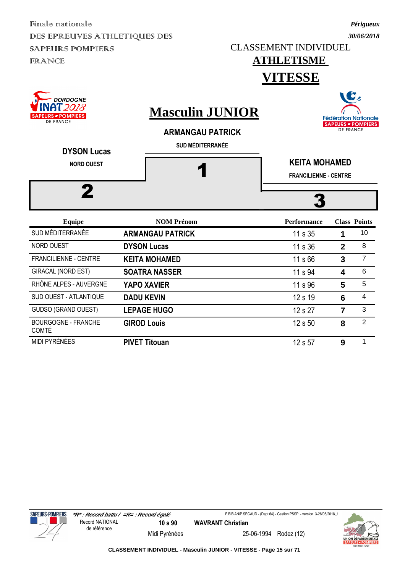CLASSEMENT INDIVIDUEL

### **ATHLETISME VITESSE**

| <b>DORDOGNE</b><br>018<br><b>SAPEURS - POMPIERS</b><br><b>DE FRANCE</b><br><b>DYSON Lucas</b> | <b>Masculin JUNIOR</b><br><b>ARMANGAU PATRICK</b><br><b>SUD MÉDITERRANÉE</b> |                                                      | <b>DE FRANCE</b> | <b>Fédération Nationale</b><br><b>SAPEURS - POMPIERS</b> |  |  |
|-----------------------------------------------------------------------------------------------|------------------------------------------------------------------------------|------------------------------------------------------|------------------|----------------------------------------------------------|--|--|
| <b>NORD OUEST</b><br>2                                                                        |                                                                              | <b>KEITA MOHAMED</b><br><b>FRANCILIENNE - CENTRE</b> |                  |                                                          |  |  |
| <b>Equipe</b>                                                                                 | <b>NOM Prénom</b>                                                            | <b>Performance</b>                                   |                  | <b>Class Points</b>                                      |  |  |
| SUD MÉDITERRANÉE                                                                              | <b>ARMANGAU PATRICK</b>                                                      | 11 s 35                                              |                  | 10                                                       |  |  |
| <b>NORD OUEST</b>                                                                             | <b>DYSON Lucas</b>                                                           | 11 s 36                                              | $\overline{2}$   | 8                                                        |  |  |
| <b>FRANCILIENNE - CENTRE</b>                                                                  | <b>KEITA MOHAMED</b>                                                         | 11 s 66                                              | 3                | $\overline{7}$                                           |  |  |
| <b>GIRACAL (NORD EST)</b>                                                                     | <b>SOATRA NASSER</b>                                                         | 11 s 94                                              | 4                | 6                                                        |  |  |
| RHÔNE ALPES - AUVERGNE                                                                        | <b>YAPO XAVIER</b>                                                           | 11 s 96                                              | $5\phantom{1}$   | 5                                                        |  |  |

SUD OUEST - ATLANTIQUE **DADU KEVIN 12 s 19 6** 4 GUDSO (GRAND OUEST) **LEPAGE HUGO** 12 s 27 <sup>3</sup>

MIDI PYRÉNÉES **PIVET Titouan** 12 s 57 **9** 1

**GIROD Louis** 12 s 50 **8** 2



BOURGOGNE - FRANCHE

COMTÉ

**SAPEURS-POMPIERS** 

F.BIBIAN/P.SEGAUD - (Dept.64) - Gestion PSSP - version 3-28/06/2018\_1



Midi Pyrénées 25-06-1994 Rodez (12)



*Périgueux 30/06/2018*

WG.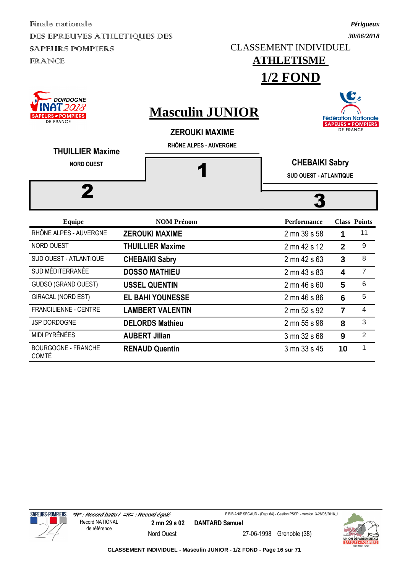*30/06/2018* CLASSEMENT INDIVIDUEL

**1/2 FOND**

## **ATHLETISME**

*Périgueux*

| DORDOGNE<br>018<br><b>POMPIERS</b><br>DE FRANCE<br><b>THUILLIER Maxime</b> | <b>Masculin JUNIOR</b><br><b>ZEROUKI MAXIME</b><br>RHÔNE ALPES - AUVERGNE |                               | <b>DE FRANCE</b>        | <b>Fédération Nationale</b><br><b>SAPEURS - POMPIERS</b> |  |
|----------------------------------------------------------------------------|---------------------------------------------------------------------------|-------------------------------|-------------------------|----------------------------------------------------------|--|
| <b>NORD OUEST</b>                                                          |                                                                           | <b>CHEBAIKI Sabry</b>         |                         |                                                          |  |
|                                                                            |                                                                           | <b>SUD OUEST - ATLANTIQUE</b> |                         |                                                          |  |
|                                                                            |                                                                           |                               |                         |                                                          |  |
| <b>Equipe</b>                                                              | <b>NOM Prénom</b>                                                         | <b>Performance</b>            |                         | <b>Class Points</b>                                      |  |
| RHÔNE ALPES - AUVERGNE                                                     | <b>ZEROUKI MAXIME</b>                                                     | 2 mn 39 s 58                  | 1                       | 11                                                       |  |
| NORD OUEST                                                                 | <b>THUILLIER Maxime</b>                                                   | 2 mn 42 s 12                  | $\overline{2}$          | 9                                                        |  |
| <b>SUD OUEST - ATLANTIQUE</b>                                              | <b>CHEBAIKI Sabry</b>                                                     | 2 mn 42 s 63                  | 3                       | 8                                                        |  |
| SUD MÉDITERRANÉE                                                           | <b>DOSSO MATHIEU</b>                                                      | 2 mn 43 s 83                  | $\overline{\mathbf{4}}$ | $\overline{7}$                                           |  |
| GUDSO (GRAND OUEST)                                                        | <b>USSEL QUENTIN</b>                                                      | 2 mn 46 s 60                  | 5                       | 6                                                        |  |
| <b>GIRACAL (NORD EST)</b>                                                  | <b>EL BAHI YOUNESSE</b>                                                   | 2 mn 46 s 86                  | 6                       | 5                                                        |  |
| <b>FRANCILIENNE - CENTRE</b>                                               | <b>LAMBERT VALENTIN</b>                                                   | 2 mn 52 s 92                  | 7                       | 4                                                        |  |
| <b>JSP DORDOGNE</b>                                                        | <b>DELORDS Mathieu</b>                                                    | 2 mn 55 s 98                  | 8                       | 3                                                        |  |
| <b>MIDI PYRÉNÉES</b>                                                       | <b>AUBERT Jilian</b>                                                      | 3 mn 32 s 68                  | 9                       | $\overline{2}$                                           |  |

**RENAUD Quentin** 3 mn 33 s 45 **10** <sup>1</sup>





BOURGOGNE - FRANCHE

COMTÉ

Nord Ouest 27-06-1998 Grenoble (38)

F.BIBIAN/P.SEGAUD - (Dept.64) - Gestion PSSP - version 3-28/06/2018\_1

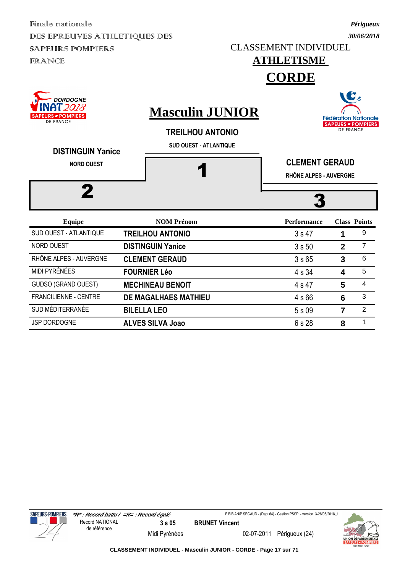CLASSEMENT INDIVIDUEL

**ATHLETISME** 

### *30/06/2018*

*Périgueux*

| <b>DORDOGNE</b><br>2018<br><b>SAPEURS - POMPIERS</b><br><b>DE FRANCE</b><br><b>DISTINGUIN Yanice</b><br><b>NORD OUEST</b> |  |                                                                                    | <b>CORDE</b>                                    |                  |                                                                |
|---------------------------------------------------------------------------------------------------------------------------|--|------------------------------------------------------------------------------------|-------------------------------------------------|------------------|----------------------------------------------------------------|
|                                                                                                                           |  | <b>Masculin JUNIOR</b><br><b>TREILHOU ANTONIO</b><br><b>SUD OUEST - ATLANTIQUE</b> |                                                 | <b>DE FRANCE</b> | B,<br><b>Fédération Nationale</b><br><b>SAPEURS - POMPIERS</b> |
|                                                                                                                           |  |                                                                                    | <b>CLEMENT GERAUD</b><br>RHÔNE ALPES - AUVERGNE |                  |                                                                |
| 2                                                                                                                         |  |                                                                                    |                                                 |                  |                                                                |
| <b>Equipe</b>                                                                                                             |  | <b>NOM Prénom</b>                                                                  | <b>Performance</b>                              |                  | <b>Class Points</b>                                            |
| SUD OUEST - ATLANTIQUE                                                                                                    |  | <b>TREILHOU ANTONIO</b>                                                            | 3s47                                            | 1                | 9                                                              |
| <b>NORD OUEST</b>                                                                                                         |  | <b>DISTINGUIN Yanice</b>                                                           | 3s50                                            | $\overline{2}$   | $\overline{7}$                                                 |
| RHÔNE ALPES - AUVERGNE                                                                                                    |  | <b>CLEMENT GERAUD</b>                                                              | 3s65                                            | 3                | 6                                                              |

MIDI PYRÉNÉES **FOURNIER Léo** 4 s 34 **4** 5 GUDSO (GRAND OUEST) **MECHINEAU BENOIT** 4 s 47 5 4 FRANCILIENNE - CENTRE **DE MAGALHAES MATHIEU** 4 s 66 6 <sup>3</sup> SUD MÉDITERRANÉE **BILELLA LEO** 5 s 09 **7** <sup>2</sup> JSP DORDOGNE **ALVES SILVA Joao** 6 s 28 8 1





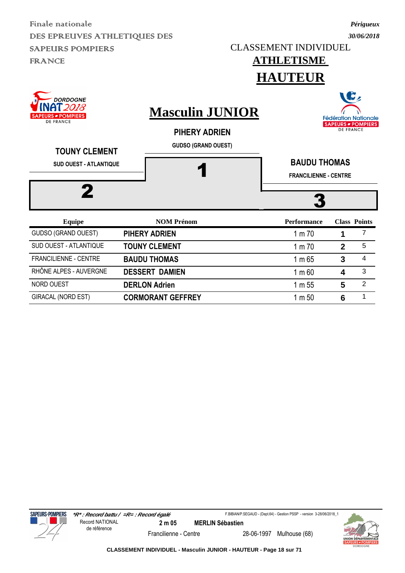CLASSEMENT INDIVIDUEL

**ATHLETISME** 

**HAUTER** 

### *30/06/2018*

*Périgueux*

|                                                                                                  |  | HAUTEUK                                                                      |                                                     |                  |                                                                            |
|--------------------------------------------------------------------------------------------------|--|------------------------------------------------------------------------------|-----------------------------------------------------|------------------|----------------------------------------------------------------------------|
| <b>DORDOGNE</b><br>2018<br><b>SAPEURS - POMPIERS</b><br><b>DE FRANCE</b><br><b>TOUNY CLEMENT</b> |  | <b>Masculin JUNIOR</b><br><b>PIHERY ADRIEN</b><br><b>GUDSO (GRAND OUEST)</b> |                                                     | <b>DE FRANCE</b> | $\mathbf{G}_2$<br><b>Fédération Nationale</b><br><b>SAPEURS - POMPIERS</b> |
| <b>SUD OUEST - ATLANTIQUE</b>                                                                    |  |                                                                              | <b>BAUDU THOMAS</b><br><b>FRANCILIENNE - CENTRE</b> |                  |                                                                            |
|                                                                                                  |  |                                                                              |                                                     |                  |                                                                            |
| <b>Equipe</b>                                                                                    |  | <b>NOM Prénom</b>                                                            | <b>Performance</b>                                  |                  | <b>Class Points</b><br>7                                                   |
| GUDSO (GRAND OUEST)                                                                              |  | PIHERY ADRIEN                                                                | 1 m 70                                              |                  |                                                                            |
| SUD OUEST - ATLANTIQUE                                                                           |  | <b>TOUNY CLEMENT</b>                                                         | 1 m 70                                              | $\overline{2}$   | $\overline{5}$                                                             |
| <b>FRANCILIENNE - CENTRE</b>                                                                     |  | <b>BAUDU THOMAS</b>                                                          | 1 m 65                                              | $\overline{3}$   | 4                                                                          |
| RHÔNE ALPES - AUVERGNE                                                                           |  | <b>DESSERT DAMIEN</b>                                                        | $1 \text{ m} 60$                                    | 4                | 3                                                                          |
| <b>NORD OUEST</b>                                                                                |  | <b>DERLON Adrien</b>                                                         | 1 m 55                                              | 5                | $\overline{2}$                                                             |

GIRACAL (NORD EST) **CORMORANT GEFFREY** 1 m 50 **6** <sup>1</sup>



Francilienne - Centre 28-06-1997 Mulhouse (68)

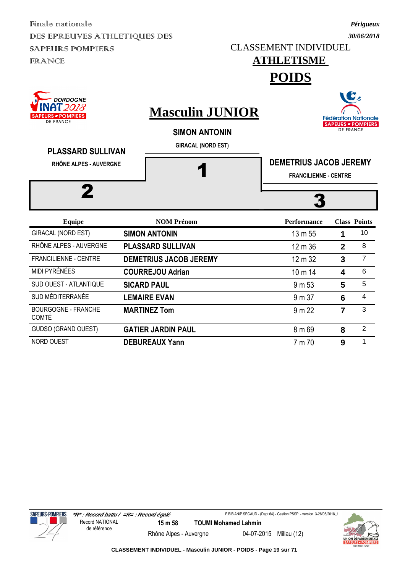CLASSEMENT INDIVIDUEL

## **ATHLETISME**

**POIDS**



NORD OUEST **DEBUREAUX Yann 1 1 1 1 1 9 1** 







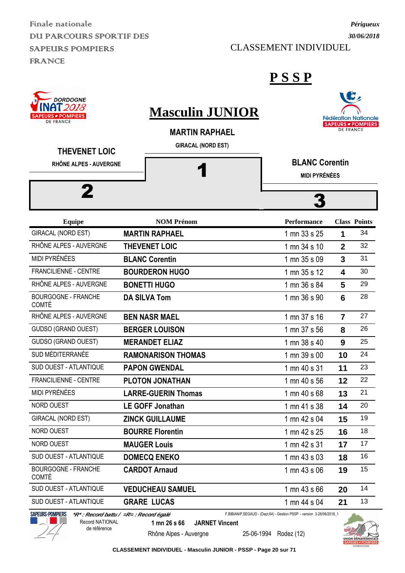Finale nationale DUI PARCOURS SPORTIF DES SAPEURS POMPIERS FRANCE

*30/06/2018*

*Périgueux*

LC,

#### CLASSEMENT INDIVIDUEL

**DORDOGNE** 

**P S S P**

| <b>VINAT 2018</b><br><b>SAPEURS - POMPIERS</b><br><b>DE FRANCE</b> | <b>Masculin JUNIOR</b><br><b>MARTIN RAPHAEL</b><br><b>GIRACAL (NORD EST)</b> |                                               | <b>DE FRANCE</b> | <b>Fédération Nationale</b><br><b>SAPEURS - POMPIERS</b> |
|--------------------------------------------------------------------|------------------------------------------------------------------------------|-----------------------------------------------|------------------|----------------------------------------------------------|
| <b>THEVENET LOIC</b><br>RHÔNE ALPES - AUVERGNE                     |                                                                              | <b>BLANC Corentin</b><br><b>MIDI PYRÉNÉES</b> |                  |                                                          |
| 2                                                                  |                                                                              |                                               |                  |                                                          |
| <b>Equipe</b>                                                      | <b>NOM Prénom</b>                                                            | <b>Performance</b>                            |                  | <b>Class Points</b>                                      |
| <b>GIRACAL (NORD EST)</b>                                          | <b>MARTIN RAPHAEL</b>                                                        | 1 mn 33 s 25                                  | 1                | 34                                                       |
| RHÔNE ALPES - AUVERGNE                                             | <b>THEVENET LOIC</b>                                                         | 1 mn 34 s 10                                  | $\mathbf{2}$     | 32                                                       |
| <b>MIDI PYRÉNÉES</b>                                               | <b>BLANC Corentin</b>                                                        | 1 mn 35 s 09                                  | 3                | 31                                                       |
| <b>FRANCILIENNE - CENTRE</b>                                       | <b>BOURDERON HUGO</b>                                                        | 1 mn 35 s 12                                  | 4                | 30                                                       |
| RHÔNE ALPES - AUVERGNE                                             | <b>BONETTI HUGO</b>                                                          | 1 mn 36 s 84                                  | 5                | 29                                                       |
| <b>BOURGOGNE - FRANCHE</b><br><b>COMTÉ</b>                         | <b>DA SILVA Tom</b>                                                          | 1 mn 36 s 90                                  | 6                | 28                                                       |
| RHÔNE ALPES - AUVERGNE                                             | <b>BEN NASR MAEL</b>                                                         | 1 mn 37 s 16                                  | $\overline{7}$   | 27                                                       |
| <b>GUDSO (GRAND OUEST)</b>                                         | <b>BERGER LOUISON</b>                                                        | 1 mn 37 s 56                                  | 8                | 26                                                       |
| <b>GUDSO (GRAND OUEST)</b>                                         | <b>MERANDET ELIAZ</b>                                                        | 1 mn 38 s 40                                  | 9                | 25                                                       |
| SUD MÉDITERRANÉE                                                   | <b>RAMONARISON THOMAS</b>                                                    | 1 mn 39 s 00                                  | 10               | 24                                                       |
| SUD OUEST - ATLANTIQUE                                             | <b>PAPON GWENDAL</b>                                                         | 1 mn 40 s 31                                  | 11               | 23                                                       |
| <b>FRANCILIENNE - CENTRE</b>                                       | <b>PLOTON JONATHAN</b>                                                       | 1 mn 40 s 56                                  | 12               | 22                                                       |
| MIDI PYRÉNÉES                                                      | <b>LARRE-GUERIN Thomas</b>                                                   | 1 mn 40 s 68                                  | 13               | 21                                                       |
| NORD OUEST                                                         | <b>LE GOFF Jonathan</b>                                                      | 1 mn 41 s 38                                  | 14               | 20                                                       |
| <b>GIRACAL (NORD EST)</b>                                          | <b>ZINCK GUILLAUME</b>                                                       | 1 mn 42 s 04                                  | 15               | 19                                                       |
| NORD OUEST                                                         | <b>BOURRE Florentin</b>                                                      | 1 mn 42 s 25                                  | 16               | 18                                                       |
| NORD OUEST                                                         | <b>MAUGER Louis</b>                                                          | 1 mn 42 s 31                                  | 17               | 17                                                       |
| SUD OUEST - ATLANTIQUE                                             | <b>DOMECQ ENEKO</b>                                                          | 1 mn 43 s 03                                  | 18               | 16                                                       |
| <b>BOURGOGNE - FRANCHE</b><br><b>COMTÉ</b>                         | <b>CARDOT Arnaud</b>                                                         | 1 mn 43 s 06                                  | 19               | 15                                                       |
| SUD OUEST - ATLANTIQUE                                             | <b>VEDUCHEAU SAMUEL</b>                                                      | 1 mn 43 s 66                                  | 20               | 14                                                       |
| SUD OUEST - ATLANTIQUE                                             | <b>GRARE LUCAS</b>                                                           | 1 mn 44 s 04                                  | 21               | 13                                                       |
|                                                                    |                                                                              |                                               |                  |                                                          |



de référence

F.BIBIAN/P.SEGAUD - (Dept.64) - Gestion PSSP - version 3-28/06/2018\_1

**1 mn 26 s 66 JARNET Vincent**

Rhône Alpes - Auvergne 25-06-1994 Rodez (12)



**CLASSEMENT INDIVIDUEL - Masculin JUNIOR - PSSP - Page 20 sur 71**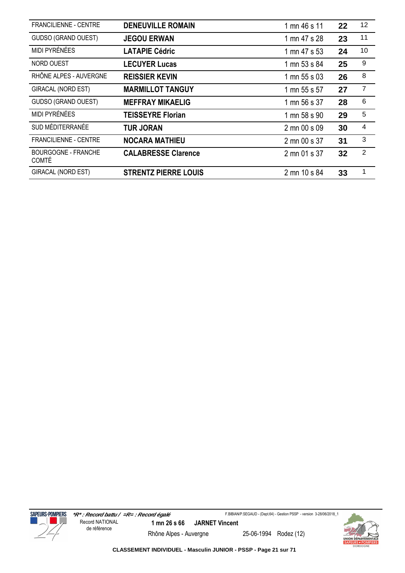| <b>FRANCILIENNE - CENTRE</b>               | <b>DENEUVILLE ROMAIN</b>    | 1 mn 46 s 11 | 22 | 12             |
|--------------------------------------------|-----------------------------|--------------|----|----------------|
| <b>GUDSO (GRAND OUEST)</b>                 | <b>JEGOU ERWAN</b>          | 1 mn 47 s 28 | 23 | 11             |
| MIDI PYRÉNÉES                              | <b>LATAPIE Cédric</b>       | 1 mn 47 s 53 | 24 | 10             |
| <b>NORD OUEST</b>                          | <b>LECUYER Lucas</b>        | 1 mn 53 s 84 | 25 | 9              |
| RHÔNE ALPES - AUVERGNE                     | <b>REISSIER KEVIN</b>       | 1 mn 55 s 03 | 26 | 8              |
| GIRACAL (NORD EST)                         | <b>MARMILLOT TANGUY</b>     | 1 mn 55 s 57 | 27 | $\overline{7}$ |
| <b>GUDSO (GRAND OUEST)</b>                 | <b>MEFFRAY MIKAELIG</b>     | 1 mn 56 s 37 | 28 | 6              |
| MIDI PYRÉNÉES                              | <b>TEISSEYRE Florian</b>    | 1 mn 58 s 90 | 29 | 5              |
| SUD MÉDITERRANÉE                           | <b>TUR JORAN</b>            | 2 mn 00 s 09 | 30 | 4              |
| <b>FRANCILIENNE - CENTRE</b>               | <b>NOCARA MATHIEU</b>       | 2 mn 00 s 37 | 31 | 3              |
| <b>BOURGOGNE - FRANCHE</b><br><b>COMTÉ</b> | <b>CALABRESSE Clarence</b>  | 2 mn 01 s 37 | 32 | $\overline{2}$ |
| <b>GIRACAL (NORD EST)</b>                  | <b>STRENTZ PIERRE LOUIS</b> | 2 mn 10 s 84 | 33 | 1              |



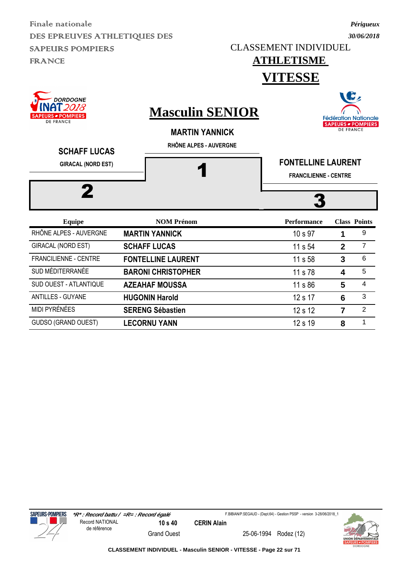CLASSEMENT INDIVIDUEL

*Périgueux 30/06/2018*

 $\overline{\phantom{a}}$ 

#### **ATHLETISME VITESSE**

| <b>DORDOGNE</b><br><b>SAPEURS - POMPIERS</b><br><b>DE FRANCE</b><br><b>SCHAFF LUCAS</b><br><b>GIRACAL (NORD EST)</b> | <b>Masculin SENIOR</b><br><b>MARTIN YANNICK</b><br>RHÔNE ALPES - AUVERGNE | <b>FONTELLINE LAURENT</b><br><b>FRANCILIENNE - CENTRE</b> |                | <b>SPA</b><br><b>Fédération Nationale</b><br><b>SAPEURS - POMPIERS</b><br><b>DE FRANCE</b> |  |
|----------------------------------------------------------------------------------------------------------------------|---------------------------------------------------------------------------|-----------------------------------------------------------|----------------|--------------------------------------------------------------------------------------------|--|
|                                                                                                                      | <b>NOM Prénom</b>                                                         | <b>Performance</b>                                        |                | <b>Class Points</b>                                                                        |  |
| <b>Equipe</b><br>RHÔNE ALPES - AUVERGNE                                                                              | <b>MARTIN YANNICK</b>                                                     | 10 s 97                                                   | 1              | 9                                                                                          |  |
|                                                                                                                      |                                                                           |                                                           |                |                                                                                            |  |
| <b>GIRACAL (NORD EST)</b>                                                                                            | <b>SCHAFF LUCAS</b>                                                       | 11 s 54                                                   | $\overline{2}$ | $\overline{7}$                                                                             |  |
| FRANCILIENNE - CENTRE                                                                                                | <b>FONTELLINE LAURENT</b>                                                 | 11 s 58                                                   | 3              | 6                                                                                          |  |
| SUD MÉDITERRANÉE                                                                                                     | <b>BARONI CHRISTOPHER</b>                                                 | 11 s 78                                                   | 4              | 5                                                                                          |  |
| SUD OUEST - ATLANTIQUE                                                                                               | <b>AZEAHAF MOUSSA</b>                                                     | 11 s 86                                                   | 5              | 4                                                                                          |  |
| <b>ANTILLES - GUYANE</b>                                                                                             | <b>HUGONIN Harold</b>                                                     | 12 s 17                                                   | 6              | 3                                                                                          |  |
| MIDI PYRÉNÉES                                                                                                        | <b>SERENG Sébastien</b>                                                   | 12 s 12                                                   | 7              | $\overline{2}$                                                                             |  |

GUDSO (GRAND OUEST) **LECORNU YANN** 12 s 19 8 1



Grand Ouest 25-06-1994 Rodez (12)

F.BIBIAN/P.SEGAUD - (Dept.64) - Gestion PSSP - version 3-28/06/2018\_1

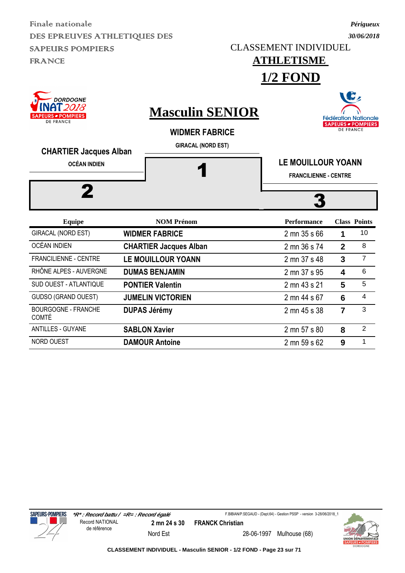*30/06/2018* CLASSEMENT INDIVIDUEL

**1/2 FOND**

## **ATHLETISME**

*Périgueux*

W.

| <b>INAT2018</b><br><b>SAPEURS - POMPIERS</b><br><b>DE FRANCE</b><br><b>CHARTIER Jacques Alban</b><br><b>OCÉAN INDIEN</b><br>2 | <b>Masculin SENIOR</b><br><b>WIDMER FABRICE</b><br><b>GIRACAL (NORD EST)</b> | <b>Fédération Nationale</b><br><b>SAPEURS - POMPIERS</b><br><b>DE FRANCE</b><br><b>LE MOUILLOUR YOANN</b><br><b>FRANCILIENNE - CENTRE</b> |                |                     |  |
|-------------------------------------------------------------------------------------------------------------------------------|------------------------------------------------------------------------------|-------------------------------------------------------------------------------------------------------------------------------------------|----------------|---------------------|--|
| <b>Equipe</b>                                                                                                                 | <b>NOM Prénom</b>                                                            | <b>Performance</b>                                                                                                                        |                | <b>Class Points</b> |  |
| <b>GIRACAL (NORD EST)</b>                                                                                                     | <b>WIDMER FABRICE</b>                                                        | 2 mn 35 s 66                                                                                                                              | 1              | 10                  |  |
| <b>OCÉAN INDIEN</b>                                                                                                           | <b>CHARTIER Jacques Alban</b>                                                | 2 mn 36 s 74                                                                                                                              | $\overline{2}$ | 8                   |  |
| <b>FRANCILIENNE - CENTRE</b>                                                                                                  | <b>LE MOUILLOUR YOANN</b>                                                    | 2 mn 37 s 48                                                                                                                              | $\overline{3}$ | $\overline{7}$      |  |
| RHÔNE ALPES - AUVERGNE                                                                                                        | <b>DUMAS BENJAMIN</b>                                                        | 2 mn 37 s 95                                                                                                                              | 4              | 6                   |  |
| SUD OUEST - ATLANTIQUE                                                                                                        | <b>PONTIER Valentin</b>                                                      | 2 mn 43 s 21                                                                                                                              | 5              | 5                   |  |
| <b>GUDSO (GRAND OUEST)</b>                                                                                                    | <b>JUMELIN VICTORIEN</b>                                                     | 2 mn 44 s 67                                                                                                                              | 6              | 4                   |  |
| <b>BOURGOGNE - FRANCHE</b><br><b>COMTÉ</b>                                                                                    | <b>DUPAS Jérémy</b>                                                          | 2 mn 45 s 38                                                                                                                              | $\overline{7}$ | 3                   |  |
| <b>ANTILLES - GUYANE</b>                                                                                                      | <b>SABLON Xavier</b>                                                         | 2 mn 57 s 80                                                                                                                              | 8              | $\overline{2}$      |  |
| <b>NORD OUEST</b>                                                                                                             | <b>DAMOUR Antoine</b>                                                        | 2 mn 59 s 62                                                                                                                              | 9              | 1                   |  |



**SAPEURS-POMPIERS** 

Nord Est 28-06-1997 Mulhouse (68)

F.BIBIAN/P.SEGAUD - (Dept.64) - Gestion PSSP - version 3-28/06/2018\_1

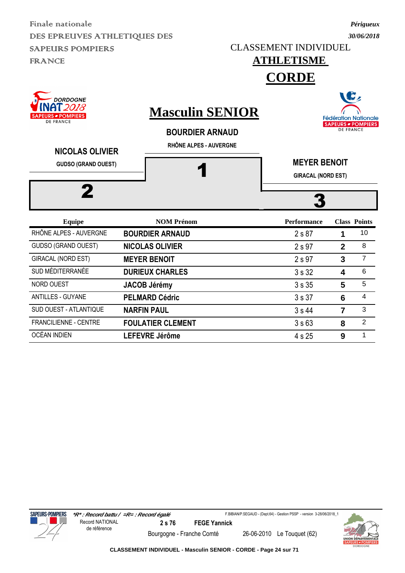CLASSEMENT INDIVIDUEL

*Périgueux 30/06/2018*

## **ATHLETISME**

**CORDE**

| <b>DORDOGNE</b><br>' 2018<br><b>SAPEURS - POMPIERS</b><br><b>DE FRANCE</b> | <b>Masculin SENIOR</b><br><b>BOURDIER ARNAUD</b><br>RHÔNE ALPES - AUVERGNE |                                                  |                | <b>Fédération Nationale</b><br><b>SAPEURS - POMPIERS</b><br><b>DE FRANCE</b> |
|----------------------------------------------------------------------------|----------------------------------------------------------------------------|--------------------------------------------------|----------------|------------------------------------------------------------------------------|
| <b>NICOLAS OLIVIER</b><br><b>GUDSO (GRAND OUEST)</b>                       |                                                                            | <b>MEYER BENOIT</b><br><b>GIRACAL (NORD EST)</b> |                |                                                                              |
| <b>Equipe</b>                                                              | <b>NOM Prénom</b>                                                          | <b>Performance</b>                               |                | <b>Class Points</b>                                                          |
| RHÔNE ALPES - AUVERGNE                                                     | <b>BOURDIER ARNAUD</b>                                                     | 2 s 87                                           | 1              | 10                                                                           |
| <b>GUDSO (GRAND OUEST)</b>                                                 | <b>NICOLAS OLIVIER</b>                                                     | 2 s 97                                           | $\overline{2}$ | 8                                                                            |
| <b>GIRACAL (NORD EST)</b>                                                  | <b>MEYER BENOIT</b>                                                        | 2 s 97                                           | 3              | $\overline{7}$                                                               |
| SUD MÉDITERRANÉE                                                           | <b>DURIEUX CHARLES</b>                                                     | 3s32                                             | 4              | 6                                                                            |
| <b>NORD OUEST</b>                                                          | <b>JACOB Jérémy</b>                                                        | 3s35                                             | 5              | 5                                                                            |
| <b>ANTILLES - GUYANE</b>                                                   | <b>PELMARD Cédric</b>                                                      | 3s37                                             | 6              | 4                                                                            |
| <b>SUD OUEST - ATLANTIQUE</b>                                              | <b>NARFIN PAUL</b>                                                         | 3s44                                             | 7              | 3                                                                            |

FRANCILIENNE - CENTRE **FOULATIER CLEMENT** 3 s 63 8 2 OCÉAN INDIEN **LEFEVRE Jérôme 1 4** s 25 **9** <sup>1</sup>

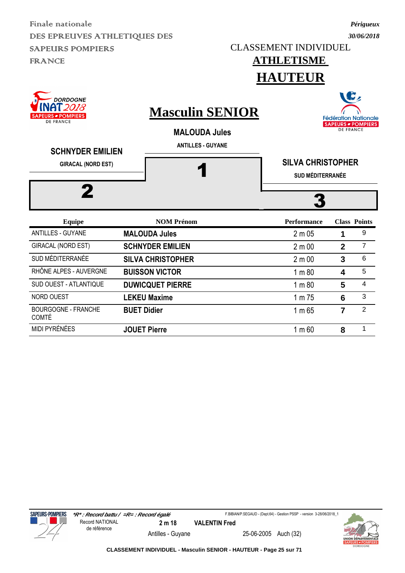**ATHLETISME**  CLASSEMENT INDIVIDUEL

### *30/06/2018*

*Périgueux*

|                                                                        |                                                                            | <b>HAUTEUR</b>                                      |                  |                                                                |  |
|------------------------------------------------------------------------|----------------------------------------------------------------------------|-----------------------------------------------------|------------------|----------------------------------------------------------------|--|
| <b>DORDOGNE</b><br>2018<br><b>PEURS - POMPIERS</b><br><b>DE FRANCE</b> | <b>Masculin SENIOR</b><br><b>MALOUDA Jules</b><br><b>ANTILLES - GUYANE</b> |                                                     | <b>DE FRANCE</b> | G,<br><b>Fédération Nationale</b><br><b>SAPEURS - POMPIERS</b> |  |
| <b>SCHNYDER EMILIEN</b><br><b>GIRACAL (NORD EST)</b>                   |                                                                            | <b>SILVA CHRISTOPHER</b><br><b>SUD MÉDITERRANÉE</b> |                  |                                                                |  |
| <b>Equipe</b>                                                          | <b>NOM Prénom</b>                                                          | <b>Performance</b>                                  |                  | <b>Class Points</b>                                            |  |
| <b>ANTILLES - GUYANE</b>                                               | <b>MALOUDA Jules</b>                                                       | $2 \text{ m} 05$                                    | 1                | 9                                                              |  |
| GIRACAL (NORD EST)                                                     | <b>SCHNYDER EMILIEN</b>                                                    | 2 m 00                                              | $\overline{2}$   | $\overline{7}$                                                 |  |
| SUD MÉDITERRANÉE                                                       | <b>SILVA CHRISTOPHER</b>                                                   | 2 m 00                                              | 3                | 6                                                              |  |
| RHÔNE ALPES - AUVERGNE                                                 | <b>BUISSON VICTOR</b>                                                      | 1 m 80                                              | 4                | 5                                                              |  |
| SUD OUEST - ATLANTIQUE                                                 | <b>DUWICQUET PIERRE</b>                                                    | 1 m 80                                              | 5                | 4                                                              |  |
| NORD OUEST                                                             | <b>LEKEU Maxime</b>                                                        | 1 m 75                                              | 6                | 3                                                              |  |
|                                                                        |                                                                            |                                                     |                  |                                                                |  |





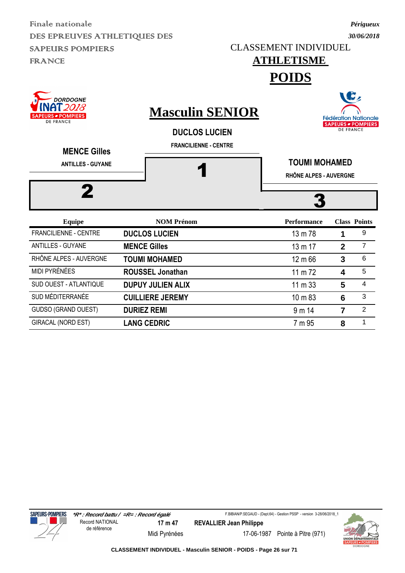CLASSEMENT INDIVIDUEL

# **ATHLETISME**

*Périgueux 30/06/2018*

**POIDS**

| <b>DORDOGNE</b><br>T 2018<br><b>SAPEURS - POMPIERS</b><br><b>DE FRANCE</b><br><b>MENCE Gilles</b> | <b>Masculin SENIOR</b><br><b>DUCLOS LUCIEN</b><br><b>FRANCILIENNE - CENTRE</b> |                                                |              | <b>Fédération Nationale</b><br><b>SAPEURS - POMPIERS</b><br><b>DE FRANCE</b> |  |
|---------------------------------------------------------------------------------------------------|--------------------------------------------------------------------------------|------------------------------------------------|--------------|------------------------------------------------------------------------------|--|
| <b>ANTILLES - GUYANE</b>                                                                          |                                                                                | <b>TOUMI MOHAMED</b><br>RHÔNE ALPES - AUVERGNE |              |                                                                              |  |
| 2                                                                                                 |                                                                                |                                                |              |                                                                              |  |
| <b>Equipe</b>                                                                                     | <b>NOM Prénom</b>                                                              | <b>Performance</b>                             |              | <b>Class Points</b>                                                          |  |
| <b>FRANCILIENNE - CENTRE</b>                                                                      | <b>DUCLOS LUCIEN</b>                                                           | 13 m 78                                        | 1            | 9                                                                            |  |
| <b>ANTILLES - GUYANE</b>                                                                          | <b>MENCE Gilles</b>                                                            | 13 m 17                                        | $\mathbf{2}$ | $\overline{7}$                                                               |  |
| RHÔNE ALPES - AUVERGNE                                                                            | <b>TOUMI MOHAMED</b>                                                           | 12 m 66                                        | 3            | 6                                                                            |  |
| MIDI PYRÉNÉES                                                                                     | <b>ROUSSEL Jonathan</b>                                                        | 11 m $72$                                      | 4            | 5                                                                            |  |
| SUD OUEST - ATLANTIQUE                                                                            | <b>DUPUY JULIEN ALIX</b>                                                       | $11 \text{ m } 33$                             | 5            | 4                                                                            |  |
| SUD MÉDITERRANÉE                                                                                  | <b>CUILLIERE JEREMY</b>                                                        | $10 \text{ m } 83$                             | 6            | 3                                                                            |  |
| <b>GUDSO (GRAND OUEST)</b>                                                                        | <b>DURIEZ REMI</b>                                                             | 9 m 14                                         | 7            | $\overline{2}$                                                               |  |

GIRACAL (NORD EST) **LANG CEDRIC** 7 m 95 **8** <sup>1</sup>





Midi Pyrénées 17-06-1987 Pointe à Pitre (971)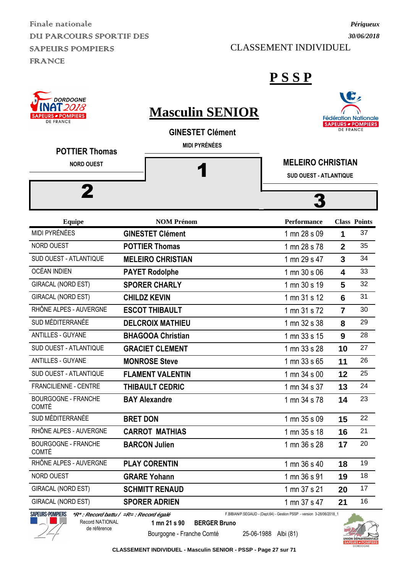Finale nationale DU PARCOURS SPORTIF DES SAPEURS POMPIERS FRANCE

#### CLASSEMENT INDIVIDUEL

*Périgueux*

| DORDOGNE<br><b>S</b> POMPIERS<br><b>DE FRANCE</b><br><b>POTTIER Thomas</b> |                 | <b>Masculin SENIOR</b><br><b>GINESTET Clément</b><br><b>MIDI PYRÉNÉES</b> |                                                                       | <b>DE FRANCE</b> | <b>Fédération National</b><br><b>SAPEURS - POMPIERS</b> |
|----------------------------------------------------------------------------|-----------------|---------------------------------------------------------------------------|-----------------------------------------------------------------------|------------------|---------------------------------------------------------|
| <b>NORD OUEST</b>                                                          |                 |                                                                           | <b>MELEIRO CHRISTIAN</b>                                              |                  |                                                         |
|                                                                            |                 |                                                                           | <b>SUD OUEST - ATLANTIQUE</b>                                         |                  |                                                         |
|                                                                            |                 |                                                                           |                                                                       |                  |                                                         |
|                                                                            |                 |                                                                           |                                                                       |                  |                                                         |
| <b>Equipe</b>                                                              |                 | <b>NOM Prénom</b>                                                         | <b>Performance</b>                                                    |                  | <b>Class Points</b>                                     |
| <b>MIDI PYRÉNÉES</b>                                                       |                 | <b>GINESTET Clément</b>                                                   | 1 mn 28 s 09                                                          | 1                | 37                                                      |
| NORD OUEST                                                                 |                 | <b>POTTIER Thomas</b>                                                     | 1 mn 28 s 78                                                          | $\overline{2}$   | 35                                                      |
| SUD OUEST - ATLANTIQUE                                                     |                 | <b>MELEIRO CHRISTIAN</b>                                                  | 1 mn 29 s 47                                                          | $\overline{3}$   | 34                                                      |
| OCÉAN INDIEN                                                               |                 | <b>PAYET Rodolphe</b>                                                     | 1 mn 30 s 06                                                          | 4                | 33                                                      |
| GIRACAL (NORD EST)                                                         |                 | <b>SPORER CHARLY</b>                                                      | 1 mn 30 s 19                                                          | 5                | 32                                                      |
| GIRACAL (NORD EST)                                                         |                 | <b>CHILDZ KEVIN</b>                                                       | 1 mn 31 s 12                                                          | 6                | 31                                                      |
| RHÔNE ALPES - AUVERGNE                                                     |                 | <b>ESCOT THIBAULT</b>                                                     | 1 mn 31 s 72                                                          | $\overline{7}$   | 30                                                      |
| SUD MÉDITERRANÉE                                                           |                 | <b>DELCROIX MATHIEU</b>                                                   | 1 mn 32 s 38                                                          | 8                | 29                                                      |
| <b>ANTILLES - GUYANE</b>                                                   |                 | <b>BHAGOOA Christian</b>                                                  | 1 mn 33 s 15                                                          | 9                | 28                                                      |
| SUD OUEST - ATLANTIQUE                                                     |                 | <b>GRACIET CLEMENT</b>                                                    | 1 mn 33 s 28                                                          | 10               | 27                                                      |
| <b>ANTILLES - GUYANE</b>                                                   |                 | <b>MONROSE Steve</b>                                                      | 1 mn 33 s 65                                                          | 11               | 26                                                      |
| SUD OUEST - ATLANTIQUE                                                     |                 | <b>FLAMENT VALENTIN</b>                                                   | 1 mn 34 s 00                                                          | 12               | 25                                                      |
| <b>FRANCILIENNE - CENTRE</b>                                               |                 | <b>THIBAULT CEDRIC</b>                                                    | 1 mn 34 s 37                                                          | 13               | 24                                                      |
| <b>BOURGOGNE - FRANCHE</b><br><b>COMTÉ</b>                                 |                 | <b>BAY Alexandre</b>                                                      | 1 mn 34 s 78                                                          | 14               | 23                                                      |
| SUD MÉDITERRANÉE                                                           | <b>BRET DON</b> |                                                                           | 1 mn 35 s 09                                                          | 15               | 22                                                      |
| RHÔNE ALPES - AUVERGNE                                                     |                 | <b>CARROT MATHIAS</b>                                                     | 1 mn 35 s 18                                                          | 16               | 21                                                      |
| <b>BOURGOGNE - FRANCHE</b><br><b>COMTÉ</b>                                 |                 | <b>BARCON Julien</b>                                                      | 1 mn 36 s 28                                                          | 17               | 20                                                      |
| RHÔNE ALPES - AUVERGNE                                                     |                 | <b>PLAY CORENTIN</b>                                                      | 1 mn 36 s 40                                                          | 18               | 19                                                      |
| NORD OUEST                                                                 |                 | <b>GRARE Yohann</b>                                                       | 1 mn 36 s 91                                                          | 19               | 18                                                      |
| <b>GIRACAL (NORD EST)</b>                                                  |                 | <b>SCHMITT RENAUD</b>                                                     | 1 mn 37 s 21                                                          | 20               | 17                                                      |
| <b>GIRACAL (NORD EST)</b>                                                  |                 | <b>SPORER ADRIEN</b>                                                      | 1 mn 37 s 47                                                          | 21               | 16                                                      |
| SAPEURS-POMPIERS<br>*R* : Record battu / =R= : Record égalé                |                 |                                                                           | F.BIBIAN/P.SEGAUD - (Dept.64) - Gestion PSSP - version 3-28/06/2018_1 |                  |                                                         |



de référence

Bourgogne - Franche Comté 25-06-1988 Albi (81)

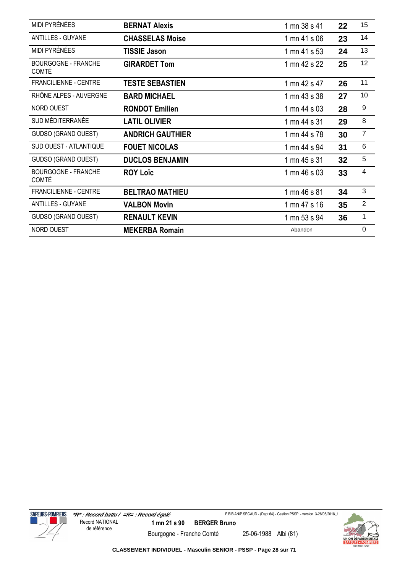| <b>MIDI PYRÉNÉES</b>                       | <b>BERNAT Alexis</b>    | 1 mn 38 s 41 | 22 | 15             |
|--------------------------------------------|-------------------------|--------------|----|----------------|
| ANTILLES - GUYANE                          | <b>CHASSELAS Moise</b>  | 1 mn 41 s 06 | 23 | 14             |
| MIDI PYRÉNÉES                              | <b>TISSIE Jason</b>     | 1 mn 41 s 53 | 24 | 13             |
| <b>BOURGOGNE - FRANCHE</b><br><b>COMTÉ</b> | <b>GIRARDET Tom</b>     | 1 mn 42 s 22 | 25 | 12             |
| FRANCILIENNE - CENTRE                      | <b>TESTE SEBASTIEN</b>  | 1 mn 42 s 47 | 26 | 11             |
| RHÔNE ALPES - AUVERGNE                     | <b>BARD MICHAEL</b>     | 1 mn 43 s 38 | 27 | 10             |
| NORD OUEST                                 | <b>RONDOT Emilien</b>   | 1 mn 44 s 03 | 28 | 9              |
| SUD MÉDITERRANÉE                           | <b>LATIL OLIVIER</b>    | 1 mn 44 s 31 | 29 | 8              |
| <b>GUDSO (GRAND OUEST)</b>                 | <b>ANDRICH GAUTHIER</b> | 1 mn 44 s 78 | 30 | $\overline{7}$ |
| <b>SUD OUEST - ATLANTIQUE</b>              | <b>FOUET NICOLAS</b>    | 1 mn 44 s 94 | 31 | 6              |
| GUDSO (GRAND OUEST)                        | <b>DUCLOS BENJAMIN</b>  | 1 mn 45 s 31 | 32 | 5              |
| <b>BOURGOGNE - FRANCHE</b><br><b>COMTÉ</b> | <b>ROY Loïc</b>         | 1 mn 46 s 03 | 33 | 4              |
| <b>FRANCILIENNE - CENTRE</b>               | <b>BELTRAO MATHIEU</b>  | 1 mn 46 s 81 | 34 | 3              |
| <b>ANTILLES - GUYANE</b>                   | <b>VALBON Movin</b>     | 1 mn 47 s 16 | 35 | $\overline{2}$ |
| GUDSO (GRAND OUEST)                        | <b>RENAULT KEVIN</b>    | 1 mn 53 s 94 | 36 | $\mathbf 1$    |
| NORD OUEST                                 | <b>MEKERBA Romain</b>   | Abandon      |    | $\mathbf 0$    |



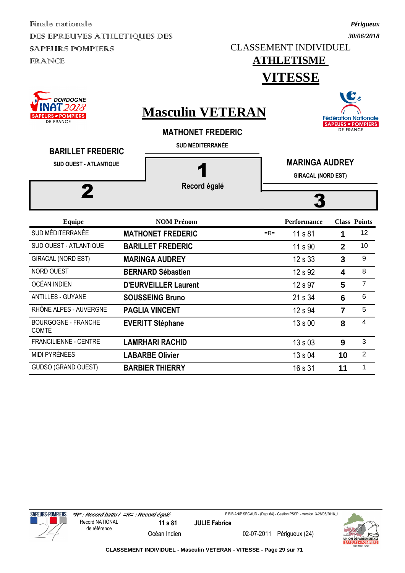*Périgueux*

 $\overline{\phantom{a}}$ 

#### **ATHLETISME VITESSE**

| <b>DORDOGNE</b><br><b>URS - POMPIERS</b><br><b>DE FRANCE</b><br><b>BARILLET FREDERIC</b><br><b>SUD OUEST - ATLANTIQUE</b> |  | <b>Masculin VETERAN</b><br><b>MATHONET FREDERIC</b><br><b>SUD MÉDITERRANÉE</b> |       | $\sqrt{2}$<br><b>Fédération Nationale</b><br>SAPEURS - POMPIERS<br><b>DE FRANCE</b> |                |                     |  |  |
|---------------------------------------------------------------------------------------------------------------------------|--|--------------------------------------------------------------------------------|-------|-------------------------------------------------------------------------------------|----------------|---------------------|--|--|
|                                                                                                                           |  | Record égalé                                                                   |       | <b>MARINGA AUDREY</b><br><b>GIRACAL (NORD EST)</b>                                  |                |                     |  |  |
|                                                                                                                           |  |                                                                                |       |                                                                                     |                |                     |  |  |
| <b>Equipe</b>                                                                                                             |  | <b>NOM Prénom</b>                                                              |       | <b>Performance</b>                                                                  |                | <b>Class Points</b> |  |  |
| SUD MÉDITERRANÉE                                                                                                          |  | <b>MATHONET FREDERIC</b>                                                       | $=R=$ | 11 s 81                                                                             | 1              | 12                  |  |  |
| SUD OUEST - ATLANTIQUE                                                                                                    |  | <b>BARILLET FREDERIC</b>                                                       |       | 11 s 90                                                                             | $\overline{2}$ | 10                  |  |  |
| <b>GIRACAL (NORD EST)</b>                                                                                                 |  | <b>MARINGA AUDREY</b>                                                          |       | 12 s 33                                                                             | $\mathbf{3}$   | 9                   |  |  |
| NORD OUEST                                                                                                                |  | <b>BERNARD Sébastien</b>                                                       |       | 12 s 92                                                                             | 4              | 8                   |  |  |
| <b>OCÉAN INDIEN</b>                                                                                                       |  | <b>D'EURVEILLER Laurent</b>                                                    |       | 12 s 97                                                                             | 5              | $\overline{7}$      |  |  |
| <b>ANTILLES - GUYANE</b>                                                                                                  |  | <b>SOUSSEING Bruno</b>                                                         |       | 21 s 34                                                                             | 6              | 6                   |  |  |
| RHÔNE ALPES - AUVERGNE                                                                                                    |  | <b>PAGLIA VINCENT</b>                                                          |       | 12 s 94                                                                             | $\overline{7}$ | 5                   |  |  |
| <b>BOURGOGNE - FRANCHE</b><br><b>COMTÉ</b>                                                                                |  | <b>EVERITT Stéphane</b>                                                        |       | 13 s 00                                                                             | 8              | $\overline{4}$      |  |  |
| <b>FRANCILIENNE - CENTRE</b>                                                                                              |  | <b>LAMRHARI RACHID</b>                                                         |       | 13s03                                                                               | 9              | 3                   |  |  |
| <b>MIDI PYRÉNÉES</b>                                                                                                      |  | <b>LABARBE Olivier</b>                                                         |       | 13 s 04                                                                             | 10             | $\overline{2}$      |  |  |
| <b>GUDSO (GRAND OUEST)</b>                                                                                                |  | <b>BARBIER THIERRY</b>                                                         |       | 16 s 31                                                                             | 11             | 1                   |  |  |



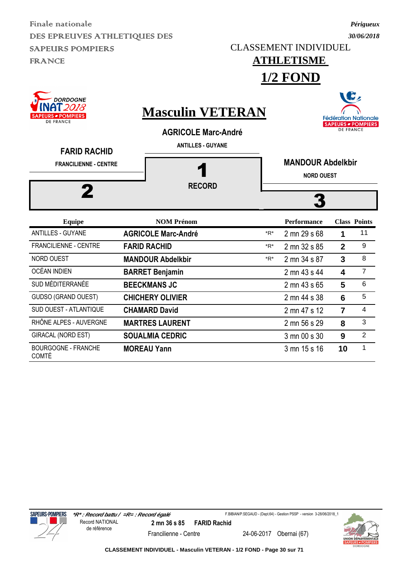*Périgueux*

#### **ATHLETISME 1/2 FOND**

| <b>DORDOGNE</b><br>2018<br><i>■</i> POMPIERS<br>DE FRANCE<br><b>FARID RACHID</b> | <b>Masculin VETERAN</b><br><b>AGRICOLE Marc-André</b><br><b>ANTILLES - GUYANE</b> |       |                                               | <b>DE FRANCE</b>        | <b>Fédération Nationale</b><br><b>SAPEURS - POMPIERS</b> |
|----------------------------------------------------------------------------------|-----------------------------------------------------------------------------------|-------|-----------------------------------------------|-------------------------|----------------------------------------------------------|
| <b>FRANCILIENNE - CENTRE</b>                                                     | <b>RECORD</b>                                                                     |       | <b>MANDOUR Abdelkbir</b><br><b>NORD OUEST</b> |                         |                                                          |
| <b>Equipe</b>                                                                    | <b>NOM Prénom</b>                                                                 |       | <b>Performance</b>                            |                         | <b>Class Points</b>                                      |
| <b>ANTILLES - GUYANE</b>                                                         | <b>AGRICOLE Marc-André</b>                                                        | $*R*$ | 2 mn 29 s 68                                  | 1                       | 11                                                       |
| <b>FRANCILIENNE - CENTRE</b>                                                     | <b>FARID RACHID</b>                                                               | $*R*$ | 2 mn 32 s 85                                  | $\overline{2}$          | 9                                                        |
| <b>NORD OUEST</b>                                                                | <b>MANDOUR Abdelkbir</b>                                                          | $*R*$ | 2 mn 34 s 87                                  | $\overline{3}$          | 8                                                        |
| <b>OCÉAN INDIEN</b>                                                              | <b>BARRET Benjamin</b>                                                            |       | 2 mn 43 s 44                                  | $\overline{\mathbf{A}}$ | $\overline{7}$                                           |
| SUD MÉDITERRANÉE                                                                 | <b>BEECKMANS JC</b>                                                               |       | 2 mn 43 s 65                                  | 5                       | $6\phantom{1}6$                                          |
| GUDSO (GRAND OUEST)                                                              | <b>CHICHERY OLIVIER</b>                                                           |       | 2 mn 44 s 38                                  | 6                       | 5                                                        |
| SUD OUEST - ATLANTIQUE                                                           | <b>CHAMARD David</b>                                                              |       | 2 mn 47 s 12                                  | $\overline{7}$          | $\overline{4}$                                           |
| RHÔNE ALPES - AUVERGNE                                                           | <b>MARTRES LAURENT</b>                                                            |       | 2 mn 56 s 29                                  | 8                       | 3                                                        |
| <b>GIRACAL (NORD EST)</b>                                                        | <b>SOUALMIA CEDRIC</b>                                                            |       | 3 mn 00 s 30                                  | 9                       | $\overline{2}$                                           |
| <b>BOURGOGNE - FRANCHE</b><br><b>COMTÉ</b>                                       | <b>MOREAU Yann</b>                                                                |       | 3 mn 15 s 16                                  | 10                      | 1                                                        |



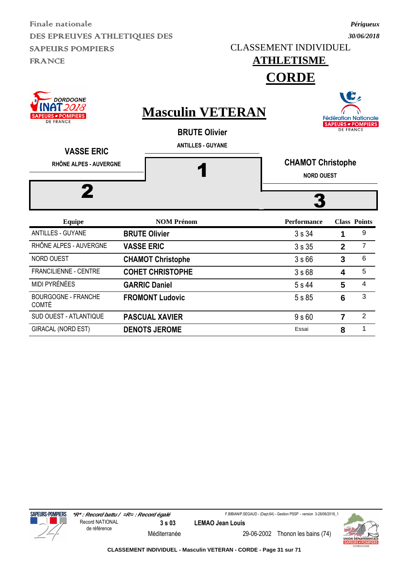CLASSEMENT INDIVIDUEL

**ATHLETISME** 

#### *Périgueux 30/06/2018*

|                                                                     |                                                 | <b>CORDE</b>                                  |                 |                                                                              |
|---------------------------------------------------------------------|-------------------------------------------------|-----------------------------------------------|-----------------|------------------------------------------------------------------------------|
| <b>DORDOGNE</b><br>' 2018<br>RS <b>POMPIERS</b><br><b>DE FRANCE</b> | <b>Masculin VETERAN</b><br><b>BRUTE Olivier</b> |                                               |                 | <b>Fédération Nationale</b><br><b>SAPEURS - POMPIERS</b><br><b>DE FRANCE</b> |
| <b>VASSE ERIC</b><br>RHÔNE ALPES - AUVERGNE                         | <b>ANTILLES - GUYANE</b>                        | <b>CHAMOT Christophe</b><br><b>NORD OUEST</b> |                 |                                                                              |
| <b>Equipe</b>                                                       | <b>NOM Prénom</b>                               | <b>Performance</b>                            |                 | <b>Class Points</b>                                                          |
| <b>ANTILLES - GUYANE</b>                                            | <b>BRUTE Olivier</b>                            | 3s34                                          | 1               | 9                                                                            |
| RHÔNE ALPES - AUVERGNE                                              | <b>VASSE ERIC</b>                               | 3s35                                          | $\mathbf{2}$    | $\overline{7}$                                                               |
| NORD OUEST                                                          | <b>CHAMOT Christophe</b>                        | 3s66                                          | $\overline{3}$  | 6                                                                            |
| <b>FRANCILIENNE - CENTRE</b>                                        | <b>COHET CHRISTOPHE</b>                         | 3s68                                          | 4               | 5                                                                            |
| MIDI PYRÉNÉES                                                       | <b>GARRIC Daniel</b>                            | 5 s 44                                        | 5               | 4                                                                            |
| <b>BOURGOGNE - FRANCHE</b><br><b>COMTÉ</b>                          | <b>FROMONT Ludovic</b>                          | 5 s 85                                        | $6\phantom{1}6$ | 3                                                                            |
| SUD OUEST - ATLANTIQUE                                              | <b>PASCUAL XAVIER</b>                           | 9 <sub>s</sub> 60                             | $\overline{7}$  | $\overline{2}$                                                               |

GIRACAL (NORD EST) **DENOTS JEROME ESSAI** Essai **8** 1



F.BIBIAN/P.SEGAUD - (Dept.64) - Gestion PSSP - version 3-28/06/2018\_1



Méditerranée 29-06-2002 Thonon les bains (74)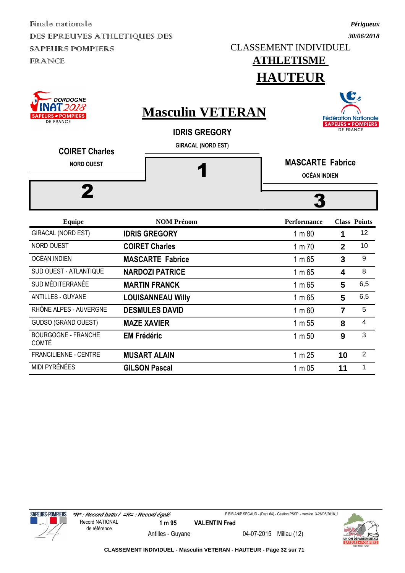*30/06/2018* CLASSEMENT INDIVIDUEL

## **ATHLETISME**

*Périgueux*





F.BIBIAN/P.SEGAUD - (Dept.64) - Gestion PSSP - version 3-28/06/2018\_1



Antilles - Guyane 04-07-2015 Millau (12)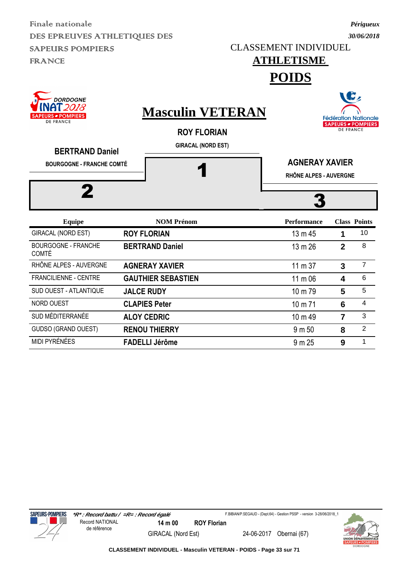CLASSEMENT INDIVIDUEL

# **ATHLETISME**

*Périgueux 30/06/2018*

**POIDS**



MIDI PYRÉNÉES **FADELLI Jérôme 1 9 m** 25 **9** 1

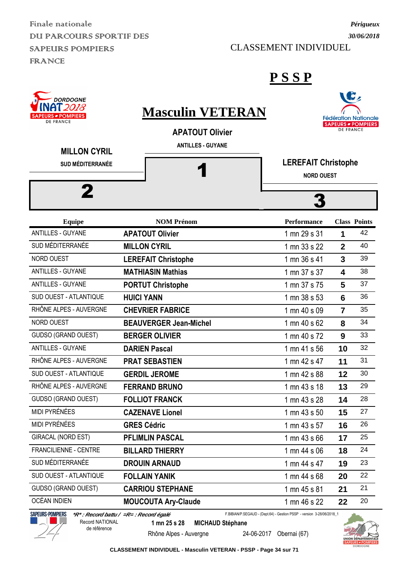Finale nationale DU PARCOURS SPORTIF DES SAPEURS POMPIERS FRANCE

#### CLASSEMENT INDIVIDUEL

#### **P S S P**

| <b>DORDOGNE</b><br>NAT 2018<br><b>JRS <i>■</i> POMPIERS</b><br><b>DE FRANCE</b> | <b>Masculin VETERAN</b><br><b>APATOUT Olivier</b> |                                                                       | <b>DE FRANCE</b>                                | ш<br><b>Fédération Nationale</b><br><b>SAPEURS - POMPIERS</b> |  |  |
|---------------------------------------------------------------------------------|---------------------------------------------------|-----------------------------------------------------------------------|-------------------------------------------------|---------------------------------------------------------------|--|--|
| <b>MILLON CYRIL</b><br><b>SUD MÉDITERRANÉE</b>                                  | <b>ANTILLES - GUYANE</b>                          |                                                                       | <b>LEREFAIT Christophe</b><br><b>NORD OUEST</b> |                                                               |  |  |
| 2                                                                               |                                                   |                                                                       |                                                 |                                                               |  |  |
| <b>Equipe</b>                                                                   | <b>NOM Prénom</b>                                 | Performance                                                           |                                                 | <b>Class Points</b>                                           |  |  |
| <b>ANTILLES - GUYANE</b>                                                        | <b>APATOUT Olivier</b>                            | 1 mn 29 s 31                                                          | 1                                               | 42                                                            |  |  |
| SUD MÉDITERRANÉE                                                                | <b>MILLON CYRIL</b>                               | 1 mn 33 s 22                                                          | $\overline{2}$                                  | 40                                                            |  |  |
| NORD OUEST                                                                      | <b>LEREFAIT Christophe</b>                        | 1 mn 36 s 41                                                          | 3                                               | 39                                                            |  |  |
| <b>ANTILLES - GUYANE</b>                                                        | <b>MATHIASIN Mathias</b>                          | 1 mn 37 s 37                                                          | 4                                               | 38                                                            |  |  |
| <b>ANTILLES - GUYANE</b>                                                        | <b>PORTUT Christophe</b>                          | 1 mn 37 s 75                                                          | 5                                               | 37                                                            |  |  |
| SUD OUEST - ATLANTIQUE                                                          | <b>HUICI YANN</b>                                 | 1 mn 38 s 53                                                          | 6                                               | 36                                                            |  |  |
| RHÔNE ALPES - AUVERGNE                                                          | <b>CHEVRIER FABRICE</b>                           | 1 mn 40 s 09                                                          | $\overline{7}$                                  | 35                                                            |  |  |
| NORD OUEST                                                                      | <b>BEAUVERGER Jean-Michel</b>                     | 1 mn 40 s 62                                                          | 8                                               | 34                                                            |  |  |
| <b>GUDSO (GRAND OUEST)</b>                                                      | <b>BERGER OLIVIER</b>                             | 1 mn 40 s 72                                                          | 9                                               | 33                                                            |  |  |
| ANTILLES - GUYANE                                                               | <b>DARIEN Pascal</b>                              | 1 mn 41 s 56                                                          | 10                                              | 32                                                            |  |  |
| RHÔNE ALPES - AUVERGNE                                                          | <b>PRAT SEBASTIEN</b>                             | 1 mn 42 s 47                                                          | 11                                              | 31                                                            |  |  |
| SUD OUEST - ATLANTIQUE                                                          | <b>GERDIL JEROME</b>                              | 1 mn 42 s 88                                                          | 12                                              | 30                                                            |  |  |
| RHÔNE ALPES - AUVERGNE                                                          | <b>FERRAND BRUNO</b>                              | 1 mn 43 s 18                                                          | 13                                              | 29                                                            |  |  |
| <b>GUDSO (GRAND OUEST)</b>                                                      | <b>FOLLIOT FRANCK</b>                             | 1 mn 43 s 28                                                          | 14                                              | 28                                                            |  |  |
| MIDI PYRÉNÉES                                                                   | <b>CAZENAVE Lionel</b>                            | 1 mn 43 s 50                                                          | 15                                              | 27                                                            |  |  |
| MIDI PYRÉNÉES                                                                   | <b>GRES Cédric</b>                                | 1 mn 43 s 57                                                          | 16                                              | 26                                                            |  |  |
| GIRACAL (NORD EST)                                                              | <b>PFLIMLIN PASCAL</b>                            | 1 mn 43 s 66                                                          | 17                                              | 25                                                            |  |  |
| FRANCILIENNE - CENTRE                                                           | <b>BILLARD THIERRY</b>                            | 1 mn 44 s 06                                                          | 18                                              | 24                                                            |  |  |
| SUD MÉDITERRANÉE                                                                | <b>DROUIN ARNAUD</b>                              | 1 mn 44 s 47                                                          | 19                                              | 23                                                            |  |  |
| SUD OUEST - ATLANTIQUE                                                          | <b>FOLLAIN YANIK</b>                              | 1 mn 44 s 68                                                          | 20                                              | 22                                                            |  |  |
| GUDSO (GRAND OUEST)                                                             | <b>CARRIOU STEPHANE</b>                           | 1 mn 45 s 81                                                          | 21                                              | 21                                                            |  |  |
| OCÉAN INDIEN                                                                    | <b>MOUCOUTA Ary-Claude</b>                        | 1 mn 46 s 22                                                          | 22                                              | 20                                                            |  |  |
| SAPEURS-POMPIERS                                                                | *R* : Record battu / =R= : Record égalé           | F.BIBIAN/P.SEGAUD - (Dept.64) - Gestion PSSP - version 3-28/06/2018_1 |                                                 |                                                               |  |  |



Record NATIONAL

de référence

**1 mn 25 s 28 MICHAUD Stéphane**

Rhône Alpes - Auvergne 24-06-2017 Obernai (67)





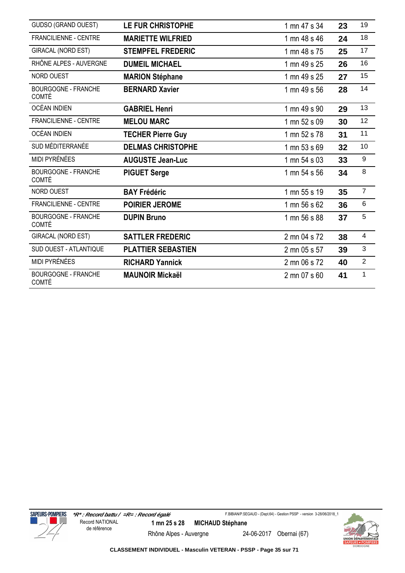| <b>GUDSO (GRAND OUEST)</b>                 | <b>LE FUR CHRISTOPHE</b>  | 1 mn 47 s 34 | 23 | 19             |
|--------------------------------------------|---------------------------|--------------|----|----------------|
| <b>FRANCILIENNE - CENTRE</b>               | <b>MARIETTE WILFRIED</b>  | 1 mn 48 s 46 | 24 | 18             |
| GIRACAL (NORD EST)                         | <b>STEMPFEL FREDERIC</b>  | 1 mn 48 s 75 | 25 | 17             |
| RHÔNE ALPES - AUVERGNE                     | <b>DUMEIL MICHAEL</b>     | 1 mn 49 s 25 | 26 | 16             |
| NORD OUEST                                 | <b>MARION Stéphane</b>    | 1 mn 49 s 25 | 27 | 15             |
| <b>BOURGOGNE - FRANCHE</b><br><b>COMTÉ</b> | <b>BERNARD Xavier</b>     | 1 mn 49 s 56 | 28 | 14             |
| OCÉAN INDIEN                               | <b>GABRIEL Henri</b>      | 1 mn 49 s 90 | 29 | 13             |
| <b>FRANCILIENNE - CENTRE</b>               | <b>MELOU MARC</b>         | 1 mn 52 s 09 | 30 | 12             |
| <b>OCÉAN INDIEN</b>                        | <b>TECHER Pierre Guy</b>  | 1 mn 52 s 78 | 31 | 11             |
| SUD MÉDITERRANÉE                           | <b>DELMAS CHRISTOPHE</b>  | 1 mn 53 s 69 | 32 | 10             |
| <b>MIDI PYRÉNÉES</b>                       | <b>AUGUSTE Jean-Luc</b>   | 1 mn 54 s 03 | 33 | 9              |
| <b>BOURGOGNE - FRANCHE</b><br><b>COMTÉ</b> | <b>PIGUET Serge</b>       | 1 mn 54 s 56 | 34 | 8              |
| NORD OUEST                                 | <b>BAY Frédéric</b>       | 1 mn 55 s 19 | 35 | $\overline{7}$ |
| <b>FRANCILIENNE - CENTRE</b>               | <b>POIRIER JEROME</b>     | 1 mn 56 s 62 | 36 | 6              |
| <b>BOURGOGNE - FRANCHE</b><br><b>COMTÉ</b> | <b>DUPIN Bruno</b>        | 1 mn 56 s 88 | 37 | 5              |
| GIRACAL (NORD EST)                         | <b>SATTLER FREDERIC</b>   | 2 mn 04 s 72 | 38 | $\overline{4}$ |
| SUD OUEST - ATLANTIQUE                     | <b>PLATTIER SEBASTIEN</b> | 2 mn 05 s 57 | 39 | 3              |
| <b>MIDI PYRÉNÉES</b>                       | <b>RICHARD Yannick</b>    | 2 mn 06 s 72 | 40 | $\overline{2}$ |
| <b>BOURGOGNE - FRANCHE</b><br><b>COMTÉ</b> | <b>MAUNOIR Mickaël</b>    | 2 mn 07 s 60 | 41 | $\mathbf{1}$   |



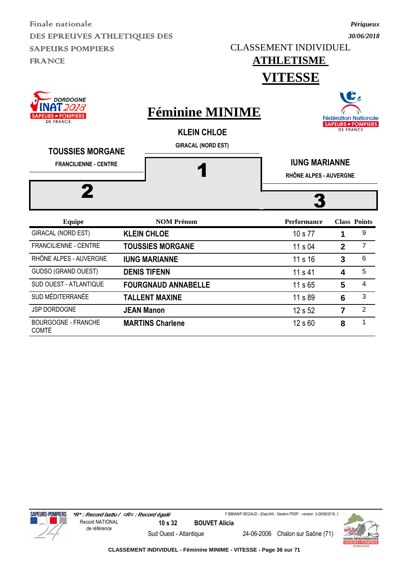CLASSEMENT INDIVIDUEL

#### **ATHLETISME VITESSE**

| DUKDUGNE<br>2018<br>URS <i>■</i> POMPIERS<br><b>DE FRANCE</b><br><b>TOUSSIES MORGANE</b> | <b>Féminine MINIME</b><br><b>KLEIN CHLOE</b><br><b>GIRACAL (NORD EST)</b> |                    | <b>Fédération Nationale</b><br><b>SAPEURS - POMPIERS</b><br><b>DE FRANCE</b> |                     |  |  |  |  |
|------------------------------------------------------------------------------------------|---------------------------------------------------------------------------|--------------------|------------------------------------------------------------------------------|---------------------|--|--|--|--|
| <b>FRANCILIENNE - CENTRE</b><br>2                                                        |                                                                           |                    | <b>IUNG MARIANNE</b><br>RHÔNE ALPES - AUVERGNE                               |                     |  |  |  |  |
| <b>Equipe</b>                                                                            | <b>NOM Prénom</b>                                                         | <b>Performance</b> |                                                                              | <b>Class Points</b> |  |  |  |  |
| <b>GIRACAL (NORD EST)</b>                                                                | <b>KLEIN CHLOE</b>                                                        | 10 s 77            | 1                                                                            | 9                   |  |  |  |  |
| <b>FRANCILIENNE - CENTRE</b>                                                             | <b>TOUSSIES MORGANE</b>                                                   | 11 s 04            | $\mathbf{2}$                                                                 | $\overline{7}$      |  |  |  |  |
| RHÔNE ALPES - AUVERGNE                                                                   | <b>IUNG MARIANNE</b>                                                      | 11 s 16            | 3                                                                            | 6                   |  |  |  |  |
| <b>GUDSO (GRAND OUEST)</b>                                                               | <b>DENIS TIFENN</b>                                                       | 11 s 41            | 4                                                                            | 5                   |  |  |  |  |
| <b>SUD OUEST - ATLANTIQUE</b>                                                            | <b>FOURGNAUD ANNABELLE</b>                                                | 11 s 65            | 5                                                                            | 4                   |  |  |  |  |
| SUD MÉDITERRANÉE                                                                         | <b>TALLENT MAXINE</b>                                                     | 11 s 89            | 6                                                                            | 3                   |  |  |  |  |
| <b>JSP DORDOGNE</b>                                                                      | <b>JEAN Manon</b>                                                         | 12 s 52            | 7                                                                            | $\overline{2}$      |  |  |  |  |
| <b>BOURGOGNE - FRANCHE</b>                                                               | <b>MARTINS Charlene</b>                                                   | 12 s 60            | 8                                                                            | 1                   |  |  |  |  |





COMTÉ



**CLASSEMENT INDIVIDUEL - Féminine MINIME - VITESSE - Page 36 sur 71**

Sud Ouest - Atlantique 24-06-2006 Chalon sur Saône (71)

*Périgueux 30/06/2018*

WG.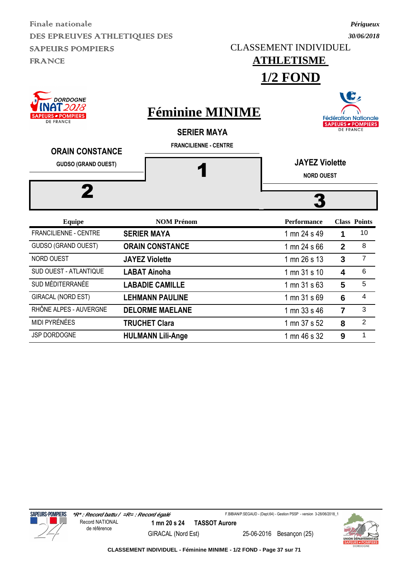CLASSEMENT INDIVIDUEL

### **ATHLETISME**

*Périgueux 30/06/2018*

**1/2 FOND**



JSP DORDOGNE **HULMANN Lili-Ange** 1 mn 46 s 32 9 <sup>1</sup>



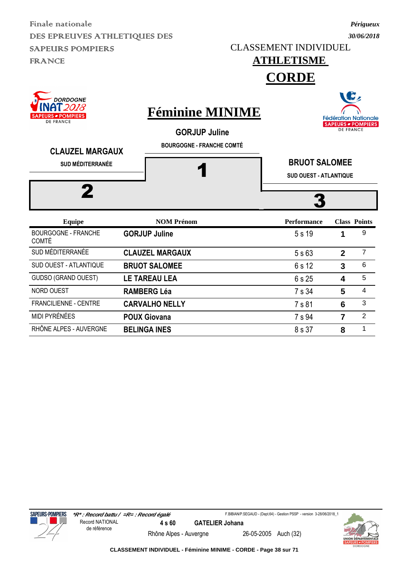*30/06/2018* CLASSEMENT INDIVIDUEL

### **ATHLETISME**

**CORDE**

| DORDOGNE<br>AT 2018<br><b>PEURS <i>■</i> POMPIERS</b><br><b>DE FRANCE</b><br><b>CLAUZEL MARGAUX</b> | <b>Féminine MINIME</b><br><b>GORJUP Juline</b><br><b>BOURGOGNE - FRANCHE COMTÉ</b> |                                                       |                | <b>Fédération Nationale</b><br><b>SAPEURS - POMPIERS</b><br><b>DE FRANCE</b> |
|-----------------------------------------------------------------------------------------------------|------------------------------------------------------------------------------------|-------------------------------------------------------|----------------|------------------------------------------------------------------------------|
| <b>SUD MÉDITERRANÉE</b>                                                                             |                                                                                    | <b>BRUOT SALOMEE</b><br><b>SUD OUEST - ATLANTIQUE</b> |                |                                                                              |
|                                                                                                     |                                                                                    |                                                       |                |                                                                              |
| <b>Equipe</b>                                                                                       | <b>NOM Prénom</b>                                                                  | <b>Performance</b>                                    |                | <b>Class Points</b>                                                          |
| <b>BOURGOGNE - FRANCHE</b><br><b>COMTÉ</b>                                                          | <b>GORJUP Juline</b>                                                               | 5 s 19                                                | 1              | 9                                                                            |
| SUD MÉDITERRANÉE                                                                                    | <b>CLAUZEL MARGAUX</b>                                                             | 5s63                                                  | $\overline{2}$ | $\overline{7}$                                                               |
| SUD OUEST - ATLANTIQUE                                                                              | <b>BRUOT SALOMEE</b>                                                               | 6 s 12                                                | 3              | 6                                                                            |
| GUDSO (GRAND OUEST)                                                                                 | <b>LE TAREAU LEA</b>                                                               | 6 s 25                                                | 4              | 5                                                                            |
| NORD OUEST                                                                                          | <b>RAMBERG Léa</b>                                                                 | 7 s 34                                                | 5              | 4                                                                            |
| <b>FRANCILIENNE - CENTRE</b>                                                                        | <b>CARVALHO NELLY</b>                                                              | 7 s 81                                                | 6              | 3                                                                            |

MIDI PYRÉNÉES **POUX Giovana** 7 s 94 **7** 2 RHÔNE ALPES - AUVERGNE **BELINGA INES** 8 s 37 8 1

**SAPEURS-POMPIERS** 



**CLASSEMENT INDIVIDUEL - Féminine MINIME - CORDE - Page 38 sur 71**



*Périgueux*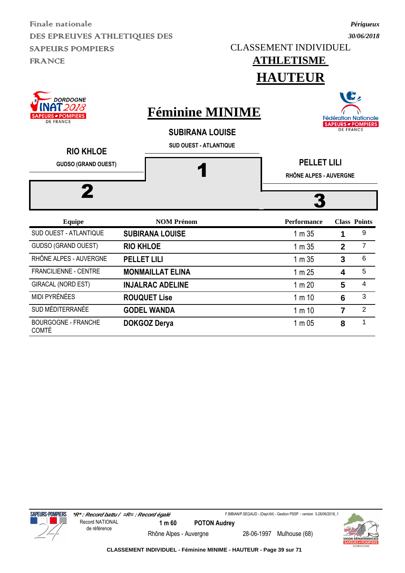CLASSEMENT INDIVIDUEL

*Périgueux 30/06/2018*

NG.

### **ATHLETISME HAUTEUR**

| <b>DORDOGNE</b><br>NAT 2018<br><b>SAPEURS - POMPIERS</b><br><b>DE FRANCE</b><br><b>RIO KHLOE</b> | <b>Féminine MINIME</b><br><b>SUBIRANA LOUISE</b><br><b>SUD OUEST - ATLANTIQUE</b> | $\blacksquare$<br><b>Fédération Nationale</b><br><b>SAPEURS - POMPIERS</b><br><b>DE FRANCE</b> |                         |                     |  |  |  |
|--------------------------------------------------------------------------------------------------|-----------------------------------------------------------------------------------|------------------------------------------------------------------------------------------------|-------------------------|---------------------|--|--|--|
| <b>GUDSO (GRAND OUEST)</b>                                                                       |                                                                                   | <b>PELLET LILI</b><br>RHÔNE ALPES - AUVERGNE                                                   |                         |                     |  |  |  |
| 2                                                                                                |                                                                                   |                                                                                                |                         |                     |  |  |  |
| <b>Equipe</b>                                                                                    | <b>NOM Prénom</b>                                                                 | <b>Performance</b>                                                                             |                         | <b>Class Points</b> |  |  |  |
| SUD OUEST - ATLANTIQUE                                                                           | <b>SUBIRANA LOUISE</b>                                                            | 1 m 35                                                                                         | 1                       | 9                   |  |  |  |
| <b>GUDSO (GRAND OUEST)</b>                                                                       | <b>RIO KHLOE</b>                                                                  | 1 m 35                                                                                         | $\overline{2}$          | $\overline{7}$      |  |  |  |
| RHÔNE ALPES - AUVERGNE                                                                           | <b>PELLET LILI</b>                                                                | 1 m 35                                                                                         | 3                       | 6                   |  |  |  |
| <b>FRANCILIENNE - CENTRE</b>                                                                     | <b>MONMAILLAT ELINA</b>                                                           | 1 m 25                                                                                         | 4                       | 5                   |  |  |  |
| GIRACAL (NORD EST)                                                                               | <b>INJALRAC ADELINE</b>                                                           | 1 m 20                                                                                         | 5                       | 4                   |  |  |  |
| <b>MIDI PYRÉNÉES</b>                                                                             | <b>ROUQUET Lise</b>                                                               | 1 m 10                                                                                         | 6                       | 3                   |  |  |  |
| SUD MÉDITERRANÉE                                                                                 | <b>GODEL WANDA</b>                                                                | 1 m 10                                                                                         | $\overline{\mathbf{z}}$ | $\overline{2}$      |  |  |  |
| <b>BOURGOGNE - FRANCHE</b>                                                                       | <b>DOKGOZ Derya</b>                                                               | 1 m 05                                                                                         | 8                       | 1                   |  |  |  |



COMTÉ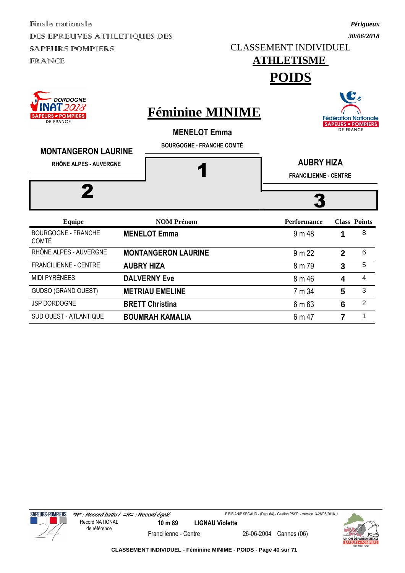CLASSEMENT INDIVIDUEL

## **ATHLETISME**

*Périgueux 30/06/2018*

**POIDS**

| <b>DORDOGNE</b><br>AT 2018<br><b>SAPEURS - POMPIERS</b><br><b>DE FRANCE</b><br><b>MONTANGERON LAURINE</b> | <b>Féminine MINIME</b><br><b>MENELOT Emma</b><br><b>BOURGOGNE - FRANCHE COMTÉ</b> |                                                   | <b>DE FRANCE</b> | B,<br><b>Fédération Nationale</b><br><b>SAPEURS - POMPIERS</b> |
|-----------------------------------------------------------------------------------------------------------|-----------------------------------------------------------------------------------|---------------------------------------------------|------------------|----------------------------------------------------------------|
| RHÔNE ALPES - AUVERGNE                                                                                    |                                                                                   | <b>AUBRY HIZA</b><br><b>FRANCILIENNE - CENTRE</b> |                  |                                                                |
| <b>Equipe</b>                                                                                             | <b>NOM Prénom</b>                                                                 | <b>Performance</b>                                |                  | <b>Class Points</b>                                            |
| <b>BOURGOGNE - FRANCHE</b><br><b>COMTÉ</b>                                                                | <b>MENELOT Emma</b>                                                               | 9 m 48                                            | 1                | 8                                                              |
| RHÔNE ALPES - AUVERGNE                                                                                    | <b>MONTANGERON LAURINE</b>                                                        | 9 m 22                                            | $\overline{2}$   | 6                                                              |
| FRANCILIENNE - CENTRE                                                                                     | <b>AUBRY HIZA</b>                                                                 | 8 m 79                                            | 3                | 5                                                              |
| MIDI PYRÉNÉES                                                                                             | <b>DALVERNY Eve</b>                                                               | 8 m 46                                            | 4                | 4                                                              |
| <b>GUDSO (GRAND OUEST)</b>                                                                                | <b>METRIAU EMELINE</b>                                                            | 7 m 34                                            | 5                | 3                                                              |

JSP DORDOGNE **BRETT Christina** 6 m 63 6 <sup>2</sup> SUD OUEST - ATLANTIQUE **BOUMRAH KAMALIA** 6 m 47 **7** 1

**SAPEURS-POMPIERS** 

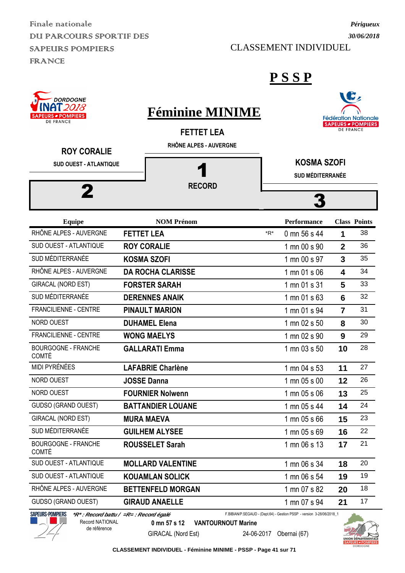Finale nationale DUI PARCOURS SPORTIF DES SAPEURS POMPIERS FRANCE

CLASSEMENT INDIVIDUEL

C



#### **P S S P**

| INAI 2078<br><b>SAPEURS - POMPIERS</b>                           | <b>Féminine MINIME</b>                      |     |                                               |                  | <b>Fédération Nationale</b> |
|------------------------------------------------------------------|---------------------------------------------|-----|-----------------------------------------------|------------------|-----------------------------|
| <b>DE FRANCE</b><br><b>ROY CORALIE</b><br>SUD OUEST - ATLANTIQUE | <b>FETTET LEA</b><br>RHÔNE ALPES - AUVERGNE |     | <b>KOSMA SZOFI</b><br><b>SUD MÉDITERRANÉE</b> | <b>DE FRANCE</b> | <b>SAPEURS - POMPIERS</b>   |
|                                                                  | <b>RECORD</b>                               |     |                                               |                  |                             |
|                                                                  |                                             |     |                                               |                  |                             |
| <b>Equipe</b>                                                    | <b>NOM Prénom</b>                           |     | Performance                                   |                  | <b>Class Points</b>         |
| RHÔNE ALPES - AUVERGNE                                           | <b>FETTET LEA</b>                           | *R* | 0 mn 56 s 44                                  | 1                | 38                          |
| SUD OUEST - ATLANTIQUE                                           | <b>ROY CORALIE</b>                          |     | 1 mn 00 s 90                                  | $\overline{2}$   | 36                          |
| SUD MÉDITERRANÉE                                                 | <b>KOSMA SZOFI</b>                          |     | 1 mn 00 s 97                                  | 3                | 35                          |
| RHÔNE ALPES - AUVERGNE                                           | <b>DA ROCHA CLARISSE</b>                    |     | 1 mn 01 s 06                                  | 4                | 34                          |
| <b>GIRACAL (NORD EST)</b>                                        | <b>FORSTER SARAH</b>                        |     | 1 mn 01 s 31                                  | 5                | 33                          |
| SUD MÉDITERRANÉE                                                 | <b>DERENNES ANAIK</b>                       |     | 1 mn 01 s 63                                  | 6                | 32                          |
| FRANCILIENNE - CENTRE                                            | <b>PINAULT MARION</b>                       |     | 1 mn 01 s 94                                  | $\overline{7}$   | 31                          |
| NORD OUEST                                                       | <b>DUHAMEL Elena</b>                        |     | 1 mn 02 s 50                                  | 8                | 30                          |
| <b>FRANCILIENNE - CENTRE</b>                                     | <b>WONG MAELYS</b>                          |     | 1 mn 02 s 90                                  | 9                | 29                          |
| <b>BOURGOGNE - FRANCHE</b><br><b>COMTÉ</b>                       | <b>GALLARATI Emma</b>                       |     | 1 mn 03 s 50                                  | 10               | 28                          |
| MIDI PYRÉNÉES                                                    | <b>LAFABRIE Charlène</b>                    |     | 1 mn 04 s 53                                  | 11               | 27                          |
| NORD OUEST                                                       | <b>JOSSE Danna</b>                          |     | 1 mn 05 s 00                                  | 12               | 26                          |
| <b>NORD OUEST</b>                                                | <b>FOURNIER Nolwenn</b>                     |     | 1 mn 05 s 06                                  | 13               | 25                          |
| <b>GUDSO (GRAND OUEST)</b>                                       | <b>BATTANDIER LOUANE</b>                    |     | 1 mn 05 s 44                                  | 14               | 24                          |
| GIRACAL (NORD EST)                                               | <b>MURA MAEVA</b>                           |     | 1 mn 05 s 66                                  | 15               | 23                          |
| SUD MÉDITERRANÉE                                                 | <b>GUILHEM ALYSEE</b>                       |     | 1 mn 05 s 69                                  | 16               | 22                          |
| <b>BOURGOGNE - FRANCHE</b><br><b>COMTÉ</b>                       | <b>ROUSSELET Sarah</b>                      |     | 1 mn 06 s 13                                  | 17               | 21                          |
| SUD OUEST - ATLANTIQUE                                           | <b>MOLLARD VALENTINE</b>                    |     | 1 mn 06 s 34                                  | 18               | 20                          |
| SUD OUEST - ATLANTIQUE                                           | <b>KOUAMLAN SOLICK</b>                      |     | 1 mn 06 s 54                                  | 19               | 19                          |
| RHÔNE ALPES - AUVERGNE                                           | <b>BETTENFELD MORGAN</b>                    |     | 1 mn 07 s 82                                  | 20               | 18                          |
| <b>GUDSO (GRAND OUEST)</b>                                       | <b>GIRAUD ANAELLE</b>                       |     | 1 mn 07 s 94                                  | 21               | 17                          |



de référence

F.BIBIAN/P.SEGAUD - (Dept.64) - Gestion PSSP - version 3-28/06/2018\_1**0 mn 57 s 12 VANTOURNOUT Marine**



**CLASSEMENT INDIVIDUEL - Féminine MINIME - PSSP - Page 41 sur 71**

GIRACAL (Nord Est) 24-06-2017 Obernai (67)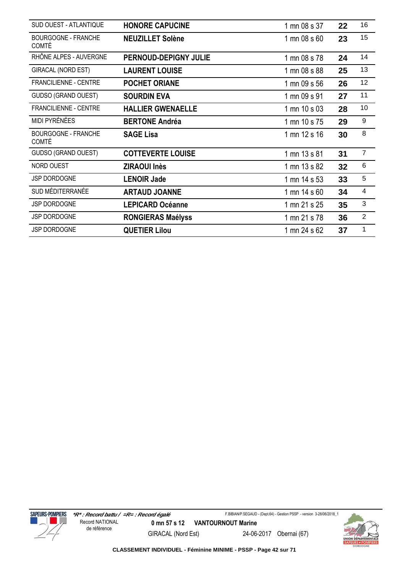| SUD OUEST - ATLANTIQUE                     | <b>HONORE CAPUCINE</b>       | 1 mn 08 s 37 | 22 | 16                      |
|--------------------------------------------|------------------------------|--------------|----|-------------------------|
| <b>BOURGOGNE - FRANCHE</b><br><b>COMTÉ</b> | <b>NEUZILLET Solène</b>      | 1 mn 08 s 60 | 23 | 15                      |
| RHÔNE ALPES - AUVERGNE                     | <b>PERNOUD-DEPIGNY JULIE</b> | 1 mn 08 s 78 | 24 | 14                      |
| GIRACAL (NORD EST)                         | <b>LAURENT LOUISE</b>        | 1 mn 08 s 88 | 25 | 13                      |
| <b>FRANCILIENNE - CENTRE</b>               | <b>POCHET ORIANE</b>         | 1 mn 09 s 56 | 26 | 12                      |
| GUDSO (GRAND OUEST)                        | <b>SOURDIN EVA</b>           | 1 mn 09 s 91 | 27 | 11                      |
| FRANCILIENNE - CENTRE                      | <b>HALLIER GWENAELLE</b>     | 1 mn 10 s 03 | 28 | 10                      |
| MIDI PYRÉNÉES                              | <b>BERTONE Andréa</b>        | 1 mn 10 s 75 | 29 | $\boldsymbol{9}$        |
| <b>BOURGOGNE - FRANCHE</b><br>COMTÉ        | <b>SAGE Lisa</b>             | 1 mn 12 s 16 | 30 | 8                       |
| GUDSO (GRAND OUEST)                        | <b>COTTEVERTE LOUISE</b>     | 1 mn 13 s 81 | 31 | $\overline{7}$          |
| NORD OUEST                                 | <b>ZIRAOUI Inès</b>          | 1 mn 13 s 82 | 32 | 6                       |
| JSP DORDOGNE                               | <b>LENOIR Jade</b>           | 1 mn 14 s 53 | 33 | 5                       |
| SUD MÉDITERRANÉE                           | <b>ARTAUD JOANNE</b>         | 1 mn 14 s 60 | 34 | $\overline{\mathbf{4}}$ |
| JSP DORDOGNE                               | <b>LEPICARD Océanne</b>      | 1 mn 21 s 25 | 35 | 3                       |
| JSP DORDOGNE                               | <b>RONGIERAS Maélyss</b>     | 1 mn 21 s 78 | 36 | $\overline{2}$          |
| JSP DORDOGNE                               | <b>QUETIER Lilou</b>         | 1 mn 24 s 62 | 37 | 1                       |



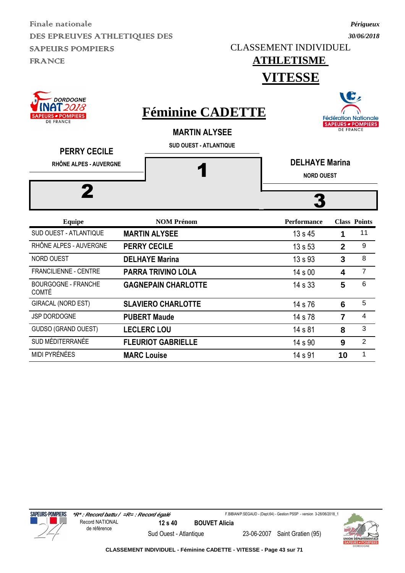CLASSEMENT INDIVIDUEL

## **ATHLETISME**

*Périgueux 30/06/2018*



MIDI PYRÉNÉES **MARC Louise** 14 s 91 **10** 1



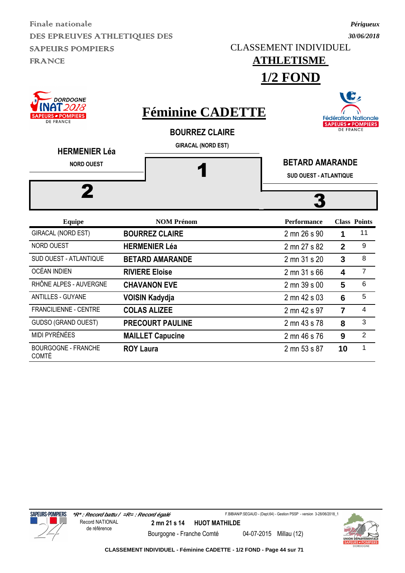CLASSEMENT INDIVIDUEL

### **ATHLETISME 1/2 FOND**

B, **DORDOGNE** AT 2018 **Féminine CADETTE POMPIERS Fédération Nationale DE FRANCE SAPEURS - POMPIERS DE FRANCE BOURREZ CLAIRE GIRACAL (NORD EST) HERMENIER Léa** 1 **BETARD AMARANDE NORD OUEST SUD OUEST - ATLANTIQUE** 2 3 **Equipe NOM Prénom Performance Class Points** GIRACAL (NORD EST) **BOURREZ CLAIRE** 2 mn 26 s 90 **1** <sup>11</sup> NORD OUEST **HERMENIER Léa** 2 mn 27 s 82 **2** 9 SUD OUEST - ATLANTIQUE **BETARD AMARANDE** 2 mn 31 s 20 **3** 8 OCÉAN INDIEN **RIVIERE Eloise** 2 mn 31 s 66 **4** 7 RHÔNE ALPES - AUVERGNE **CHAVANON EVE** 2 mn 39 s 00 5 6 ANTILLES - GUYANE **VOISIN Kadydia 2 mn 42 s 03 6 5** FRANCILIENNE - CENTRE **COLAS ALIZEE** 2 mn 42 s 97 **7** 4 GUDSO (GRAND OUEST) **PRECOURT PAULINE** 2 mn 43 s 78 **8** 3

MIDI PYRÉNÉES **MAILLET Capucine** 2 mn 46 s 76 **9** 2

**ROY Laura** 2 mn 53 s 87 **10** 1



BOURGOGNE - FRANCHE

COMTÉ



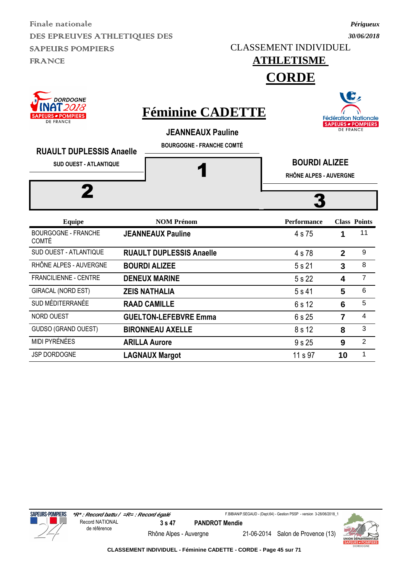CLASSEMENT INDIVIDUEL

### **ATHLETISME**

**CORDE**

| <b>DORDOGNE</b><br>2018<br><b>RS = POMPIERS</b><br><b>DE FRANCE</b><br><b>RUAULT DUPLESSIS Anaelle</b><br><b>SUD OUEST - ATLANTIQUE</b><br>2 | <b>Féminine CADETTE</b><br><b>JEANNEAUX Pauline</b><br><b>BOURGOGNE - FRANCHE COMTÉ</b> | <b>Fédération Nationale</b><br><b>SAPEURS - POMPIERS</b><br><b>DE FRANCE</b><br><b>BOURDI ALIZEE</b><br>RHÔNE ALPES - AUVERGNE |                |                     |  |  |
|----------------------------------------------------------------------------------------------------------------------------------------------|-----------------------------------------------------------------------------------------|--------------------------------------------------------------------------------------------------------------------------------|----------------|---------------------|--|--|
| <b>Equipe</b>                                                                                                                                | <b>NOM Prénom</b>                                                                       | <b>Performance</b>                                                                                                             |                | <b>Class Points</b> |  |  |
| <b>BOURGOGNE - FRANCHE</b><br><b>COMTÉ</b>                                                                                                   | <b>JEANNEAUX Pauline</b>                                                                | 4 s 75                                                                                                                         | 1              | 11                  |  |  |
| SUD OUEST - ATLANTIQUE                                                                                                                       | <b>RUAULT DUPLESSIS Anaelle</b>                                                         | 4 s 78                                                                                                                         | $\overline{2}$ | 9                   |  |  |
| RHÔNE ALPES - AUVERGNE                                                                                                                       | <b>BOURDI ALIZEE</b>                                                                    | 5 s 21                                                                                                                         | 3              | 8                   |  |  |
| <b>FRANCILIENNE - CENTRE</b>                                                                                                                 | <b>DENEUX MARINE</b>                                                                    | 5 s 22                                                                                                                         | 4              | $\overline{7}$      |  |  |
| <b>GIRACAL (NORD EST)</b>                                                                                                                    | <b>ZEIS NATHALIA</b>                                                                    | 5 s 41                                                                                                                         | 5              | 6                   |  |  |
| SUD MÉDITERRANÉE                                                                                                                             | <b>RAAD CAMILLE</b>                                                                     | 6 s 12                                                                                                                         | 6              | 5                   |  |  |
| <b>NORD OUEST</b>                                                                                                                            | <b>GUELTON-LEFEBVRE Emma</b>                                                            | 6 s 25                                                                                                                         | $\overline{7}$ | $\overline{4}$      |  |  |
| <b>GUDSO (GRAND OUEST)</b>                                                                                                                   | <b>BIRONNEAU AXELLE</b>                                                                 | 8 s 12                                                                                                                         | 8              | 3                   |  |  |
| MIDI PYRÉNÉES                                                                                                                                | <b>ARILLA Aurore</b>                                                                    | 9 s 25                                                                                                                         | 9              | $\overline{2}$      |  |  |

JSP DORDOGNE **LAGNAUX Margot** 11 s 97 **10** <sup>1</sup>



F.BIBIAN/P.SEGAUD - (Dept.64) - Gestion PSSP - version 3-28/06/2018\_1





*Périgueux 30/06/2018*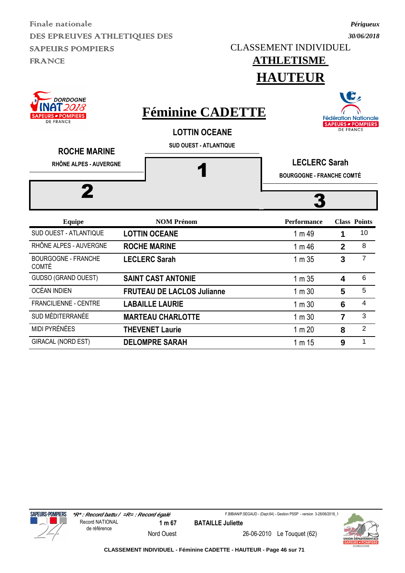CLASSEMENT INDIVIDUEL

### *30/06/2018*

*Périgueux*





GIRACAL (NORD EST) **DELOMPRE SARAH** 1 m 15 9 <sup>1</sup>



F.BIBIAN/P.SEGAUD - (Dept.64) - Gestion PSSP - version 3-28/06/2018\_1

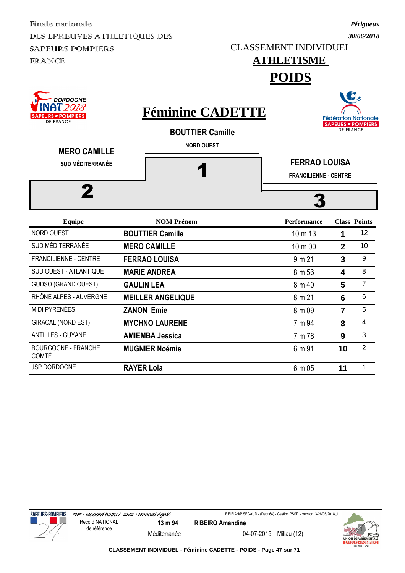CLASSEMENT INDIVIDUEL

### *30/06/2018*

*Périgueux*

#### **ATHLETISME POIDS**

| <b>DORDOGNE</b><br>' 2018<br><b>S = POMPIERS</b><br><b>DE FRANCE</b><br><b>MERO CAMILLE</b><br><b>SUD MÉDITERRANÉE</b> | <b>Féminine CADETTE</b><br><b>BOUTTIER Camille</b><br><b>NORD OUEST</b> | <b>FERRAO LOUISA</b><br><b>FRANCILIENNE - CENTRE</b> | <b>DE FRANCE</b> | <b>Fédération Nationale</b><br><b>SAPEURS - POMPIERS</b> |
|------------------------------------------------------------------------------------------------------------------------|-------------------------------------------------------------------------|------------------------------------------------------|------------------|----------------------------------------------------------|
| <b>Equipe</b>                                                                                                          | <b>NOM Prénom</b>                                                       | <b>Performance</b>                                   |                  | <b>Class Points</b>                                      |
| NORD OUEST                                                                                                             | <b>BOUTTIER Camille</b>                                                 | 10 m 13                                              | 1                | 12                                                       |
| SUD MÉDITERRANÉE                                                                                                       | <b>MERO CAMILLE</b>                                                     | 10 m 00                                              | $\overline{2}$   | 10                                                       |
| <b>FRANCILIENNE - CENTRE</b>                                                                                           | <b>FERRAO LOUISA</b>                                                    | 9 m 21                                               | 3                | 9                                                        |
| SUD OUEST - ATLANTIQUE                                                                                                 | <b>MARIE ANDREA</b>                                                     | 8 m 56                                               | 4                | 8                                                        |
| <b>GUDSO (GRAND OUEST)</b>                                                                                             | <b>GAULIN LEA</b>                                                       | 8 m 40                                               | 5                | $\overline{7}$                                           |
| RHÔNE ALPES - AUVERGNE                                                                                                 | <b>MEILLER ANGELIQUE</b>                                                | 8 m 21                                               | 6                | $6\phantom{1}6$                                          |
| MIDI PYRÉNÉES                                                                                                          | <b>ZANON Emie</b>                                                       | 8 m 09                                               | $\overline{7}$   | 5                                                        |
| GIRACAL (NORD EST)                                                                                                     | <b>MYCHNO LAURENE</b>                                                   | 7 m 94                                               | 8                | 4                                                        |
| <b>ANTILLES - GUYANE</b>                                                                                               | <b>AMIEMBA Jessica</b>                                                  | 7 m 78                                               | 9                | 3                                                        |
| <b>BOURGOGNE - FRANCHE</b><br><b>COMTÉ</b>                                                                             | <b>MUGNIER Noémie</b>                                                   | 6 m 91                                               | 10               | $\overline{2}$                                           |
| JSP DORDOGNE                                                                                                           | <b>RAYER Lola</b>                                                       | 6 m 05                                               | 11               | 1                                                        |



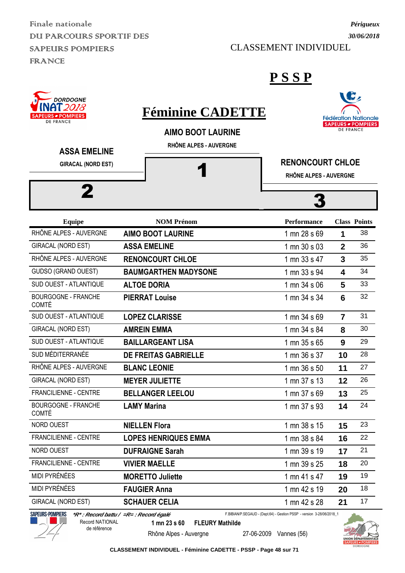Finale nationale DUI PARCOURS SPORTIF DES SAPEURS POMPIERS **FRANCE** 

CLASSEMENT INDIVIDUEL

#### **P S S P**





 **\*R\* : Record battu / =R= : Record égalé** Record NATIONAL

de référence

F.BIBIAN/P.SEGAUD - (Dept.64) - Gestion PSSP - version 3-28/06/2018\_1

**1 mn 23 s 60 FLEURY Mathilde**

Rhône Alpes - Auvergne 27-06-2009 Vannes (56)





### **Fédération Nationale** SAPEURS - POMPIERS

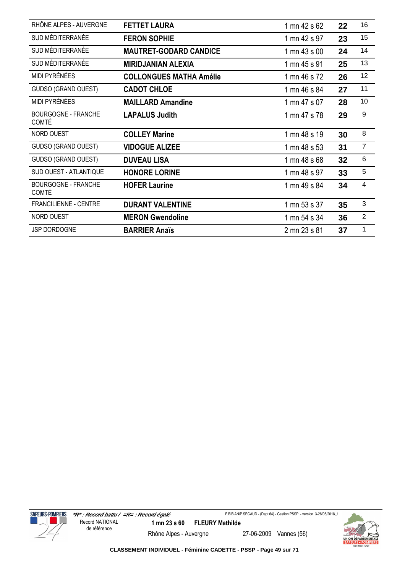| RHÔNE ALPES - AUVERGNE                     | <b>FETTET LAURA</b>            | 1 mn 42 s 62 | 22 | 16                      |
|--------------------------------------------|--------------------------------|--------------|----|-------------------------|
| SUD MÉDITERRANÉE                           | <b>FERON SOPHIE</b>            | 1 mn 42 s 97 | 23 | 15                      |
| SUD MÉDITERRANÉE                           | <b>MAUTRET-GODARD CANDICE</b>  | 1 mn 43 s 00 | 24 | 14                      |
| SUD MÉDITERRANÉE                           | <b>MIRIDJANIAN ALEXIA</b>      | 1 mn 45 s 91 | 25 | 13                      |
| MIDI PYRÉNÉES                              | <b>COLLONGUES MATHA Amélie</b> | 1 mn 46 s 72 | 26 | 12                      |
| <b>GUDSO (GRAND OUEST)</b>                 | <b>CADOT CHLOE</b>             | 1 mn 46 s 84 | 27 | 11                      |
| MIDI PYRÉNÉES                              | <b>MAILLARD Amandine</b>       | 1 mn 47 s 07 | 28 | 10                      |
| <b>BOURGOGNE - FRANCHE</b><br><b>COMTÉ</b> | <b>LAPALUS Judith</b>          | 1 mn 47 s 78 | 29 | 9                       |
| NORD OUEST                                 | <b>COLLEY Marine</b>           | 1 mn 48 s 19 | 30 | 8                       |
| <b>GUDSO (GRAND OUEST)</b>                 | <b>VIDOGUE ALIZEE</b>          | 1 mn 48 s 53 | 31 | $\overline{7}$          |
| <b>GUDSO (GRAND OUEST)</b>                 | <b>DUVEAU LISA</b>             | 1 mn 48 s 68 | 32 | 6                       |
| SUD OUEST - ATLANTIQUE                     | <b>HONORE LORINE</b>           | 1 mn 48 s 97 | 33 | 5                       |
| <b>BOURGOGNE - FRANCHE</b><br><b>COMTÉ</b> | <b>HOFER Laurine</b>           | 1 mn 49 s 84 | 34 | $\overline{\mathbf{4}}$ |
| FRANCILIENNE - CENTRE                      | <b>DURANT VALENTINE</b>        | 1 mn 53 s 37 | 35 | 3                       |
| NORD OUEST                                 | <b>MERON Gwendoline</b>        | 1 mn 54 s 34 | 36 | $\overline{2}$          |
| <b>JSP DORDOGNE</b>                        | <b>BARRIER Anaïs</b>           | 2 mn 23 s 81 | 37 | 1                       |



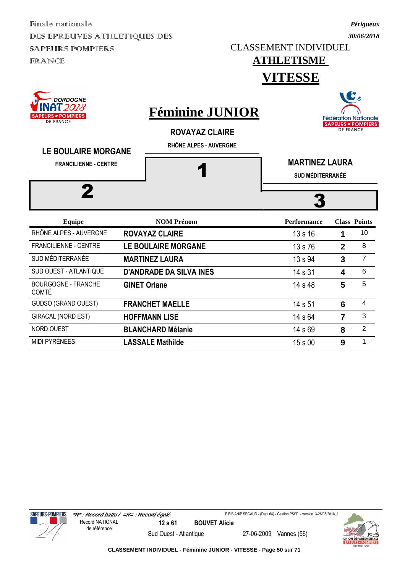CLASSEMENT INDIVIDUEL

### **ATHLETISME**

*Périgueux 30/06/2018*

### **VITESSE**





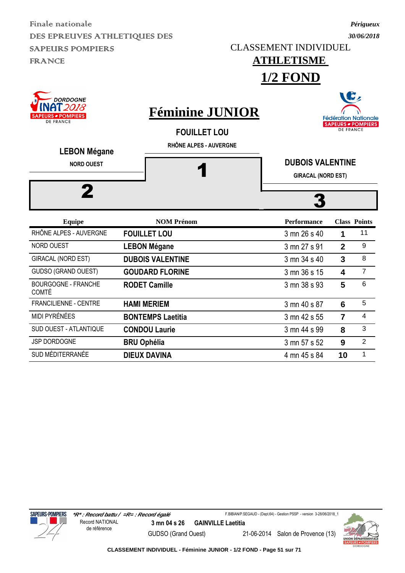CLASSEMENT INDIVIDUEL

**ATHLETISME** 

#### *30/06/2018*

*Périgueux*

|                                                                      |                      | <b>1/2 FOND</b>                                                         |                                                      |                         |                                                          |  |
|----------------------------------------------------------------------|----------------------|-------------------------------------------------------------------------|------------------------------------------------------|-------------------------|----------------------------------------------------------|--|
| <b>DORDOGNE</b><br>`2018<br><b>RS # POMPIERS</b><br><b>DE FRANCE</b> |                      | <b>Féminine JUNIOR</b><br><b>FOUILLET LOU</b><br>RHÔNE ALPES - AUVERGNE |                                                      | <b>DE FRANCE</b>        | <b>Fédération Nationale</b><br><b>SAPEURS - POMPIERS</b> |  |
| <b>LEBON Mégane</b><br><b>NORD OUEST</b>                             |                      |                                                                         | <b>DUBOIS VALENTINE</b><br><b>GIRACAL (NORD EST)</b> |                         |                                                          |  |
|                                                                      |                      |                                                                         |                                                      |                         |                                                          |  |
| <b>Equipe</b>                                                        |                      | <b>NOM Prénom</b>                                                       | <b>Performance</b>                                   |                         | <b>Class Points</b>                                      |  |
| RHÔNE ALPES - AUVERGNE                                               | <b>FOUILLET LOU</b>  |                                                                         | 3 mn 26 s 40                                         | 1                       | 11                                                       |  |
| NORD OUEST                                                           | <b>LEBON Mégane</b>  |                                                                         | 3 mn 27 s 91                                         | $\overline{2}$          | 9                                                        |  |
| GIRACAL (NORD EST)                                                   |                      | <b>DUBOIS VALENTINE</b>                                                 | 3 mn 34 s 40                                         | $\overline{3}$          | 8                                                        |  |
| <b>GUDSO (GRAND OUEST)</b>                                           |                      | <b>GOUDARD FLORINE</b>                                                  | 3 mn 36 s 15                                         | $\overline{\mathbf{4}}$ | $\overline{7}$                                           |  |
| <b>BOURGOGNE - FRANCHE</b><br><b>COMTÉ</b>                           | <b>RODET Camille</b> |                                                                         | 3 mn 38 s 93                                         | 5                       | 6                                                        |  |
| <b>FRANCILIENNE - CENTRE</b>                                         | <b>HAMI MERIEM</b>   |                                                                         | 3 mn 40 s 87                                         | 6                       | 5                                                        |  |
| <b>MIDI PYRÉNÉES</b>                                                 |                      | <b>BONTEMPS Laetitia</b>                                                | 3 mn 42 s 55                                         | $\overline{7}$          | 4                                                        |  |
| <b>SUD OUEST - ATLANTIQUE</b>                                        | <b>CONDOU Laurie</b> |                                                                         | 3 mn 44 s 99                                         | 8                       | 3                                                        |  |

JSP DORDOGNE **BRU Ophélia** 3 mn 57 s 52 9 <sup>2</sup> SUD MÉDITERRANÉE **DIEUX DAVINA** 4 mn 45 s 84 **10** <sup>1</sup>



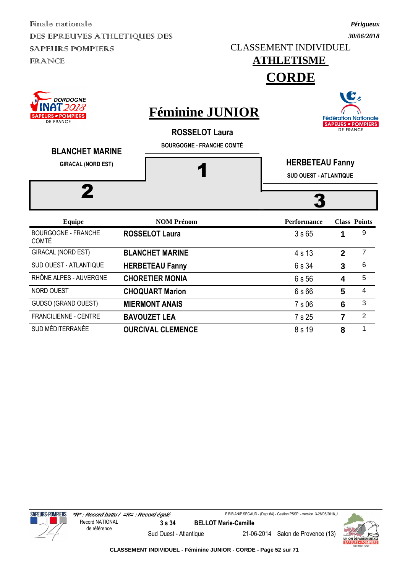CLASSEMENT INDIVIDUEL

### *30/06/2018*

*Périgueux*

### **ATHLETISME**

**CORDE**

| <b>DORDOGNE</b><br>[2018<br><b>PEURS - POMPIERS</b><br><b>DE FRANCE</b><br><b>BLANCHET MARINE</b> | <b>Féminine JUNIOR</b><br><b>ROSSELOT Laura</b><br><b>BOURGOGNE - FRANCHE COMTÉ</b> |                                                         |              | <b>Fédération Nationale</b><br><b>SAPEURS - POMPIERS</b><br><b>DE FRANCE</b> |
|---------------------------------------------------------------------------------------------------|-------------------------------------------------------------------------------------|---------------------------------------------------------|--------------|------------------------------------------------------------------------------|
| <b>GIRACAL (NORD EST)</b>                                                                         |                                                                                     | <b>HERBETEAU Fanny</b><br><b>SUD OUEST - ATLANTIQUE</b> |              |                                                                              |
| <b>Equipe</b>                                                                                     | <b>NOM Prénom</b>                                                                   | <b>Performance</b>                                      |              | <b>Class Points</b>                                                          |
| <b>BOURGOGNE - FRANCHE</b><br><b>COMTÉ</b>                                                        | <b>ROSSELOT Laura</b>                                                               | 3s65                                                    | 1            | 9                                                                            |
| GIRACAL (NORD EST)                                                                                | <b>BLANCHET MARINE</b>                                                              | 4 s 13                                                  | $\mathbf{2}$ | $\overline{7}$                                                               |
| SUD OUEST - ATLANTIQUE                                                                            | <b>HERBETEAU Fanny</b>                                                              | 6 s 34                                                  | $\mathbf{3}$ | 6                                                                            |
| RHÔNE ALPES - AUVERGNE                                                                            | <b>CHORETIER MONIA</b>                                                              | 6 s 56                                                  | 4            | 5                                                                            |
| <b>NORD OUEST</b>                                                                                 | <b>CHOQUART Marion</b>                                                              | 6 s 66                                                  | 5            | 4                                                                            |
|                                                                                                   |                                                                                     |                                                         |              |                                                                              |

### GUDSO (GRAND OUEST) **MIERMONT ANAIS** 7 s 06 6 <sup>3</sup> FRANCILIENNE - CENTRE **BAVOUZET LEA** 7 s 25 7 <sup>2</sup> SUD MÉDITERRANÉE **OURCIVAL CLEMENCE** 8 s 19 8 1





**CLASSEMENT INDIVIDUEL - Féminine JUNIOR - CORDE - Page 52 sur 71**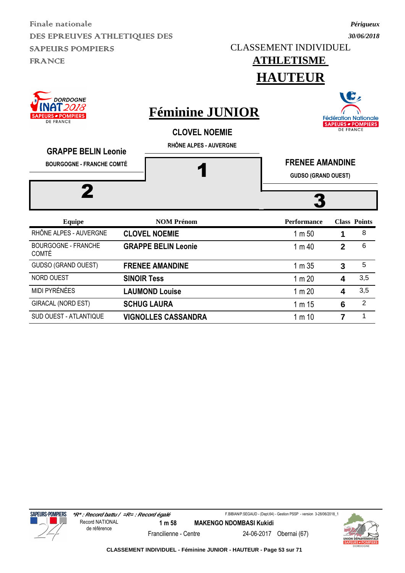*Périgueux 30/06/2018*

#### **ATHLETISME HAUTEUR**







**CLASSEMENT INDIVIDUEL - Féminine JUNIOR - HAUTEUR - Page 53 sur 71**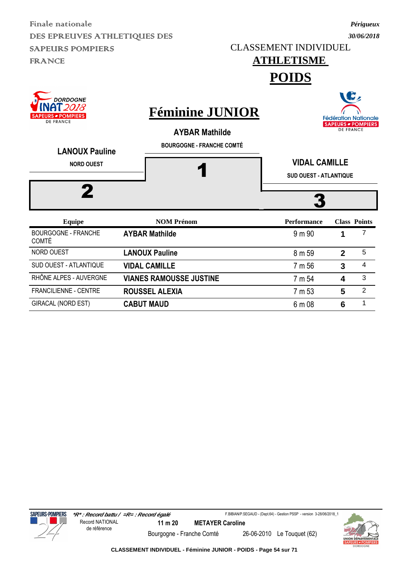*30/06/2018* CLASSEMENT INDIVIDUEL

# **ATHLETISME**

*Périgueux*

 $\rightarrow$ 

**POIDS**

| <b>DORDOGNE</b><br>12018<br><b>EURS - POMPIERS</b><br><b>DE FRANCE</b><br><b>LANOUX Pauline</b> | <b>Féminine JUNIOR</b><br><b>AYBAR Mathilde</b><br><b>BOURGOGNE - FRANCHE COMTÉ</b> |                                                       |              | W<br><b>Fédération Nationale</b><br><b>SAPEURS - POMPIERS</b><br><b>DE FRANCE</b> |
|-------------------------------------------------------------------------------------------------|-------------------------------------------------------------------------------------|-------------------------------------------------------|--------------|-----------------------------------------------------------------------------------|
| <b>NORD OUEST</b>                                                                               |                                                                                     | <b>VIDAL CAMILLE</b><br><b>SUD OUEST - ATLANTIQUE</b> |              |                                                                                   |
| <b>Equipe</b>                                                                                   | <b>NOM Prénom</b>                                                                   | <b>Performance</b>                                    |              | <b>Class Points</b>                                                               |
| <b>BOURGOGNE - FRANCHE</b><br><b>COMTÉ</b>                                                      | <b>AYBAR Mathilde</b>                                                               | 9 m 90                                                | 1            |                                                                                   |
| NORD OUEST                                                                                      | <b>LANOUX Pauline</b>                                                               | 8 m 59                                                | $\mathbf{2}$ | 5                                                                                 |
| SUD OUEST - ATLANTIQUE                                                                          | <b>VIDAL CAMILLE</b>                                                                | 7 m 56                                                | 3            | 4                                                                                 |
| RHÔNE ALPES - AUVERGNE                                                                          | <b>VIANES RAMOUSSE JUSTINE</b>                                                      | 7 m 54                                                | 4            | 3                                                                                 |
| <b>FRANCILIENNE - CENTRE</b>                                                                    | <b>ROUSSEL ALEXIA</b>                                                               | 7 m 53                                                | 5            | 2                                                                                 |

GIRACAL (NORD EST) **CABUT MAUD** 6 m 08 **6** <sup>1</sup>





**CLASSEMENT INDIVIDUEL - Féminine JUNIOR - POIDS - Page 54 sur 71**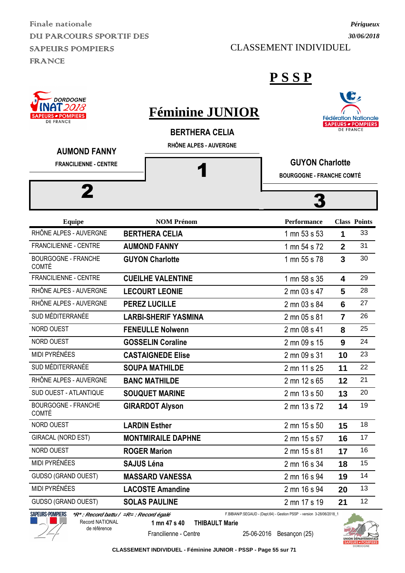Finale nationale DU PARCOURS SPORTIF DES SAPEURS POMPIERS FRANCE

 $\sim$  popposit

CLASSEMENT INDIVIDUEL

#### **P S S P**

| <b>INAT2018</b><br><b>SAPEURS - POMPIERS</b><br><b>DE FRANCE</b> | <b>Féminine JUNIOR</b><br><b>BERTHERA CELIA</b> |                                                            | <b>DE FRANCE</b> | <b>Fédération Nationale</b><br>SAPEURS - POMPIERS |
|------------------------------------------------------------------|-------------------------------------------------|------------------------------------------------------------|------------------|---------------------------------------------------|
| <b>AUMOND FANNY</b><br><b>FRANCILIENNE - CENTRE</b>              | RHÔNE ALPES - AUVERGNE                          | <b>GUYON Charlotte</b><br><b>BOURGOGNE - FRANCHE COMTÉ</b> |                  |                                                   |
| 2                                                                |                                                 |                                                            |                  |                                                   |
| <b>Equipe</b>                                                    | <b>NOM Prénom</b>                               | <b>Performance</b>                                         |                  | <b>Class Points</b>                               |
| RHÔNE ALPES - AUVERGNE                                           | <b>BERTHERA CELIA</b>                           | 1 mn 53 s 53                                               | 1                | 33                                                |
| FRANCILIENNE - CENTRE                                            | <b>AUMOND FANNY</b>                             | 1 mn 54 s 72                                               | $\overline{2}$   | 31                                                |
| <b>BOURGOGNE - FRANCHE</b><br>COMTÉ                              | <b>GUYON Charlotte</b>                          | 1 mn 55 s 78                                               | 3                | 30                                                |
| <b>FRANCILIENNE - CENTRE</b>                                     | <b>CUEILHE VALENTINE</b>                        | 1 mn 58 s 35                                               | 4                | 29                                                |
| RHÔNE ALPES - AUVERGNE                                           | <b>LECOURT LEONIE</b>                           | 2 mn 03 s 47                                               | 5                | 28                                                |
| RHÔNE ALPES - AUVERGNE                                           | <b>PEREZ LUCILLE</b>                            | 2 mn 03 s 84                                               | 6                | 27                                                |
| SUD MÉDITERRANÉE                                                 | <b>LARBI-SHERIF YASMINA</b>                     | 2 mn 05 s 81                                               | $\overline{7}$   | 26                                                |
| NORD OUEST                                                       | <b>FENEULLE Nolwenn</b>                         | 2 mn 08 s 41                                               | 8                | 25                                                |
| NORD OUEST                                                       | <b>GOSSELIN Coraline</b>                        | 2 mn 09 s 15                                               | 9                | 24                                                |
| MIDI PYRÉNÉES                                                    | <b>CASTAIGNEDE Elise</b>                        | 2 mn 09 s 31                                               | 10               | 23                                                |
| SUD MÉDITERRANÉE                                                 | <b>SOUPA MATHILDE</b>                           | 2 mn 11 s 25                                               | 11               | 22                                                |
| RHÔNE ALPES - AUVERGNE                                           | <b>BANC MATHILDE</b>                            | 2 mn 12 s 65                                               | 12               | 21                                                |
| SUD OUEST - ATLANTIQUE                                           | <b>SOUQUET MARINE</b>                           | 2 mn 13 s 50                                               | 13               | 20                                                |
| <b>BOURGOGNE - FRANCHE</b><br><b>COMTÉ</b>                       | <b>GIRARDOT Alyson</b>                          | 2 mn 13 s 72                                               | 14               | 19                                                |
| NORD OUEST                                                       | <b>LARDIN Esther</b>                            | 2 mn 15 s 50                                               | 15               | 18                                                |
| GIRACAL (NORD EST)                                               | <b>MONTMIRAILE DAPHNE</b>                       | 2 mn 15 s 57                                               | 16               | 17                                                |
| NORD OUEST                                                       | <b>ROGER Marion</b>                             | 2 mn 15 s 81                                               | 17               | 16                                                |
| MIDI PYRÉNÉES                                                    | <b>SAJUS Léna</b>                               | 2 mn 16 s 34                                               | 18               | 15                                                |
| <b>GUDSO (GRAND OUEST)</b>                                       | <b>MASSARD VANESSA</b>                          | 2 mn 16 s 94                                               | 19               | 14                                                |
| MIDI PYRÉNÉES                                                    | <b>LACOSTE Amandine</b>                         | 2 mn 16 s 94                                               | 20               | 13                                                |
| <b>GUDSO (GRAND OUEST)</b>                                       | <b>SOLAS PAULINE</b>                            | 2 mn 17 s 19                                               | 21               | 12                                                |



 **\*R\* : Record battu / =R= : Record égalé** Record NATIONAL

de référence

F.BIBIAN/P.SEGAUD - (Dept.64) - Gestion PSSP - version 3-28/06/2018\_1

**1 mn 47 s 40 THIBAULT Marie**

Francilienne - Centre 25-06-2016 Besançon (25)



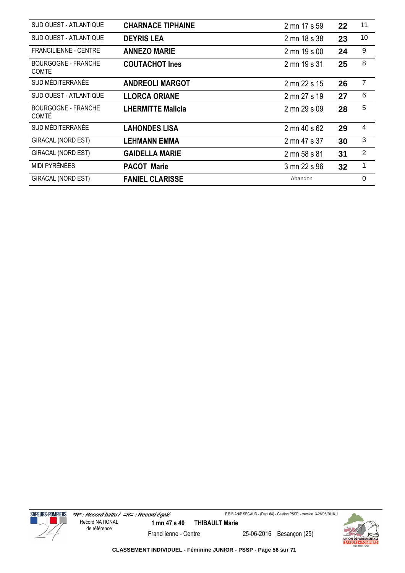| SUD OUEST - ATLANTIQUE                     | <b>CHARNACE TIPHAINE</b> | 2 mn 17 s 59 | 22 | 11             |
|--------------------------------------------|--------------------------|--------------|----|----------------|
| SUD OUEST - ATLANTIQUE                     | <b>DEYRIS LEA</b>        | 2 mn 18 s 38 | 23 | 10             |
| <b>FRANCILIENNE - CENTRE</b>               | <b>ANNEZO MARIE</b>      | 2 mn 19 s 00 | 24 | 9              |
| <b>BOURGOGNE - FRANCHE</b><br><b>COMTÉ</b> | <b>COUTACHOT Ines</b>    | 2 mn 19 s 31 | 25 | 8              |
| SUD MÉDITERRANÉE                           | <b>ANDREOLI MARGOT</b>   | 2 mn 22 s 15 | 26 | $\overline{7}$ |
| SUD OUEST - ATLANTIQUE                     | <b>LLORCA ORIANE</b>     | 2 mn 27 s 19 | 27 | 6              |
| <b>BOURGOGNE - FRANCHE</b><br><b>COMTÉ</b> | <b>LHERMITTE Malicia</b> | 2 mn 29 s 09 | 28 | 5              |
| SUD MÉDITERRANÉE                           | <b>LAHONDES LISA</b>     | 2 mn 40 s 62 | 29 | 4              |
| GIRACAL (NORD EST)                         | LEHMANN EMMA             | 2 mn 47 s 37 | 30 | $\mathfrak{S}$ |
| <b>GIRACAL (NORD EST)</b>                  | <b>GAIDELLA MARIE</b>    | 2 mn 58 s 81 | 31 | $\overline{2}$ |
| MIDI PYRÉNÉES                              | <b>PACOT Marie</b>       | 3 mn 22 s 96 | 32 | 1              |
| <b>GIRACAL (NORD EST)</b>                  | <b>FANIEL CLARISSE</b>   | Abandon      |    | 0              |



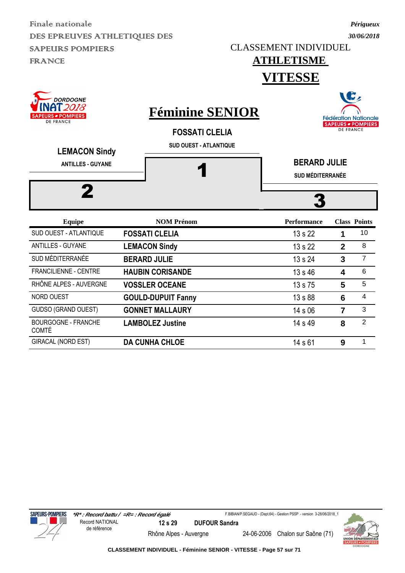CLASSEMENT INDIVIDUEL

*Périgueux 30/06/2018*

#### **ATHLETISME VITESSE**

| <b>DORDOGNE</b><br>2018<br><b>SAPEURS - POMPIERS</b><br><b>DE FRANCE</b><br><b>LEMACON Sindy</b> | <b>Féminine SENIOR</b><br><b>FOSSATI CLELIA</b><br><b>SUD OUEST - ATLANTIQUE</b> |                                                | <b>DE FRANCE</b> | W<br><b>Fédération Nationale</b><br><b>SAPEURS - POMPIERS</b> |
|--------------------------------------------------------------------------------------------------|----------------------------------------------------------------------------------|------------------------------------------------|------------------|---------------------------------------------------------------|
| <b>ANTILLES - GUYANE</b><br>2                                                                    |                                                                                  | <b>BERARD JULIE</b><br><b>SUD MÉDITERRANÉE</b> |                  |                                                               |
| <b>Equipe</b>                                                                                    | <b>NOM Prénom</b>                                                                | <b>Performance</b>                             |                  | <b>Class Points</b>                                           |
| SUD OUEST - ATLANTIQUE                                                                           | <b>FOSSATI CLELIA</b>                                                            | 13 s 22                                        | 1                | 10                                                            |
| <b>ANTILLES - GUYANE</b>                                                                         | <b>LEMACON Sindy</b>                                                             | 13 s 22                                        | $\mathbf{2}$     | 8                                                             |
| SUD MÉDITERRANÉE                                                                                 | <b>BERARD JULIE</b>                                                              | 13 s 24                                        | 3                | $\overline{7}$                                                |
| <b>FRANCILIENNE - CENTRE</b>                                                                     | <b>HAUBIN CORISANDE</b>                                                          | 13 s 46                                        | 4                | 6                                                             |
| RHÔNE ALPES - AUVERGNE                                                                           | <b>VOSSLER OCEANE</b>                                                            | 13 s 75                                        | 5                | 5                                                             |
| <b>NORD OUEST</b>                                                                                | <b>GOULD-DUPUIT Fanny</b>                                                        | 13 s 88                                        | 6                | $\overline{\mathbf{4}}$                                       |
| GUDSO (GRAND OUEST)                                                                              | <b>GONNET MALLAURY</b>                                                           | 14 s 06                                        | $\overline{7}$   | 3                                                             |
| <b>BOURGOGNE - FRANCHE</b><br><b>COMTÉ</b>                                                       | <b>LAMBOLEZ Justine</b>                                                          | 14 s 49                                        | 8                | $\overline{2}$                                                |
| GIRACAL (NORD EST)                                                                               | <b>DA CUNHA CHLOE</b>                                                            | 14 s 61                                        | 9                | 1                                                             |



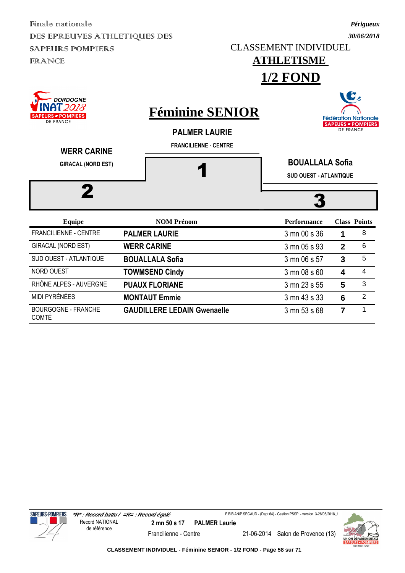CLASSEMENT INDIVIDUEL

**ATHLETISME** 

#### *Périgueux 30/06/2018*

|                                                                                                                            |                                                                                | <b>1/2 FOND</b>                                         |                  |                                                                |
|----------------------------------------------------------------------------------------------------------------------------|--------------------------------------------------------------------------------|---------------------------------------------------------|------------------|----------------------------------------------------------------|
| <b>DORDOGNE</b><br>018<br><b>SAPEURS - POMPIERS</b><br><b>DE FRANCE</b><br><b>WERR CARINE</b><br><b>GIRACAL (NORD EST)</b> | <b>Féminine SENIOR</b><br><b>PALMER LAURIE</b><br><b>FRANCILIENNE - CENTRE</b> | <b>BOUALLALA Sofia</b><br><b>SUD OUEST - ATLANTIQUE</b> | <b>DE FRANCE</b> | C,<br><b>Fédération Nationale</b><br><b>SAPEURS - POMPIERS</b> |
| <b>Equipe</b>                                                                                                              | <b>NOM Prénom</b>                                                              | <b>Performance</b>                                      |                  | <b>Class Points</b>                                            |
| <b>FRANCILIENNE - CENTRE</b>                                                                                               | <b>PALMER LAURIE</b>                                                           | 3 mn 00 s 36                                            | 1                | 8                                                              |
| GIRACAL (NORD EST)                                                                                                         | <b>WERR CARINE</b>                                                             | 3 mn 05 s 93                                            | $\overline{2}$   | 6                                                              |
| <b>SUD OUEST - ATLANTIQUE</b>                                                                                              | <b>BOUALLALA Sofia</b>                                                         | 3 mn 06 s 57                                            | $\overline{3}$   | 5                                                              |
| NORD OUEST                                                                                                                 | <b>TOWMSEND Cindy</b>                                                          | 3 mn 08 s 60                                            | 4                | 4                                                              |
| RHÔNE ALPES - AUVERGNE                                                                                                     | <b>PUAUX FLORIANE</b>                                                          | 3 mn 23 s 55                                            | 5                | 3                                                              |
| MIDI PYRÉNÉES                                                                                                              | <b>MONTAUT Emmie</b>                                                           | 3 mn 43 s 33                                            | 6                | $\overline{2}$                                                 |

**GAUDILLERE LEDAIN Gwenaelle** 3 mn 53 s 68 **7** 1



BOURGOGNE - FRANCHE

COMTÉ



**CLASSEMENT INDIVIDUEL - Féminine SENIOR - 1/2 FOND - Page 58 sur 71**

Francilienne - Centre 21-06-2014 Salon de Provence (13)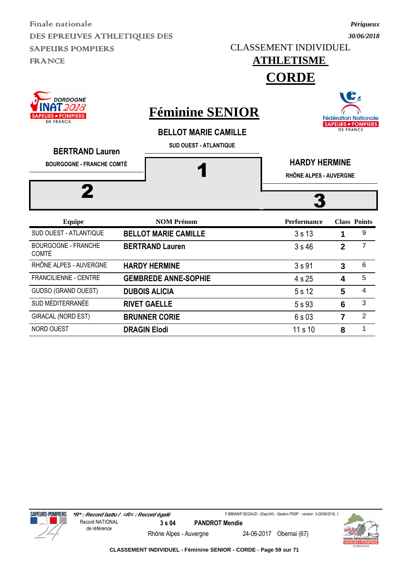CLASSEMENT INDIVIDUEL

#### *Périgueux 30/06/2018*

B,

**Fédération Nationale** 

**SAPEURS - POMPIERS DE FRANCE** 





### **Féminine SENIOR**

**BELLOT MARIE CAMILLE**

**SUD OUEST - ATLANTIQUE**

| <b>BERTRAND Lauren</b>                     |                             |                                                |                |                         |  |  |
|--------------------------------------------|-----------------------------|------------------------------------------------|----------------|-------------------------|--|--|
| <b>BOURGOGNE - FRANCHE COMTÉ</b>           |                             | <b>HARDY HERMINE</b><br>RHÔNE ALPES - AUVERGNE |                |                         |  |  |
|                                            |                             |                                                |                |                         |  |  |
| <b>Equipe</b>                              | <b>NOM Prénom</b>           | <b>Performance</b>                             |                | <b>Class Points</b>     |  |  |
| SUD OUEST - ATLANTIQUE                     | <b>BELLOT MARIE CAMILLE</b> | 3s13                                           | 1              | 9                       |  |  |
| <b>BOURGOGNE - FRANCHE</b><br><b>COMTÉ</b> | <b>BERTRAND Lauren</b>      | 3s46                                           | $\overline{2}$ | 7                       |  |  |
| RHÔNE ALPES - AUVERGNE                     | <b>HARDY HERMINE</b>        | 3s91                                           | 3              | $6\phantom{1}6$         |  |  |
| <b>FRANCILIENNE - CENTRE</b>               | <b>GEMBREDE ANNE-SOPHIE</b> | 4 s 25                                         | 4              | 5                       |  |  |
| <b>GUDSO (GRAND OUEST)</b>                 | <b>DUBOIS ALICIA</b>        | 5 s 12                                         | 5              | $\overline{\mathbf{4}}$ |  |  |
| SUD MÉDITERRANÉE                           | <b>RIVET GAELLE</b>         | 5 s 93                                         | 6              | 3                       |  |  |
| <b>GIRACAL (NORD EST)</b>                  | <b>BRUNNER CORIE</b>        | 6s03                                           | 7              | $\overline{2}$          |  |  |

NORD OUEST **DRAGIN Elodi 11 s 10 8 1** 



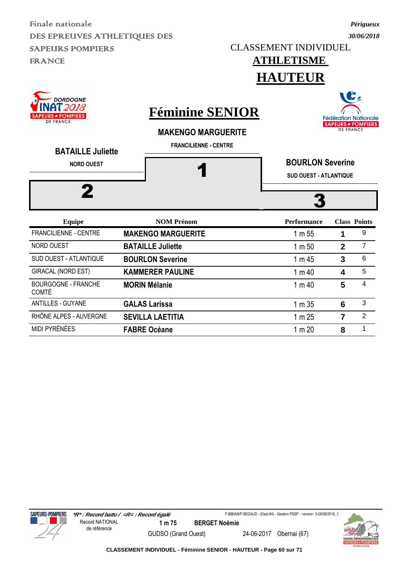*30/06/2018* CLASSEMENT INDIVIDUEL

# **ATHLETISME**

*Périgueux*

### **HAUTEUR**





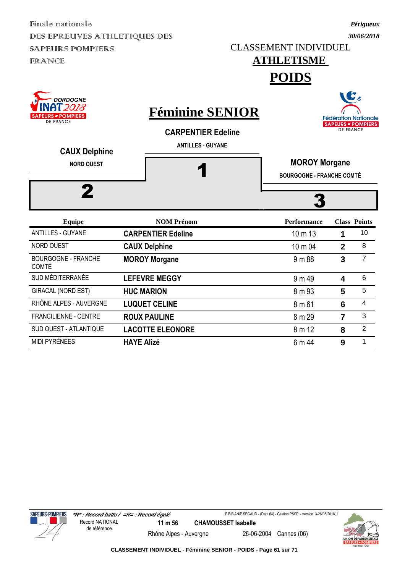*30/06/2018* CLASSEMENT INDIVIDUEL

## **ATHLETISME**

*Périgueux*

**POIDS**

| <b>DORDOGNE</b><br>2018<br>URS <i>■</i> POMPIERS  <br>DE FRANCE<br><b>CAUX Delphine</b><br><b>NORD OUEST</b> | <b>Féminine SENIOR</b><br><b>CARPENTIER Edeline</b><br><b>ANTILLES - GUYANE</b> | <b>MOROY Morgane</b><br><b>BOURGOGNE - FRANCHE COMTÉ</b> | <b>DE FRANCE</b> | <b>6,</b><br><b>Fédération Nationale</b><br><b>SAPEURS - POMPIERS</b> |
|--------------------------------------------------------------------------------------------------------------|---------------------------------------------------------------------------------|----------------------------------------------------------|------------------|-----------------------------------------------------------------------|
| <b>Equipe</b>                                                                                                | <b>NOM Prénom</b>                                                               | <b>Performance</b>                                       |                  | <b>Class Points</b>                                                   |
| <b>ANTILLES - GUYANE</b>                                                                                     | <b>CARPENTIER Edeline</b>                                                       | 10 m 13                                                  | 1                | 10                                                                    |
| <b>NORD OUEST</b>                                                                                            | <b>CAUX Delphine</b>                                                            | 10 m 04                                                  | $\overline{2}$   | 8                                                                     |
| <b>BOURGOGNE - FRANCHE</b><br><b>COMTÉ</b>                                                                   | <b>MOROY Morgane</b>                                                            | 9 m 88                                                   | 3                | $\overline{7}$                                                        |
| SUD MÉDITERRANÉE                                                                                             | <b>LEFEVRE MEGGY</b>                                                            | 9 m 49                                                   | 4                | 6                                                                     |
| GIRACAL (NORD EST)                                                                                           | <b>HUC MARION</b>                                                               | 8 m 93                                                   | 5                | 5                                                                     |
| RHÔNE ALPES - AUVERGNE                                                                                       | <b>LUQUET CELINE</b>                                                            | 8 m 61                                                   | 6                | $\overline{4}$                                                        |
| <b>FRANCILIENNE - CENTRE</b>                                                                                 | <b>ROUX PAULINE</b>                                                             | 8 m 29                                                   | 7                | 3                                                                     |
| SUD OUEST - ATLANTIQUE                                                                                       | <b>LACOTTE ELEONORE</b>                                                         | 8 m 12                                                   | 8                | $\overline{2}$                                                        |

MIDI PYRÉNÉES **HAYE Alizé** 6 m 44 **9** 1





**CLASSEMENT INDIVIDUEL - Féminine SENIOR - POIDS - Page 61 sur 71**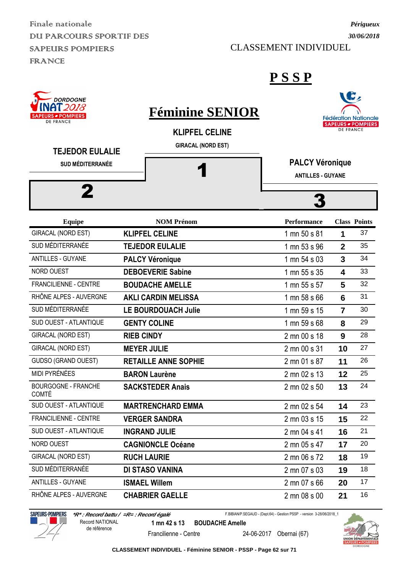Finale nationale DUI PARCOURS SPORTIF DES SAPEURS POMPIERS FRANCE

#### CLASSEMENT INDIVIDUEL



#### **P S S P**

| <b>INHI 2018</b><br><b>SAPEURS - POMPIERS</b><br><b>DE FRANCE</b> | <b>Féminine SENIOR</b>                             |                                                    | f.               | <b>Fédération Nationale</b><br><b>SAPEURS - POMPIERS</b> |
|-------------------------------------------------------------------|----------------------------------------------------|----------------------------------------------------|------------------|----------------------------------------------------------|
| <b>TEJEDOR EULALIE</b>                                            | <b>KLIPFEL CELINE</b><br><b>GIRACAL (NORD EST)</b> |                                                    | <b>DE FRANCE</b> |                                                          |
| <b>SUD MÉDITERRANÉE</b>                                           |                                                    | <b>PALCY Véronique</b><br><b>ANTILLES - GUYANE</b> |                  |                                                          |
| 2                                                                 |                                                    |                                                    |                  |                                                          |
| <b>Equipe</b>                                                     | <b>NOM Prénom</b>                                  | Performance                                        |                  | <b>Class Points</b>                                      |
| GIRACAL (NORD EST)                                                | <b>KLIPFEL CELINE</b>                              | 1 mn 50 s 81                                       | 1                | 37                                                       |
| SUD MÉDITERRANÉE                                                  | <b>TEJEDOR EULALIE</b>                             | 1 mn 53 s 96                                       | $\overline{2}$   | 35                                                       |
| <b>ANTILLES - GUYANE</b>                                          | <b>PALCY Véronique</b>                             | 1 mn 54 s 03                                       | $\overline{3}$   | 34                                                       |
| NORD OUEST                                                        | <b>DEBOEVERIE Sabine</b>                           | 1 mn 55 s 35                                       | 4                | 33                                                       |
| FRANCILIENNE - CENTRE                                             | <b>BOUDACHE AMELLE</b>                             | 1 mn 55 s 57                                       | 5                | 32                                                       |
| RHÔNE ALPES - AUVERGNE                                            | <b>AKLI CARDIN MELISSA</b>                         | 1 mn 58 s 66                                       | 6                | 31                                                       |
| SUD MÉDITERRANÉE                                                  | <b>LE BOURDOUACH Julie</b>                         | 1 mn 59 s 15                                       | $\overline{7}$   | 30                                                       |
| SUD OUEST - ATLANTIQUE                                            | <b>GENTY COLINE</b>                                | 1 mn 59 s 68                                       | 8                | 29                                                       |
| GIRACAL (NORD EST)                                                | <b>RIEB CINDY</b>                                  | 2 mn 00 s 18                                       | 9                | 28                                                       |
| GIRACAL (NORD EST)                                                | <b>MEYER JULIE</b>                                 | 2 mn 00 s 31                                       | 10               | 27                                                       |
| <b>GUDSO (GRAND OUEST)</b>                                        | <b>RETAILLE ANNE SOPHIE</b>                        | 2 mn 01 s 87                                       | 11               | 26                                                       |
| MIDI PYRÉNÉES                                                     | <b>BARON Laurène</b>                               | 2 mn 02 s 13                                       | 12               | 25                                                       |
| <b>BOURGOGNE - FRANCHE</b><br><b>COMTÉ</b>                        | <b>SACKSTEDER Anais</b>                            | 2 mn 02 s 50                                       | 13               | 24                                                       |
| SUD OUEST - ATLANTIQUE                                            | <b>MARTRENCHARD EMMA</b>                           | 2 mn 02 s 54                                       | 14               | 23                                                       |
| FRANCILIENNE - CENTRE                                             | <b>VERGER SANDRA</b>                               | 2 mn 03 s 15                                       | 15               | 22                                                       |
| SUD OUEST - ATLANTIQUE                                            | <b>INGRAND JULIE</b>                               | 2 mn 04 s 41                                       | 16               | 21                                                       |
| NORD OUEST                                                        | <b>CAGNIONCLE Océane</b>                           | 2 mn 05 s 47                                       | 17               | 20                                                       |
| GIRACAL (NORD EST)                                                | <b>RUCH LAURIE</b>                                 | 2 mn 06 s 72                                       | 18               | 19                                                       |
| SUD MÉDITERRANÉE                                                  | DI STASO VANINA                                    | 2 mn 07 s 03                                       | 19               | 18                                                       |
| <b>ANTILLES - GUYANE</b>                                          | <b>ISMAEL Willem</b>                               | 2 mn 07 s 66                                       | 20               | 17                                                       |
| RHÔNE ALPES - AUVERGNE                                            | <b>CHABRIER GAELLE</b>                             | 2 mn 08 s 00                                       | 21               | 16                                                       |



 **\*R\* : Record battu / =R= : Record égalé 1 mn 42 s 13 BOUDACHE Amelle** Record NATIONAL de référence

F.BIBIAN/P.SEGAUD - (Dept.64) - Gestion PSSP - version 3-28/06/2018\_1



Francilienne - Centre 24-06-2017 Obernai (67)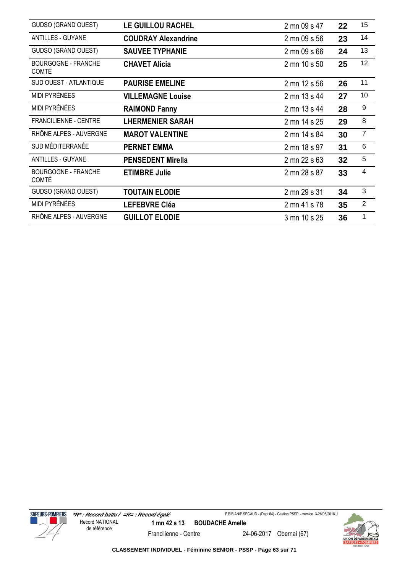| GUDSO (GRAND OUEST)                        | <b>LE GUILLOU RACHEL</b>   | 2 mn 09 s 47 | 22 | 15             |
|--------------------------------------------|----------------------------|--------------|----|----------------|
| <b>ANTILLES - GUYANE</b>                   | <b>COUDRAY Alexandrine</b> | 2 mn 09 s 56 | 23 | 14             |
| <b>GUDSO (GRAND OUEST)</b>                 | <b>SAUVEE TYPHANIE</b>     | 2 mn 09 s 66 | 24 | 13             |
| <b>BOURGOGNE - FRANCHE</b><br><b>COMTÉ</b> | <b>CHAVET Alicia</b>       | 2 mn 10 s 50 | 25 | 12             |
| SUD OUEST - ATLANTIQUE                     | <b>PAURISE EMELINE</b>     | 2 mn 12 s 56 | 26 | 11             |
| MIDI PYRÉNÉES                              | <b>VILLEMAGNE Louise</b>   | 2 mn 13 s 44 | 27 | 10             |
| <b>MIDI PYRÉNÉES</b>                       | <b>RAIMOND Fanny</b>       | 2 mn 13 s 44 | 28 | 9              |
| FRANCILIENNE - CENTRE                      | <b>LHERMENIER SARAH</b>    | 2 mn 14 s 25 | 29 | 8              |
| RHÔNE ALPES - AUVERGNE                     | <b>MAROT VALENTINE</b>     | 2 mn 14 s 84 | 30 | $\overline{7}$ |
| SUD MÉDITERRANÉE                           | <b>PERNET EMMA</b>         | 2 mn 18 s 97 | 31 | 6              |
| <b>ANTILLES - GUYANE</b>                   | <b>PENSEDENT Mirella</b>   | 2 mn 22 s 63 | 32 | 5              |
| BOURGOGNE - FRANCHE<br><b>COMTÉ</b>        | <b>ETIMBRE Julie</b>       | 2 mn 28 s 87 | 33 | 4              |
| GUDSO (GRAND OUEST)                        | <b>TOUTAIN ELODIE</b>      | 2 mn 29 s 31 | 34 | 3              |
| <b>MIDI PYRÉNÉES</b>                       | <b>LEFEBVRE Cléa</b>       | 2 mn 41 s 78 | 35 | $\overline{2}$ |
| RHÔNE ALPES - AUVERGNE                     | <b>GUILLOT ELODIE</b>      | 3 mn 10 s 25 | 36 | 1              |



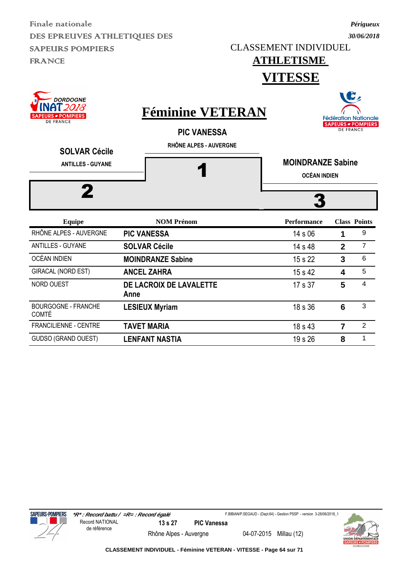CLASSEMENT INDIVIDUEL

## *30/06/2018*

*Périgueux*

 $\rightarrow$ 

#### **ATHLETISME VITESSE**

| <b>DORDOGNE</b><br>12018<br><b>IRS - POMPIERS</b><br><b>DE FRANCE</b><br><b>SOLVAR Cécile</b><br><b>ANTILLES - GUYANE</b> | <b>Féminine VETERAN</b><br><b>PIC VANESSA</b><br>RHÔNE ALPES - AUVERGNE | <b>MOINDRANZE Sabine</b><br><b>OCÉAN INDIEN</b> | <b>DE FRANCE</b> | Dz<br><b>Fédération Nationale</b><br><b>SAPEURS - POMPIERS</b> |
|---------------------------------------------------------------------------------------------------------------------------|-------------------------------------------------------------------------|-------------------------------------------------|------------------|----------------------------------------------------------------|
| <b>Equipe</b>                                                                                                             | <b>NOM Prénom</b>                                                       | <b>Performance</b>                              |                  | <b>Class Points</b>                                            |
| RHÔNE ALPES - AUVERGNE                                                                                                    | <b>PIC VANESSA</b>                                                      | 14 s 06                                         | 1                | 9                                                              |
| <b>ANTILLES - GUYANE</b>                                                                                                  | <b>SOLVAR Cécile</b>                                                    | 14 s 48                                         | $\mathbf{2}$     | $\overline{7}$                                                 |
| <b>OCÉAN INDIEN</b>                                                                                                       | <b>MOINDRANZE Sabine</b>                                                | 15 s 22                                         | $\mathbf{3}$     | 6                                                              |
| GIRACAL (NORD EST)                                                                                                        | <b>ANCEL ZAHRA</b>                                                      | 15 s 42                                         | 4                | 5                                                              |
| NORD OUEST                                                                                                                | DE LACROIX DE LAVALETTE<br>Anne                                         | 17 s 37                                         | 5                | $\overline{4}$                                                 |
| <b>BOURGOGNE - FRANCHE</b><br><b>COMTÉ</b>                                                                                | <b>LESIEUX Myriam</b>                                                   | 18 s 36                                         | 6                | 3                                                              |
| <b>FRANCILIENNE - CENTRE</b>                                                                                              | <b>TAVET MARIA</b>                                                      | 18 s 43                                         | $\overline{7}$   | $\overline{2}$                                                 |
| <b>GUDSO (GRAND OUEST)</b>                                                                                                | <b>LENFANT NASTIA</b>                                                   | 19 s 26                                         | 8                | 1                                                              |





Rhône Alpes - Auvergne 04-07-2015 Millau (12)

F.BIBIAN/P.SEGAUD - (Dept.64) - Gestion PSSP - version 3-28/06/2018\_1

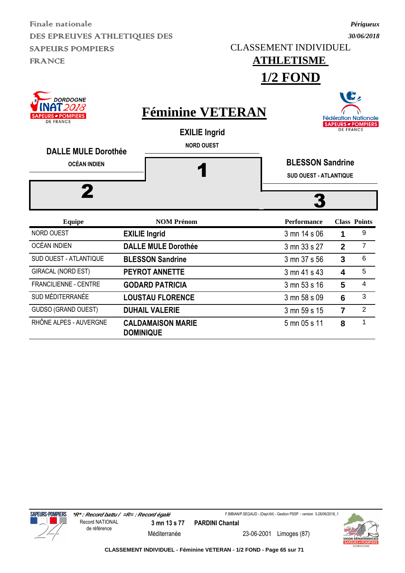CLASSEMENT INDIVIDUEL

## **ATHLETISME**

*Périgueux 30/06/2018*

**1/2 FOND**

| DORDOGNE<br>' 2018<br><b>RS ø POMPIERS</b><br><b>DE FRANCE</b><br><b>DALLE MULE Dorothée</b> | <b>Féminine VETERAN</b><br><b>EXILIE Ingrid</b><br><b>NORD OUEST</b> | <b>Fédération Nationale</b><br><b>SAPEURS - POMPIERS</b><br><b>DE FRANCE</b> |                |                          |  |
|----------------------------------------------------------------------------------------------|----------------------------------------------------------------------|------------------------------------------------------------------------------|----------------|--------------------------|--|
| <b>OCÉAN INDIEN</b>                                                                          |                                                                      | <b>BLESSON Sandrine</b>                                                      |                |                          |  |
|                                                                                              |                                                                      | <b>SUD OUEST - ATLANTIQUE</b>                                                |                |                          |  |
| <b>Equipe</b>                                                                                | <b>NOM Prénom</b>                                                    | <b>Performance</b>                                                           |                | <b>Class Points</b>      |  |
| <b>NORD OUEST</b>                                                                            | <b>EXILIE Ingrid</b>                                                 | 3 mn 14 s 06                                                                 | 1              | 9                        |  |
| OCÉAN INDIEN                                                                                 | <b>DALLE MULE Dorothée</b>                                           | 3 mn 33 s 27                                                                 | $\mathbf{2}$   | $\overline{7}$           |  |
| <b>SUD OUEST - ATLANTIQUE</b>                                                                | <b>BLESSON Sandrine</b>                                              | 3 mn 37 s 56                                                                 | 3              | 6                        |  |
| GIRACAL (NORD EST)                                                                           | <b>PEYROT ANNETTE</b>                                                | 3 mn 41 s 43                                                                 | 4              | 5                        |  |
| <b>FRANCILIENNE - CENTRE</b>                                                                 | <b>GODARD PATRICIA</b>                                               | 3 mn 53 s 16                                                                 | 5              | $\overline{\mathcal{A}}$ |  |
| SUD MÉDITERRANÉE                                                                             | <b>LOUSTAU FLORENCE</b>                                              | 3 mn 58 s 09                                                                 | 6              | 3                        |  |
| GUDSO (GRAND OUEST)                                                                          | <b>DUHAIL VALERIE</b>                                                | 3 mn 59 s 15                                                                 | $\overline{7}$ | $\overline{2}$           |  |



RHÔNE ALPES - AUVERGNE **CALDAMAISON MARIE** 

**DOMINIQUE**

F.BIBIAN/P.SEGAUD - (Dept.64) - Gestion PSSP - version 3-28/06/2018\_1



5 mn 05 s 11 **8** 1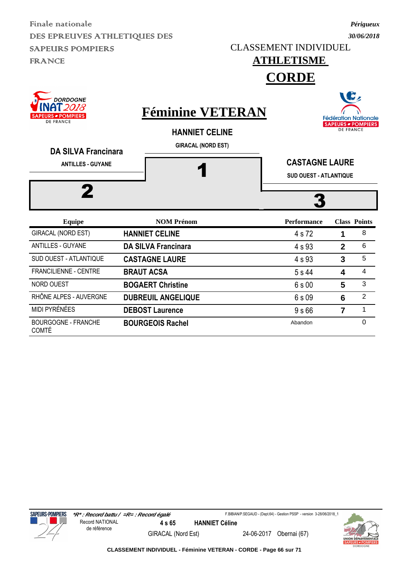CLASSEMENT INDIVIDUEL

## **ATHLETISME**

*Périgueux 30/06/2018*

**CORDE**

| DORDOGNE<br>`2018<br><b>PEURS - POMPIERS</b><br><b>DE FRANCE</b> | <b>Féminine VETERAN</b><br><b>HANNIET CELINE</b> | <b>Fédération Nationale</b><br><b>SAPEURS - POMPIERS</b><br><b>DE FRANCE</b> |              |                     |  |
|------------------------------------------------------------------|--------------------------------------------------|------------------------------------------------------------------------------|--------------|---------------------|--|
| <b>DA SILVA Francinara</b><br><b>ANTILLES - GUYANE</b>           | <b>GIRACAL (NORD EST)</b>                        | <b>CASTAGNE LAURE</b><br><b>SUD OUEST - ATLANTIQUE</b>                       |              |                     |  |
| <b>Equipe</b>                                                    | <b>NOM Prénom</b>                                | <b>Performance</b>                                                           |              | <b>Class Points</b> |  |
| GIRACAL (NORD EST)                                               | <b>HANNIET CELINE</b>                            | 4 s 72                                                                       | 1            | 8                   |  |
| <b>ANTILLES - GUYANE</b>                                         | <b>DA SILVA Francinara</b>                       | 4 s 93                                                                       | $\mathbf{2}$ | 6                   |  |
| <b>SUD OUEST - ATLANTIQUE</b>                                    | <b>CASTAGNE LAURE</b>                            | 4 s 93                                                                       | 3            | 5                   |  |
| <b>FRANCILIENNE - CENTRE</b>                                     | <b>BRAUT ACSA</b>                                | 5 s 44                                                                       | 4            | $\overline{4}$      |  |
| NORD OUEST                                                       | <b>BOGAERT Christine</b>                         | 6 s 00                                                                       | 5            | 3                   |  |
| RHÔNE ALPES - AUVERGNE                                           | <b>DUBREUIL ANGELIQUE</b>                        | 6 s 09                                                                       | 6            | $\overline{2}$      |  |
| MIDI PYRÉNÉES                                                    | <b>DEBOST Laurence</b>                           | 9s66                                                                         | 7            | 1                   |  |
| <b>BOURGOGNE - FRANCHE</b>                                       | <b>BOURGEOIS Rachel</b>                          | Abandon                                                                      |              | 0                   |  |



COMTÉ

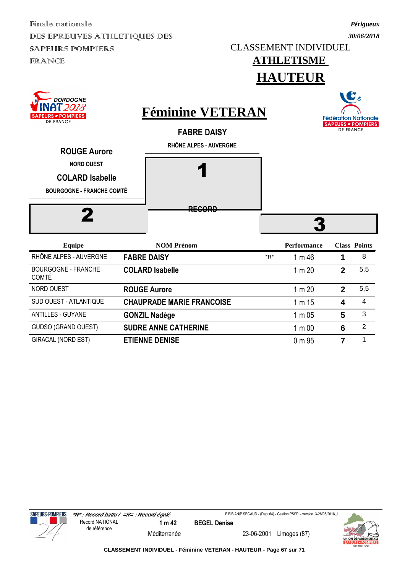**DORDOGNE** 

#### CLASSEMENT INDIVIDUEL

*Périgueux 30/06/2018*

### **ATHLETISME HAUTEUR**

| NAT <i>2018</i><br>URS - POMPIERS<br><b>DE FRANCE</b>                           | <b>Féminine VETERAN</b>                      | <b>Fédération Nationale</b>                   |
|---------------------------------------------------------------------------------|----------------------------------------------|-----------------------------------------------|
| <b>ROUGE Aurore</b>                                                             | <b>FABRE DAISY</b><br>RHÔNE ALPES - AUVERGNE | <b>SAPEURS - POMPIERS</b><br><b>DE FRANCE</b> |
| <b>NORD OUEST</b><br><b>COLARD Isabelle</b><br><b>BOURGOGNE - FRANCHE COMTÉ</b> |                                              |                                               |
|                                                                                 | <b>DECODD</b><br><del>nevono</del>           |                                               |

| Equipe                                     | <b>NOM Prénom</b>                |     | <b>Performance</b> |   | <b>Class Points</b> |
|--------------------------------------------|----------------------------------|-----|--------------------|---|---------------------|
| RHÔNE ALPES - AUVERGNE                     | <b>FABRE DAISY</b>               | *R* | 1 m 46             |   | 8                   |
| <b>BOURGOGNE - FRANCHE</b><br><b>COMTÉ</b> | <b>COLARD Isabelle</b>           |     | 1 m 20             | 2 | 5,5                 |
| <b>NORD OUEST</b>                          | <b>ROUGE Aurore</b>              |     | 1 m 20             | 2 | 5,5                 |
| SUD OUEST - ATLANTIQUE                     | <b>CHAUPRADE MARIE FRANCOISE</b> |     | 1 m 15             | 4 | 4                   |
| <b>ANTILLES - GUYANE</b>                   | <b>GONZIL Nadège</b>             |     | $1 \text{ m} 05$   | 5 | 3                   |
| <b>GUDSO (GRAND OUEST)</b>                 | <b>SUDRE ANNE CATHERINE</b>      |     | 1 <sub>m</sub> 00  | 6 | 2                   |
| <b>GIRACAL (NORD EST)</b>                  | <b>ETIENNE DENISE</b>            |     | $0 \text{ m} 95$   | 7 |                     |



Méditerranée 23-06-2001 Limoges (87)

F.BIBIAN/P.SEGAUD - (Dept.64) - Gestion PSSP - version 3-28/06/2018\_1

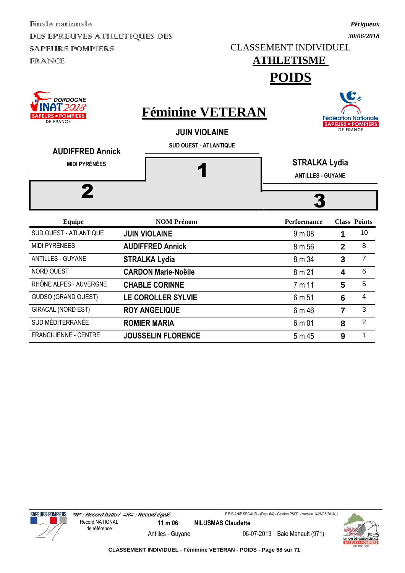CLASSEMENT INDIVIDUEL

## **ATHLETISME**

*Périgueux 30/06/2018*

 $\rightarrow$ 

**POIDS**

| <b>DORDOGNE</b><br>T 2018<br><b>PEURS - POMPIERS</b><br><b>DE FRANCE</b><br><b>AUDIFFRED Annick</b><br><b>MIDI PYRÉNÉES</b> | <b>Féminine VETERAN</b><br><b>JUIN VIOLAINE</b><br><b>SUD OUEST - ATLANTIQUE</b> | <b>STRALKA Lydia</b><br><b>ANTILLES - GUYANE</b> |              | W<br><b>Fédération Nationale</b><br><b>SAPEURS - POMPIERS</b><br><b>DE FRANCE</b> |
|-----------------------------------------------------------------------------------------------------------------------------|----------------------------------------------------------------------------------|--------------------------------------------------|--------------|-----------------------------------------------------------------------------------|
| <b>Equipe</b>                                                                                                               | <b>NOM Prénom</b>                                                                | <b>Performance</b>                               |              | <b>Class Points</b>                                                               |
| SUD OUEST - ATLANTIQUE                                                                                                      | <b>JUIN VIOLAINE</b>                                                             | 9 m 08                                           | 1            | 10                                                                                |
| MIDI PYRÉNÉES                                                                                                               | <b>AUDIFFRED Annick</b>                                                          | 8 m 56                                           | $\mathbf{2}$ | 8                                                                                 |
| <b>ANTILLES - GUYANE</b>                                                                                                    | <b>STRALKA Lydia</b>                                                             | 8 m 34                                           | 3            | $\overline{7}$                                                                    |
| <b>NORD OUEST</b>                                                                                                           | <b>CARDON Marie-Noëlle</b>                                                       | 8 m 21                                           | 4            | 6                                                                                 |
| RHÔNE ALPES - AUVERGNE                                                                                                      | <b>CHABLE CORINNE</b>                                                            | 7 m 11                                           | 5            | 5                                                                                 |
| <b>GUDSO (GRAND OUEST)</b>                                                                                                  | LE COROLLER SYLVIE                                                               | 6 m 51                                           | 6            | $\overline{4}$                                                                    |
| <b>GIRACAL (NORD EST)</b>                                                                                                   | <b>ROY ANGELIQUE</b>                                                             | 6 m 46                                           | 7            | 3                                                                                 |
| SUD MÉDITERRANÉE                                                                                                            | <b>ROMIER MARIA</b>                                                              | 6 m 01                                           | 8            | $\overline{2}$                                                                    |

FRANCILIENNE - CENTRE **JOUSSELIN FLORENCE** 5 m 45 9 1



F.BIBIAN/P.SEGAUD - (Dept.64) - Gestion PSSP - version 3-28/06/2018\_1



Antilles - Guyane 06-07-2013 Baie Mahault (971)

**CLASSEMENT INDIVIDUEL - Féminine VETERAN - POIDS - Page 68 sur 71**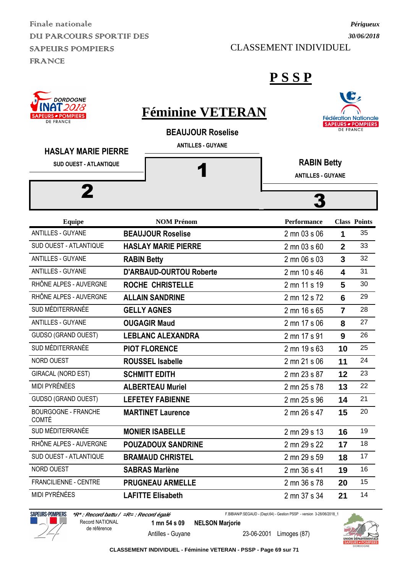Finale nationale DU PARCOURS SPORTIF DES SAPEURS POMPIERS FRANCE

#### CLASSEMENT INDIVIDUEL

#### **P S S P**

| DORDOGNE<br><b>RS • POMPIERS</b><br><b>DE FRANCE</b>        | <b>Féminine VETERAN</b><br><b>BEAUJOUR Roselise</b> |                                                | <b>DE FRANCE</b>        | <b>Fédération Nationale</b><br><b>SAPEURS - POMPIERS</b> |
|-------------------------------------------------------------|-----------------------------------------------------|------------------------------------------------|-------------------------|----------------------------------------------------------|
| <b>HASLAY MARIE PIERRE</b><br><b>SUD OUEST - ATLANTIQUE</b> | <b>ANTILLES - GUYANE</b>                            | <b>RABIN Betty</b><br><b>ANTILLES - GUYANE</b> |                         |                                                          |
| <b>Equipe</b>                                               | <b>NOM Prénom</b>                                   | <b>Performance</b>                             |                         | <b>Class Points</b>                                      |
| <b>ANTILLES - GUYANE</b>                                    | <b>BEAUJOUR Roselise</b>                            | 2 mn 03 s 06                                   | 1                       | 35                                                       |
| SUD OUEST - ATLANTIQUE                                      | <b>HASLAY MARIE PIERRE</b>                          | 2 mn 03 s 60                                   | $\overline{2}$          | 33                                                       |
| <b>ANTILLES - GUYANE</b>                                    | <b>RABIN Betty</b>                                  | 2 mn 06 s 03                                   | $\overline{3}$          | 32                                                       |
| <b>ANTILLES - GUYANE</b>                                    | <b>D'ARBAUD-OURTOU Roberte</b>                      | 2 mn 10 s 46                                   | $\overline{\mathbf{A}}$ | 31                                                       |
| RHÔNE ALPES - AUVERGNE                                      | <b>ROCHE CHRISTELLE</b>                             | 2 mn 11 s 19                                   | 5                       | 30                                                       |
| RHÔNE ALPES - AUVERGNE                                      | <b>ALLAIN SANDRINE</b>                              | 2 mn 12 s 72                                   | 6                       | 29                                                       |
| SUD MÉDITERRANÉE                                            | <b>GELLY AGNES</b>                                  | 2 mn 16 s 65                                   | $\overline{7}$          | 28                                                       |
| <b>ANTILLES - GUYANE</b>                                    | <b>OUGAGIR Maud</b>                                 | 2 mn 17 s 06                                   | 8                       | 27                                                       |
| <b>GUDSO (GRAND OUEST)</b>                                  | <b>LEBLANC ALEXANDRA</b>                            | 2 mn 17 s 91                                   | 9                       | 26                                                       |
| SUD MÉDITERRANÉE                                            | <b>PIOT FLORENCE</b>                                | 2 mn 19 s 63                                   | 10                      | 25                                                       |
| NORD OUEST                                                  | <b>ROUSSEL Isabelle</b>                             | 2 mn 21 s 06                                   | 11                      | 24                                                       |
| GIRACAL (NORD EST)                                          | <b>SCHMITT EDITH</b>                                | 2 mn 23 s 87                                   | 12                      | 23                                                       |
| MIDI PYRÉNÉES                                               | <b>ALBERTEAU Muriel</b>                             | 2 mn 25 s 78                                   | 13                      | 22                                                       |
| GUDSO (GRAND OUEST)                                         | <b>LEFETEY FABIENNE</b>                             | 2 mn 25 s 96                                   | 14                      | 21                                                       |
| BOURGOGNE - FRANCHE<br><b>COMTÉ</b>                         | <b>MARTINET Laurence</b>                            | 2 mn 26 s 47                                   | 15                      | 20                                                       |
| SUD MÉDITERRANÉE                                            | <b>MONIER ISABELLE</b>                              | 2 mn 29 s 13                                   | 16                      | 19                                                       |
| RHÔNE ALPES - AUVERGNE                                      | <b>POUZADOUX SANDRINE</b>                           | 2 mn 29 s 22                                   | 17                      | 18                                                       |
| SUD OUEST - ATLANTIQUE                                      | <b>BRAMAUD CHRISTEL</b>                             | 2 mn 29 s 59                                   | 18                      | 17                                                       |
| NORD OUEST                                                  | <b>SABRAS Marlène</b>                               | 2 mn 36 s 41                                   | 19                      | 16                                                       |
| FRANCILIENNE - CENTRE                                       | <b>PRUGNEAU ARMELLE</b>                             | 2 mn 36 s 78                                   | 20                      | 15                                                       |
| MIDI PYRÉNÉES                                               | <b>LAFITTE Elisabeth</b>                            | 2 mn 37 s 34                                   | 21                      | 14                                                       |



 **\*R\* : Record battu / =R= : Record égalé 1 mn 54 s 09 NELSON Marjorie** Antilles - Guyane 23-06-2001 Limoges (87) Record NATIONAL de référence

F.BIBIAN/P.SEGAUD - (Dept.64) - Gestion PSSP - version 3-28/06/2018\_1



**CLASSEMENT INDIVIDUEL - Féminine VETERAN - PSSP - Page 69 sur 71**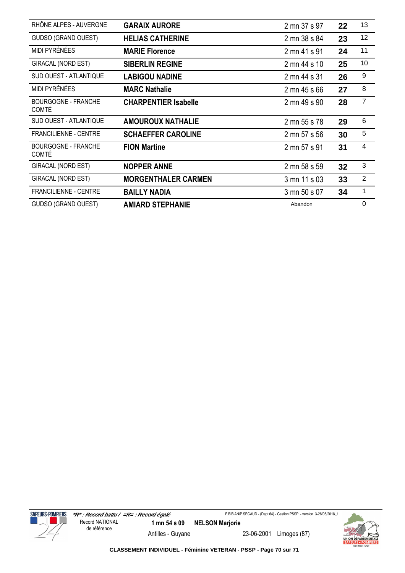| RHÔNE ALPES - AUVERGNE                     | <b>GARAIX AURORE</b>        | 2 mn 37 s 97 | 22 | 13             |
|--------------------------------------------|-----------------------------|--------------|----|----------------|
| <b>GUDSO (GRAND OUEST)</b>                 | <b>HELIAS CATHERINE</b>     | 2 mn 38 s 84 | 23 | 12             |
| <b>MIDI PYRÉNÉES</b>                       | <b>MARIE Florence</b>       | 2 mn 41 s 91 | 24 | 11             |
| <b>GIRACAL (NORD EST)</b>                  | <b>SIBERLIN REGINE</b>      | 2 mn 44 s 10 | 25 | 10             |
| SUD OUEST - ATLANTIQUE                     | <b>LABIGOU NADINE</b>       | 2 mn 44 s 31 | 26 | 9              |
| MIDI PYRÉNÉES                              | <b>MARC Nathalie</b>        | 2 mn 45 s 66 | 27 | 8              |
| <b>BOURGOGNE - FRANCHE</b><br><b>COMTÉ</b> | <b>CHARPENTIER Isabelle</b> | 2 mn 49 s 90 | 28 | $\overline{7}$ |
| SUD OUEST - ATLANTIQUE                     | <b>AMOUROUX NATHALIE</b>    | 2 mn 55 s 78 | 29 | 6              |
| <b>FRANCILIENNE - CENTRE</b>               | <b>SCHAEFFER CAROLINE</b>   | 2 mn 57 s 56 | 30 | 5              |
| <b>BOURGOGNE - FRANCHE</b><br><b>COMTÉ</b> | <b>FION Martine</b>         | 2 mn 57 s 91 | 31 | 4              |
| GIRACAL (NORD EST)                         | <b>NOPPER ANNE</b>          | 2 mn 58 s 59 | 32 | 3              |
| GIRACAL (NORD EST)                         | <b>MORGENTHALER CARMEN</b>  | 3 mn 11 s 03 | 33 | $\overline{2}$ |
| <b>FRANCILIENNE - CENTRE</b>               | <b>BAILLY NADIA</b>         | 3 mn 50 s 07 | 34 | $\mathbf 1$    |
| <b>GUDSO (GRAND OUEST)</b>                 | <b>AMIARD STEPHANIE</b>     | Abandon      |    | $\mathbf 0$    |